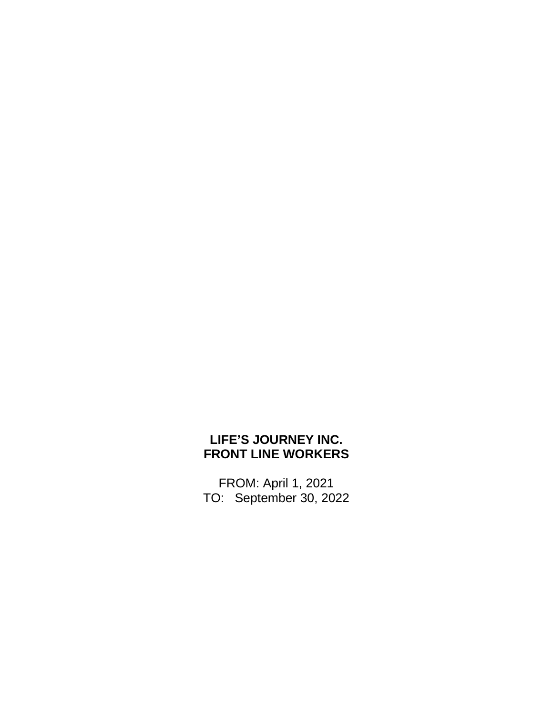## **LIFE'S JOURNEY INC. FRONT LINE WORKERS**

FROM: April 1, 2021 TO: September 30, 2022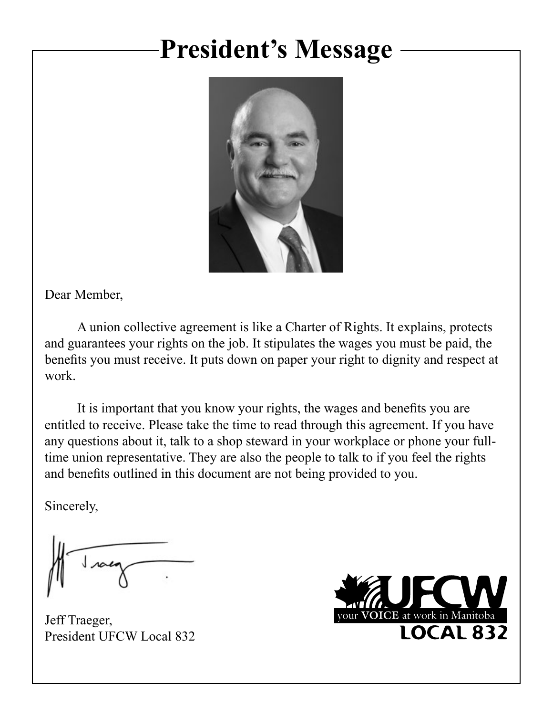# **President's Message**



Dear Member,

A union collective agreement is like a Charter of Rights. It explains, protects and guarantees your rights on the job. It stipulates the wages you must be paid, the benefits you must receive. It puts down on paper your right to dignity and respect at work.

It is important that you know your rights, the wages and benefits you are entitled to receive. Please take the time to read through this agreement. If you have any questions about it, talk to a shop steward in your workplace or phone your fulltime union representative. They are also the people to talk to if you feel the rights and benefits outlined in this document are not being provided to you.

Sincerely,

Jeff Traeger, President UFCW Local 832

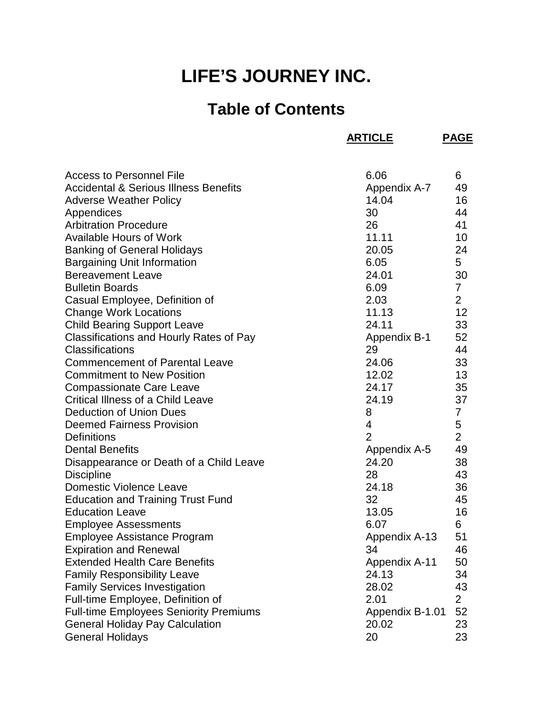## **LIFE'S JOURNEY INC.**

## **Table of Contents**

**ARTICLE PAGE**

| <b>Access to Personnel File</b>                  | 6.06                 | 6              |
|--------------------------------------------------|----------------------|----------------|
| <b>Accidental &amp; Serious Illness Benefits</b> | Appendix A-7         | 49             |
| <b>Adverse Weather Policy</b>                    | 14.04                | 16             |
| Appendices                                       | 30                   | 44             |
| <b>Arbitration Procedure</b>                     | 26                   | 41             |
| <b>Available Hours of Work</b>                   | 11.11                | 10             |
| <b>Banking of General Holidays</b>               | 20.05                | 24             |
| <b>Bargaining Unit Information</b>               | 6.05                 | 5              |
| <b>Bereavement Leave</b>                         | 24.01                | 30             |
| <b>Bulletin Boards</b>                           | 6.09                 | $\overline{7}$ |
| Casual Employee, Definition of                   | 2.03                 | $\overline{2}$ |
| <b>Change Work Locations</b>                     | 11.13                | 12             |
| <b>Child Bearing Support Leave</b>               | 24.11                | 33             |
| Classifications and Hourly Rates of Pay          | Appendix B-1         | 52             |
| Classifications                                  | 29                   | 44             |
| <b>Commencement of Parental Leave</b>            | 24.06                | 33             |
| <b>Commitment to New Position</b>                | 12.02                | 13             |
| <b>Compassionate Care Leave</b>                  | 24.17                | 35             |
| Critical Illness of a Child Leave                | 24.19                | 37             |
| <b>Deduction of Union Dues</b>                   | 8                    | $\overline{7}$ |
| <b>Deemed Fairness Provision</b>                 | 4                    | 5              |
| <b>Definitions</b>                               | $\overline{2}$       | $\overline{2}$ |
| <b>Dental Benefits</b>                           | Appendix A-5         | 49             |
| Disappearance or Death of a Child Leave          | 24.20                | 38             |
| <b>Discipline</b>                                | 28                   | 43             |
| <b>Domestic Violence Leave</b>                   | 24.18                | 36             |
| <b>Education and Training Trust Fund</b>         | 32                   | 45             |
| <b>Education Leave</b>                           | 13.05                | 16             |
| <b>Employee Assessments</b>                      | 6.07                 | 6              |
| Employee Assistance Program                      | Appendix A-13        | 51             |
| <b>Expiration and Renewal</b>                    | 34                   | 46             |
| <b>Extended Health Care Benefits</b>             | <b>Appendix A-11</b> | 50             |
| <b>Family Responsibility Leave</b>               | 24.13                | 34             |
| <b>Family Services Investigation</b>             | 28.02                | 43             |
| Full-time Employee, Definition of                | 2.01                 | $\overline{2}$ |
| <b>Full-time Employees Seniority Premiums</b>    | Appendix B-1.01      | 52             |
| <b>General Holiday Pay Calculation</b>           | 20.02                | 23             |
| <b>General Holidays</b>                          | 20                   | 23             |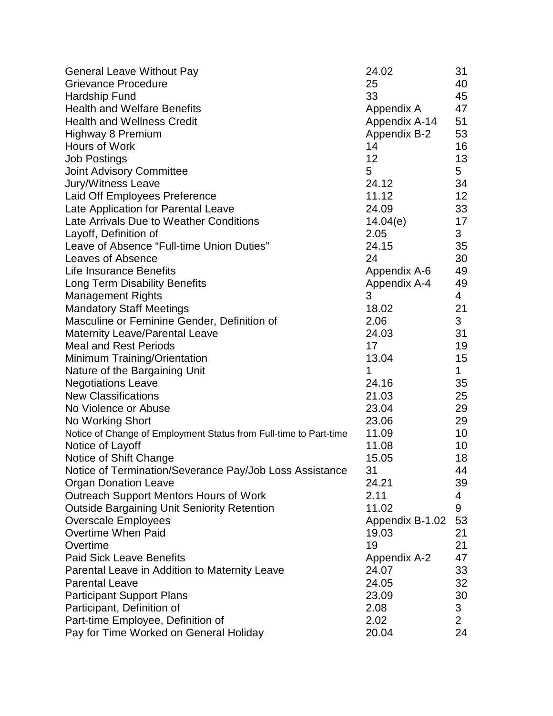| <b>General Leave Without Pay</b>                                  | 24.02           | 31             |
|-------------------------------------------------------------------|-----------------|----------------|
| <b>Grievance Procedure</b>                                        | 25              | 40             |
| Hardship Fund                                                     | 33              | 45             |
| <b>Health and Welfare Benefits</b>                                | Appendix A      | 47             |
| <b>Health and Wellness Credit</b>                                 | Appendix A-14   | 51             |
| Highway 8 Premium                                                 | Appendix B-2    | 53             |
| Hours of Work                                                     | 14              | 16             |
| <b>Job Postings</b>                                               | 12              | 13             |
| Joint Advisory Committee                                          | 5               | 5              |
| Jury/Witness Leave                                                | 24.12           | 34             |
| Laid Off Employees Preference                                     | 11.12           | 12             |
| Late Application for Parental Leave                               | 24.09           | 33             |
| Late Arrivals Due to Weather Conditions                           | 14.04(e)        | 17             |
| Layoff, Definition of                                             | 2.05            | 3              |
| Leave of Absence "Full-time Union Duties"                         | 24.15           | 35             |
| Leaves of Absence                                                 | 24              | 30             |
| <b>Life Insurance Benefits</b>                                    | Appendix A-6    | 49             |
| Long Term Disability Benefits                                     | Appendix A-4    | 49             |
| <b>Management Rights</b>                                          | 3               | 4              |
| <b>Mandatory Staff Meetings</b>                                   | 18.02           | 21             |
| Masculine or Feminine Gender, Definition of                       | 2.06            | 3 <sup>1</sup> |
| <b>Maternity Leave/Parental Leave</b>                             | 24.03           | 31             |
| <b>Meal and Rest Periods</b>                                      | 17              | 19             |
| Minimum Training/Orientation                                      | 13.04           | 15             |
| Nature of the Bargaining Unit                                     | 1               | $\mathbf 1$    |
| <b>Negotiations Leave</b>                                         | 24.16           | 35             |
| <b>New Classifications</b>                                        | 21.03           | 25             |
| No Violence or Abuse                                              | 23.04           | 29             |
| No Working Short                                                  | 23.06           | 29             |
| Notice of Change of Employment Status from Full-time to Part-time | 11.09           | 10             |
| Notice of Layoff                                                  | 11.08           | 10             |
| Notice of Shift Change                                            | 15.05           | 18             |
| Notice of Termination/Severance Pay/Job Loss Assistance           | 31              | 44             |
| <b>Organ Donation Leave</b>                                       | 24.21           | 39             |
| <b>Outreach Support Mentors Hours of Work</b>                     | 2.11            | 4              |
| <b>Outside Bargaining Unit Seniority Retention</b>                | 11.02           | 9              |
| <b>Overscale Employees</b>                                        | Appendix B-1.02 | 53             |
| <b>Overtime When Paid</b>                                         | 19.03           | 21             |
| Overtime                                                          | 19              | 21             |
| <b>Paid Sick Leave Benefits</b>                                   | Appendix A-2    | 47             |
| Parental Leave in Addition to Maternity Leave                     | 24.07           | 33             |
| <b>Parental Leave</b>                                             | 24.05           | 32             |
| <b>Participant Support Plans</b>                                  | 23.09           | 30             |
| Participant, Definition of                                        | 2.08            | $\mathbf{3}$   |
| Part-time Employee, Definition of                                 | 2.02            | $\overline{c}$ |
| Pay for Time Worked on General Holiday                            | 20.04           | 24             |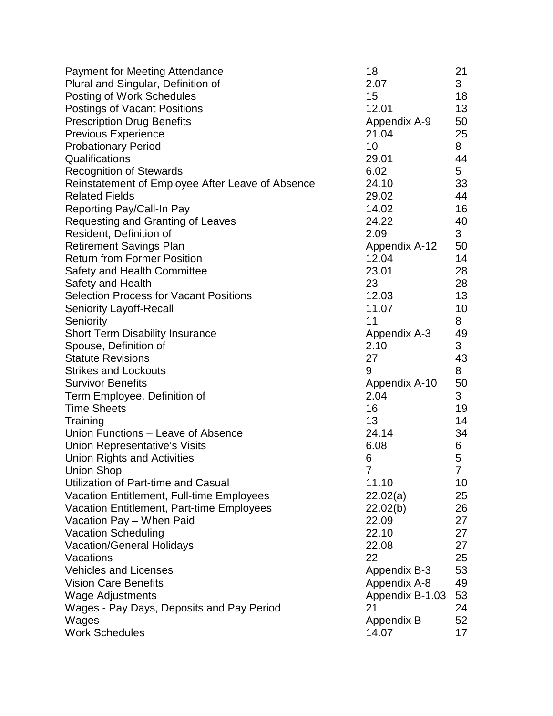| <b>Payment for Meeting Attendance</b>            | 18              | 21          |
|--------------------------------------------------|-----------------|-------------|
| Plural and Singular, Definition of               | 2.07            | 3           |
| <b>Posting of Work Schedules</b>                 | 15              | 18          |
| Postings of Vacant Positions                     | 12.01           | 13          |
| <b>Prescription Drug Benefits</b>                | Appendix A-9    | 50          |
| <b>Previous Experience</b>                       | 21.04           | 25          |
| <b>Probationary Period</b>                       | 10              | 8           |
| Qualifications                                   | 29.01           | 44          |
| <b>Recognition of Stewards</b>                   | 6.02            | 5           |
| Reinstatement of Employee After Leave of Absence | 24.10           | 33          |
| <b>Related Fields</b>                            | 29.02           | 44          |
| Reporting Pay/Call-In Pay                        | 14.02           | 16          |
| Requesting and Granting of Leaves                | 24.22           | 40          |
| Resident, Definition of                          | 2.09            | 3           |
| <b>Retirement Savings Plan</b>                   | Appendix A-12   | 50          |
| <b>Return from Former Position</b>               | 12.04           | 14          |
| <b>Safety and Health Committee</b>               | 23.01           | 28          |
| Safety and Health                                | 23              | 28          |
| <b>Selection Process for Vacant Positions</b>    | 12.03           | 13          |
| <b>Seniority Layoff-Recall</b>                   | 11.07           | 10          |
| Seniority                                        | 11              | 8           |
| <b>Short Term Disability Insurance</b>           | Appendix A-3    | 49          |
| Spouse, Definition of                            | 2.10            | 3           |
| <b>Statute Revisions</b>                         | 27              | 43          |
| <b>Strikes and Lockouts</b>                      | 9               | 8           |
| <b>Survivor Benefits</b>                         | Appendix A-10   | 50          |
| Term Employee, Definition of                     | 2.04            | 3           |
| <b>Time Sheets</b>                               | 16              | 19          |
| Training                                         | 13              | 14          |
| Union Functions - Leave of Absence               | 24.14           | 34          |
| <b>Union Representative's Visits</b>             | 6.08            | 6           |
| <b>Union Rights and Activities</b>               | 6               | 5           |
| <b>Union Shop</b>                                | $\overline{7}$  | $7^{\circ}$ |
| Utilization of Part-time and Casual              | 11.10           | 10          |
| Vacation Entitlement, Full-time Employees        | 22.02(a)        | 25          |
| Vacation Entitlement, Part-time Employees        | 22.02(b)        | 26          |
| Vacation Pay - When Paid                         | 22.09           | 27          |
| <b>Vacation Scheduling</b>                       | 22.10           | 27          |
| <b>Vacation/General Holidays</b>                 | 22.08           | 27          |
| Vacations                                        | 22              | 25          |
| <b>Vehicles and Licenses</b>                     | Appendix B-3    | 53          |
| <b>Vision Care Benefits</b>                      | Appendix A-8    | 49          |
| <b>Wage Adjustments</b>                          | Appendix B-1.03 | 53          |
| Wages - Pay Days, Deposits and Pay Period        | 21              | 24          |
| Wages                                            | Appendix B      | 52          |
| <b>Work Schedules</b>                            | 14.07           | 17          |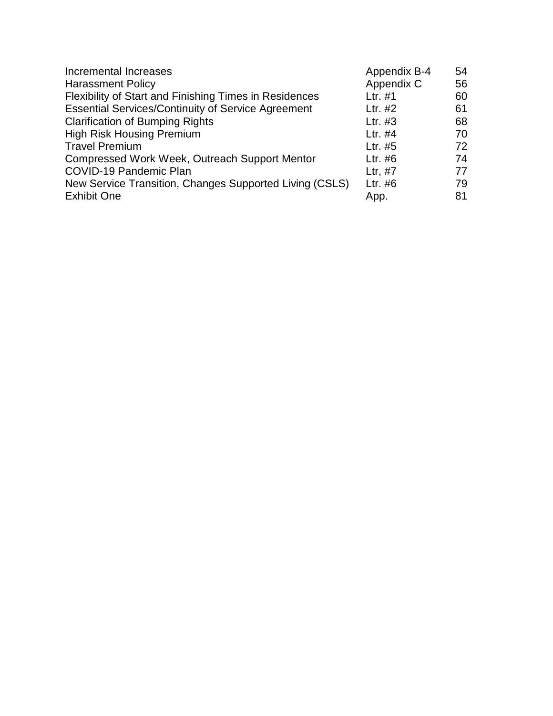| Incremental Increases                                         | Appendix B-4 | 54 |
|---------------------------------------------------------------|--------------|----|
| <b>Harassment Policy</b>                                      | Appendix C   | 56 |
| <b>Flexibility of Start and Finishing Times in Residences</b> | Ltr. $#1$    | 60 |
| <b>Essential Services/Continuity of Service Agreement</b>     | Ltr. #2      | 61 |
| <b>Clarification of Bumping Rights</b>                        | Ltr. #3      | 68 |
| <b>High Risk Housing Premium</b>                              | Ltr. #4      | 70 |
| <b>Travel Premium</b>                                         | Ltr. $#5$    | 72 |
| Compressed Work Week, Outreach Support Mentor                 | Ltr. $#6$    | 74 |
| COVID-19 Pandemic Plan                                        | Ltr, #7      | 77 |
| New Service Transition, Changes Supported Living (CSLS)       | Ltr. #6      | 79 |
| <b>Exhibit One</b>                                            | App.         | 81 |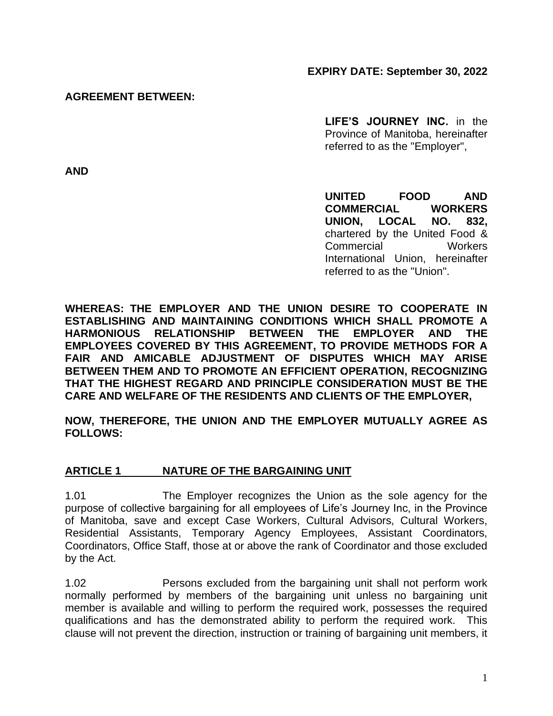**EXPIRY DATE: September 30, 2022**

#### **AGREEMENT BETWEEN:**

**LIFE'S JOURNEY INC.** in the Province of Manitoba, hereinafter referred to as the "Employer",

**AND**

**UNITED FOOD AND COMMERCIAL WORKERS UNION, LOCAL NO. 832,** chartered by the United Food & Commercial Workers International Union, hereinafter referred to as the "Union".

**WHEREAS: THE EMPLOYER AND THE UNION DESIRE TO COOPERATE IN ESTABLISHING AND MAINTAINING CONDITIONS WHICH SHALL PROMOTE A HARMONIOUS RELATIONSHIP BETWEEN THE EMPLOYER AND THE EMPLOYEES COVERED BY THIS AGREEMENT, TO PROVIDE METHODS FOR A FAIR AND AMICABLE ADJUSTMENT OF DISPUTES WHICH MAY ARISE BETWEEN THEM AND TO PROMOTE AN EFFICIENT OPERATION, RECOGNIZING THAT THE HIGHEST REGARD AND PRINCIPLE CONSIDERATION MUST BE THE CARE AND WELFARE OF THE RESIDENTS AND CLIENTS OF THE EMPLOYER,**

**NOW, THEREFORE, THE UNION AND THE EMPLOYER MUTUALLY AGREE AS FOLLOWS:**

#### **ARTICLE 1 NATURE OF THE BARGAINING UNIT**

1.01 The Employer recognizes the Union as the sole agency for the purpose of collective bargaining for all employees of Life's Journey Inc, in the Province of Manitoba, save and except Case Workers, Cultural Advisors, Cultural Workers, Residential Assistants, Temporary Agency Employees, Assistant Coordinators, Coordinators, Office Staff, those at or above the rank of Coordinator and those excluded by the Act.

1.02 Persons excluded from the bargaining unit shall not perform work normally performed by members of the bargaining unit unless no bargaining unit member is available and willing to perform the required work, possesses the required qualifications and has the demonstrated ability to perform the required work. This clause will not prevent the direction, instruction or training of bargaining unit members, it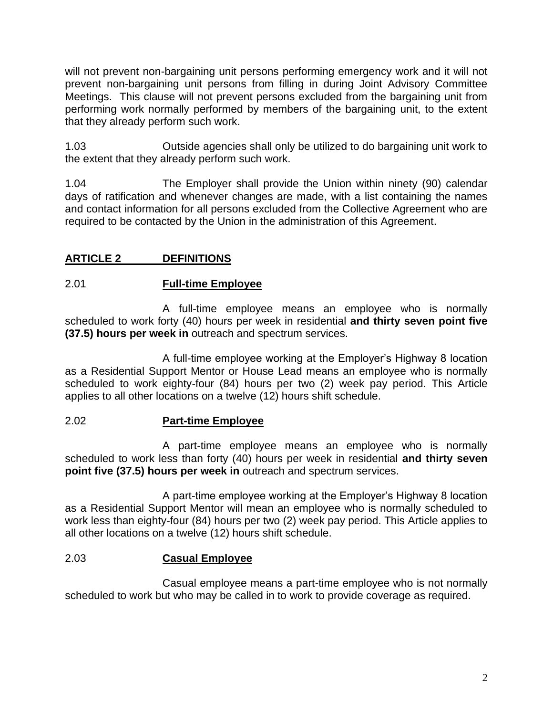will not prevent non-bargaining unit persons performing emergency work and it will not prevent non-bargaining unit persons from filling in during Joint Advisory Committee Meetings. This clause will not prevent persons excluded from the bargaining unit from performing work normally performed by members of the bargaining unit, to the extent that they already perform such work.

1.03 Outside agencies shall only be utilized to do bargaining unit work to the extent that they already perform such work.

1.04 The Employer shall provide the Union within ninety (90) calendar days of ratification and whenever changes are made, with a list containing the names and contact information for all persons excluded from the Collective Agreement who are required to be contacted by the Union in the administration of this Agreement.

## **ARTICLE 2 DEFINITIONS**

## 2.01 **Full-time Employee**

A full-time employee means an employee who is normally scheduled to work forty (40) hours per week in residential **and thirty seven point five (37.5) hours per week in** outreach and spectrum services.

A full-time employee working at the Employer's Highway 8 location as a Residential Support Mentor or House Lead means an employee who is normally scheduled to work eighty-four (84) hours per two (2) week pay period. This Article applies to all other locations on a twelve (12) hours shift schedule.

## 2.02 **Part-time Employee**

A part-time employee means an employee who is normally scheduled to work less than forty (40) hours per week in residential **and thirty seven point five (37.5) hours per week in** outreach and spectrum services.

A part-time employee working at the Employer's Highway 8 location as a Residential Support Mentor will mean an employee who is normally scheduled to work less than eighty-four (84) hours per two (2) week pay period. This Article applies to all other locations on a twelve (12) hours shift schedule.

## 2.03 **Casual Employee**

Casual employee means a part-time employee who is not normally scheduled to work but who may be called in to work to provide coverage as required.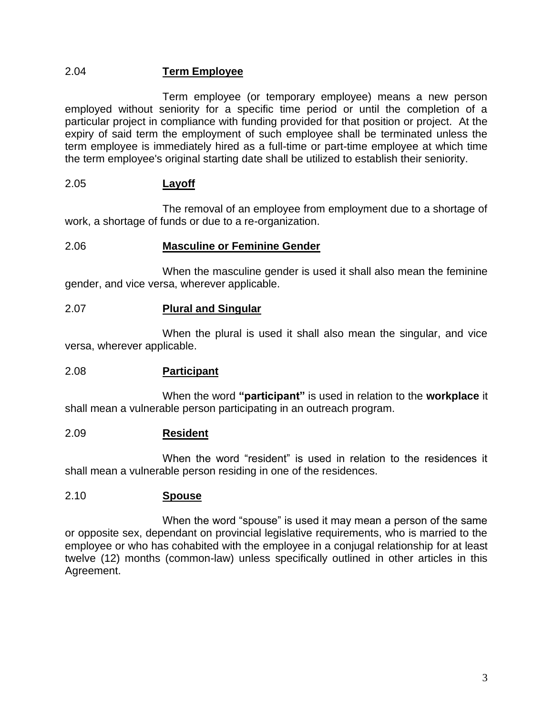## 2.04 **Term Employee**

Term employee (or temporary employee) means a new person employed without seniority for a specific time period or until the completion of a particular project in compliance with funding provided for that position or project. At the expiry of said term the employment of such employee shall be terminated unless the term employee is immediately hired as a full-time or part-time employee at which time the term employee's original starting date shall be utilized to establish their seniority.

#### 2.05 **Layoff**

The removal of an employee from employment due to a shortage of work, a shortage of funds or due to a re-organization.

#### 2.06 **Masculine or Feminine Gender**

When the masculine gender is used it shall also mean the feminine gender, and vice versa, wherever applicable.

#### 2.07 **Plural and Singular**

When the plural is used it shall also mean the singular, and vice versa, wherever applicable.

#### 2.08 **Participant**

When the word **"participant"** is used in relation to the **workplace** it shall mean a vulnerable person participating in an outreach program.

#### 2.09 **Resident**

When the word "resident" is used in relation to the residences it shall mean a vulnerable person residing in one of the residences.

#### 2.10 **Spouse**

When the word "spouse" is used it may mean a person of the same or opposite sex, dependant on provincial legislative requirements, who is married to the employee or who has cohabited with the employee in a conjugal relationship for at least twelve (12) months (common-law) unless specifically outlined in other articles in this Agreement.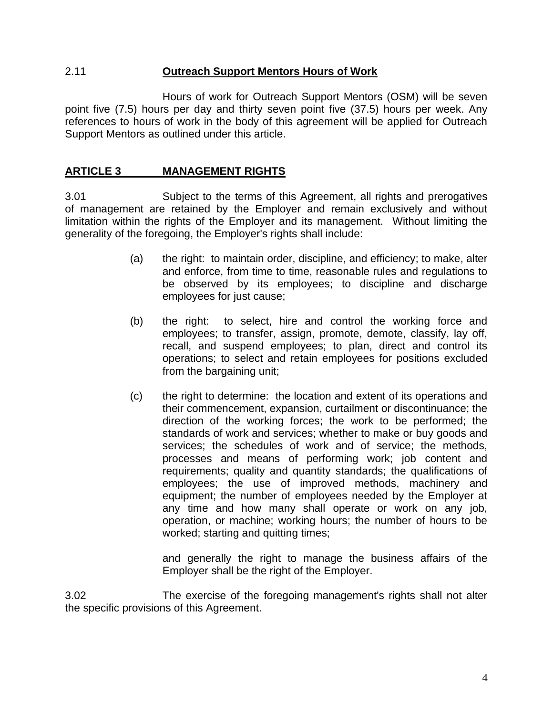#### 2.11 **Outreach Support Mentors Hours of Work**

Hours of work for Outreach Support Mentors (OSM) will be seven point five (7.5) hours per day and thirty seven point five (37.5) hours per week. Any references to hours of work in the body of this agreement will be applied for Outreach Support Mentors as outlined under this article.

### **ARTICLE 3 MANAGEMENT RIGHTS**

3.01 Subject to the terms of this Agreement, all rights and prerogatives of management are retained by the Employer and remain exclusively and without limitation within the rights of the Employer and its management. Without limiting the generality of the foregoing, the Employer's rights shall include:

- (a) the right: to maintain order, discipline, and efficiency; to make, alter and enforce, from time to time, reasonable rules and regulations to be observed by its employees; to discipline and discharge employees for just cause;
- (b) the right: to select, hire and control the working force and employees; to transfer, assign, promote, demote, classify, lay off, recall, and suspend employees; to plan, direct and control its operations; to select and retain employees for positions excluded from the bargaining unit;
- (c) the right to determine: the location and extent of its operations and their commencement, expansion, curtailment or discontinuance; the direction of the working forces; the work to be performed; the standards of work and services; whether to make or buy goods and services; the schedules of work and of service; the methods, processes and means of performing work; job content and requirements; quality and quantity standards; the qualifications of employees; the use of improved methods, machinery and equipment; the number of employees needed by the Employer at any time and how many shall operate or work on any job, operation, or machine; working hours; the number of hours to be worked; starting and quitting times;

and generally the right to manage the business affairs of the Employer shall be the right of the Employer.

3.02 The exercise of the foregoing management's rights shall not alter the specific provisions of this Agreement.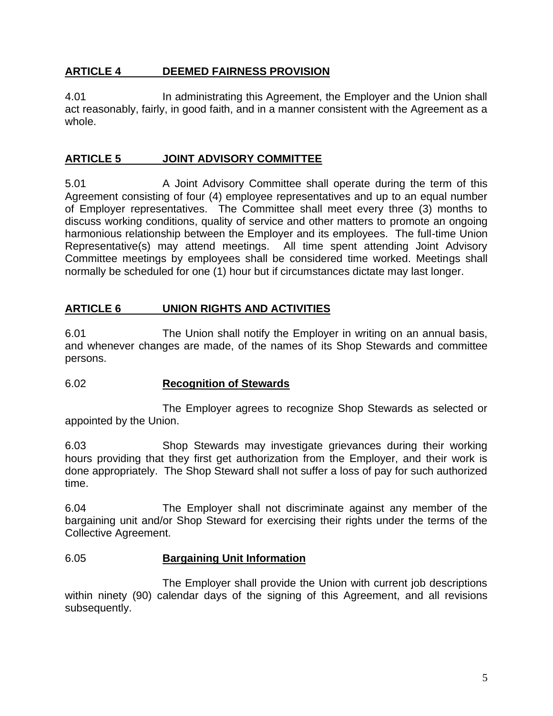## **ARTICLE 4 DEEMED FAIRNESS PROVISION**

4.01 In administrating this Agreement, the Employer and the Union shall act reasonably, fairly, in good faith, and in a manner consistent with the Agreement as a whole.

## **ARTICLE 5 JOINT ADVISORY COMMITTEE**

5.01 A Joint Advisory Committee shall operate during the term of this Agreement consisting of four (4) employee representatives and up to an equal number of Employer representatives. The Committee shall meet every three (3) months to discuss working conditions, quality of service and other matters to promote an ongoing harmonious relationship between the Employer and its employees. The full-time Union Representative(s) may attend meetings. All time spent attending Joint Advisory Committee meetings by employees shall be considered time worked. Meetings shall normally be scheduled for one (1) hour but if circumstances dictate may last longer.

## **ARTICLE 6 UNION RIGHTS AND ACTIVITIES**

6.01 The Union shall notify the Employer in writing on an annual basis, and whenever changes are made, of the names of its Shop Stewards and committee persons.

## 6.02 **Recognition of Stewards**

The Employer agrees to recognize Shop Stewards as selected or appointed by the Union.

6.03 Shop Stewards may investigate grievances during their working hours providing that they first get authorization from the Employer, and their work is done appropriately. The Shop Steward shall not suffer a loss of pay for such authorized time.

6.04 The Employer shall not discriminate against any member of the bargaining unit and/or Shop Steward for exercising their rights under the terms of the Collective Agreement.

#### 6.05 **Bargaining Unit Information**

The Employer shall provide the Union with current job descriptions within ninety (90) calendar days of the signing of this Agreement, and all revisions subsequently.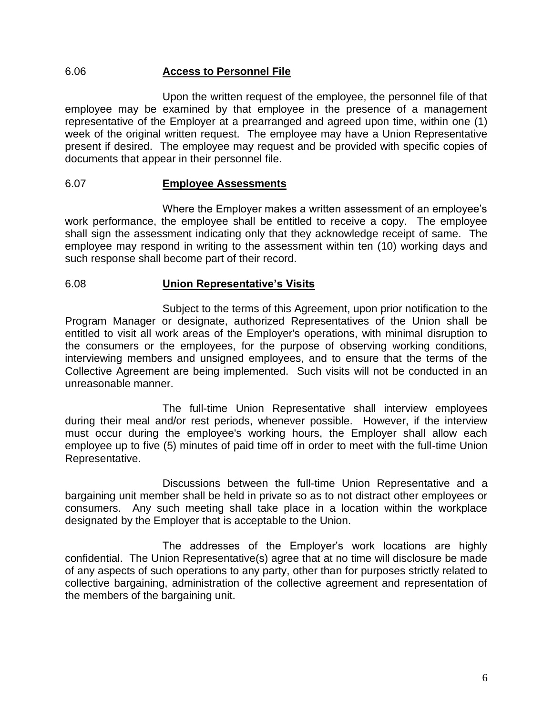#### 6.06 **Access to Personnel File**

Upon the written request of the employee, the personnel file of that employee may be examined by that employee in the presence of a management representative of the Employer at a prearranged and agreed upon time, within one (1) week of the original written request. The employee may have a Union Representative present if desired. The employee may request and be provided with specific copies of documents that appear in their personnel file.

#### 6.07 **Employee Assessments**

Where the Employer makes a written assessment of an employee's work performance, the employee shall be entitled to receive a copy. The employee shall sign the assessment indicating only that they acknowledge receipt of same. The employee may respond in writing to the assessment within ten (10) working days and such response shall become part of their record.

#### 6.08 **Union Representative's Visits**

Subject to the terms of this Agreement, upon prior notification to the Program Manager or designate, authorized Representatives of the Union shall be entitled to visit all work areas of the Employer's operations, with minimal disruption to the consumers or the employees, for the purpose of observing working conditions, interviewing members and unsigned employees, and to ensure that the terms of the Collective Agreement are being implemented. Such visits will not be conducted in an unreasonable manner.

The full-time Union Representative shall interview employees during their meal and/or rest periods, whenever possible. However, if the interview must occur during the employee's working hours, the Employer shall allow each employee up to five (5) minutes of paid time off in order to meet with the full-time Union Representative.

Discussions between the full-time Union Representative and a bargaining unit member shall be held in private so as to not distract other employees or consumers. Any such meeting shall take place in a location within the workplace designated by the Employer that is acceptable to the Union.

The addresses of the Employer's work locations are highly confidential. The Union Representative(s) agree that at no time will disclosure be made of any aspects of such operations to any party, other than for purposes strictly related to collective bargaining, administration of the collective agreement and representation of the members of the bargaining unit.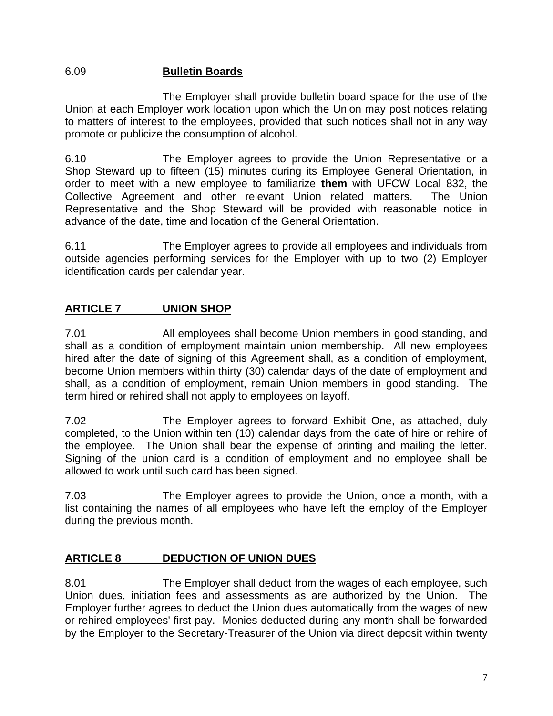## 6.09 **Bulletin Boards**

The Employer shall provide bulletin board space for the use of the Union at each Employer work location upon which the Union may post notices relating to matters of interest to the employees, provided that such notices shall not in any way promote or publicize the consumption of alcohol.

6.10 The Employer agrees to provide the Union Representative or a Shop Steward up to fifteen (15) minutes during its Employee General Orientation, in order to meet with a new employee to familiarize **them** with UFCW Local 832, the Collective Agreement and other relevant Union related matters. The Union Representative and the Shop Steward will be provided with reasonable notice in advance of the date, time and location of the General Orientation.

6.11 The Employer agrees to provide all employees and individuals from outside agencies performing services for the Employer with up to two (2) Employer identification cards per calendar year.

## **ARTICLE 7 UNION SHOP**

7.01 All employees shall become Union members in good standing, and shall as a condition of employment maintain union membership. All new employees hired after the date of signing of this Agreement shall, as a condition of employment, become Union members within thirty (30) calendar days of the date of employment and shall, as a condition of employment, remain Union members in good standing. The term hired or rehired shall not apply to employees on layoff.

7.02 The Employer agrees to forward Exhibit One, as attached, duly completed, to the Union within ten (10) calendar days from the date of hire or rehire of the employee. The Union shall bear the expense of printing and mailing the letter. Signing of the union card is a condition of employment and no employee shall be allowed to work until such card has been signed.

7.03 The Employer agrees to provide the Union, once a month, with a list containing the names of all employees who have left the employ of the Employer during the previous month.

## **ARTICLE 8 DEDUCTION OF UNION DUES**

8.01 The Employer shall deduct from the wages of each employee, such Union dues, initiation fees and assessments as are authorized by the Union. The Employer further agrees to deduct the Union dues automatically from the wages of new or rehired employees' first pay. Monies deducted during any month shall be forwarded by the Employer to the Secretary-Treasurer of the Union via direct deposit within twenty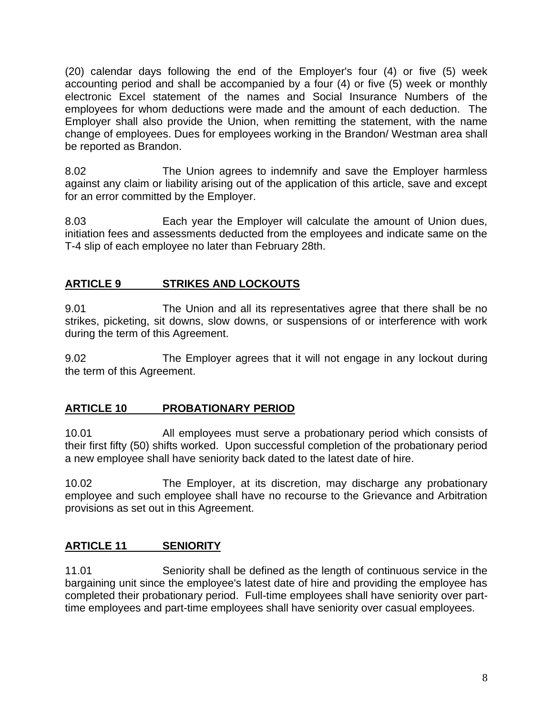(20) calendar days following the end of the Employer's four (4) or five (5) week accounting period and shall be accompanied by a four (4) or five (5) week or monthly electronic Excel statement of the names and Social Insurance Numbers of the employees for whom deductions were made and the amount of each deduction. The Employer shall also provide the Union, when remitting the statement, with the name change of employees. Dues for employees working in the Brandon/ Westman area shall be reported as Brandon.

8.02 The Union agrees to indemnify and save the Employer harmless against any claim or liability arising out of the application of this article, save and except for an error committed by the Employer.

8.03 Each year the Employer will calculate the amount of Union dues, initiation fees and assessments deducted from the employees and indicate same on the T-4 slip of each employee no later than February 28th.

## **ARTICLE 9 STRIKES AND LOCKOUTS**

9.01 The Union and all its representatives agree that there shall be no strikes, picketing, sit downs, slow downs, or suspensions of or interference with work during the term of this Agreement.

9.02 The Employer agrees that it will not engage in any lockout during the term of this Agreement.

## **ARTICLE 10 PROBATIONARY PERIOD**

10.01 All employees must serve a probationary period which consists of their first fifty (50) shifts worked. Upon successful completion of the probationary period a new employee shall have seniority back dated to the latest date of hire.

10.02 The Employer, at its discretion, may discharge any probationary employee and such employee shall have no recourse to the Grievance and Arbitration provisions as set out in this Agreement.

## **ARTICLE 11 SENIORITY**

11.01 Seniority shall be defined as the length of continuous service in the bargaining unit since the employee's latest date of hire and providing the employee has completed their probationary period. Full-time employees shall have seniority over parttime employees and part-time employees shall have seniority over casual employees.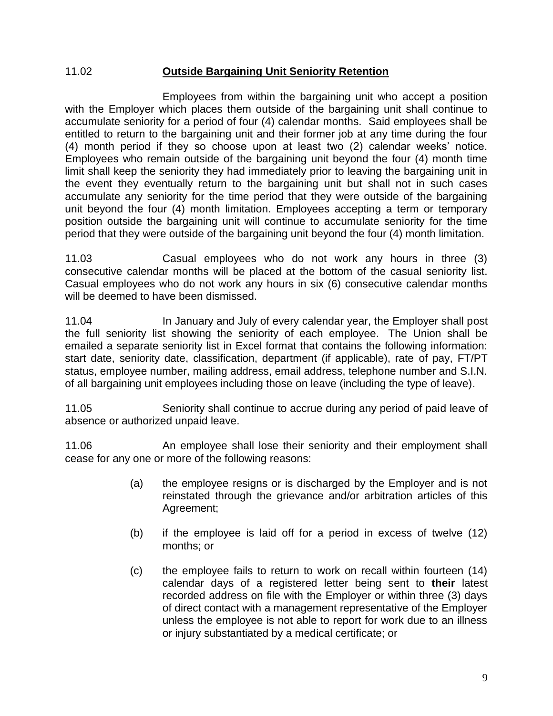#### 11.02 **Outside Bargaining Unit Seniority Retention**

Employees from within the bargaining unit who accept a position with the Employer which places them outside of the bargaining unit shall continue to accumulate seniority for a period of four (4) calendar months. Said employees shall be entitled to return to the bargaining unit and their former job at any time during the four (4) month period if they so choose upon at least two (2) calendar weeks' notice. Employees who remain outside of the bargaining unit beyond the four (4) month time limit shall keep the seniority they had immediately prior to leaving the bargaining unit in the event they eventually return to the bargaining unit but shall not in such cases accumulate any seniority for the time period that they were outside of the bargaining unit beyond the four (4) month limitation. Employees accepting a term or temporary position outside the bargaining unit will continue to accumulate seniority for the time period that they were outside of the bargaining unit beyond the four (4) month limitation.

11.03 Casual employees who do not work any hours in three (3) consecutive calendar months will be placed at the bottom of the casual seniority list. Casual employees who do not work any hours in six (6) consecutive calendar months will be deemed to have been dismissed.

11.04 In January and July of every calendar year, the Employer shall post the full seniority list showing the seniority of each employee. The Union shall be emailed a separate seniority list in Excel format that contains the following information: start date, seniority date, classification, department (if applicable), rate of pay, FT/PT status, employee number, mailing address, email address, telephone number and S.I.N. of all bargaining unit employees including those on leave (including the type of leave).

11.05 Seniority shall continue to accrue during any period of paid leave of absence or authorized unpaid leave.

11.06 An employee shall lose their seniority and their employment shall cease for any one or more of the following reasons:

- (a) the employee resigns or is discharged by the Employer and is not reinstated through the grievance and/or arbitration articles of this Agreement;
- (b) if the employee is laid off for a period in excess of twelve (12) months; or
- (c) the employee fails to return to work on recall within fourteen (14) calendar days of a registered letter being sent to **their** latest recorded address on file with the Employer or within three (3) days of direct contact with a management representative of the Employer unless the employee is not able to report for work due to an illness or injury substantiated by a medical certificate; or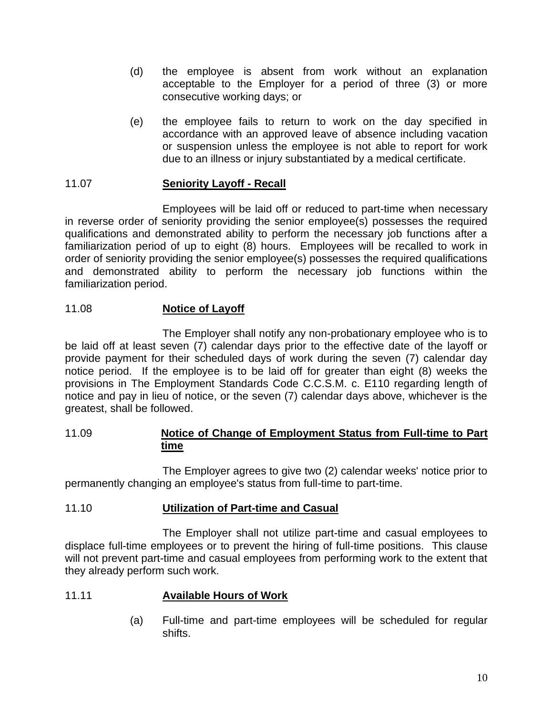- (d) the employee is absent from work without an explanation acceptable to the Employer for a period of three (3) or more consecutive working days; or
- (e) the employee fails to return to work on the day specified in accordance with an approved leave of absence including vacation or suspension unless the employee is not able to report for work due to an illness or injury substantiated by a medical certificate.

#### 11.07 **Seniority Layoff - Recall**

Employees will be laid off or reduced to part-time when necessary in reverse order of seniority providing the senior employee(s) possesses the required qualifications and demonstrated ability to perform the necessary job functions after a familiarization period of up to eight (8) hours. Employees will be recalled to work in order of seniority providing the senior employee(s) possesses the required qualifications and demonstrated ability to perform the necessary job functions within the familiarization period.

#### 11.08 **Notice of Layoff**

The Employer shall notify any non-probationary employee who is to be laid off at least seven (7) calendar days prior to the effective date of the layoff or provide payment for their scheduled days of work during the seven (7) calendar day notice period. If the employee is to be laid off for greater than eight (8) weeks the provisions in The Employment Standards Code C.C.S.M. c. E110 regarding length of notice and pay in lieu of notice, or the seven (7) calendar days above, whichever is the greatest, shall be followed.

#### 11.09 **Notice of Change of Employment Status from Full-time to Part time**

The Employer agrees to give two (2) calendar weeks' notice prior to permanently changing an employee's status from full-time to part-time.

#### 11.10 **Utilization of Part-time and Casual**

The Employer shall not utilize part-time and casual employees to displace full-time employees or to prevent the hiring of full-time positions. This clause will not prevent part-time and casual employees from performing work to the extent that they already perform such work.

#### 11.11 **Available Hours of Work**

(a) Full-time and part-time employees will be scheduled for regular shifts.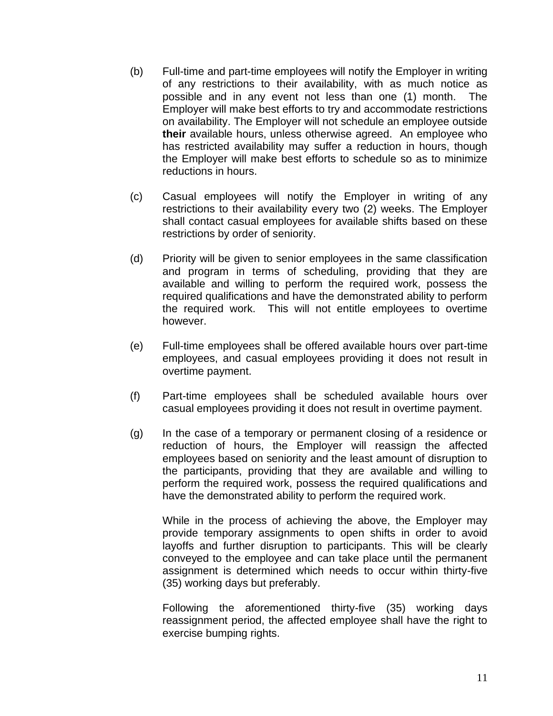- (b) Full-time and part-time employees will notify the Employer in writing of any restrictions to their availability, with as much notice as possible and in any event not less than one (1) month. The Employer will make best efforts to try and accommodate restrictions on availability. The Employer will not schedule an employee outside **their** available hours, unless otherwise agreed. An employee who has restricted availability may suffer a reduction in hours, though the Employer will make best efforts to schedule so as to minimize reductions in hours.
- (c) Casual employees will notify the Employer in writing of any restrictions to their availability every two (2) weeks. The Employer shall contact casual employees for available shifts based on these restrictions by order of seniority.
- (d) Priority will be given to senior employees in the same classification and program in terms of scheduling, providing that they are available and willing to perform the required work, possess the required qualifications and have the demonstrated ability to perform the required work. This will not entitle employees to overtime however.
- (e) Full-time employees shall be offered available hours over part-time employees, and casual employees providing it does not result in overtime payment.
- (f) Part-time employees shall be scheduled available hours over casual employees providing it does not result in overtime payment.
- (g) In the case of a temporary or permanent closing of a residence or reduction of hours, the Employer will reassign the affected employees based on seniority and the least amount of disruption to the participants, providing that they are available and willing to perform the required work, possess the required qualifications and have the demonstrated ability to perform the required work.

While in the process of achieving the above, the Employer may provide temporary assignments to open shifts in order to avoid layoffs and further disruption to participants. This will be clearly conveyed to the employee and can take place until the permanent assignment is determined which needs to occur within thirty-five (35) working days but preferably.

Following the aforementioned thirty-five (35) working days reassignment period, the affected employee shall have the right to exercise bumping rights.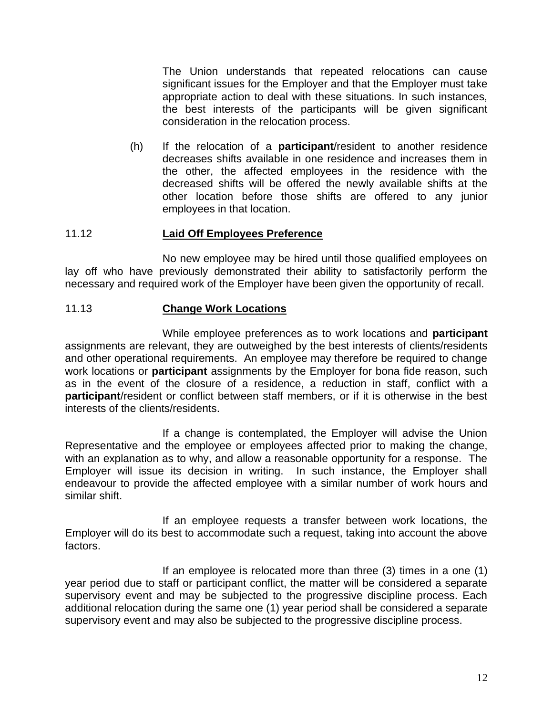The Union understands that repeated relocations can cause significant issues for the Employer and that the Employer must take appropriate action to deal with these situations. In such instances, the best interests of the participants will be given significant consideration in the relocation process.

(h) If the relocation of a **participant**/resident to another residence decreases shifts available in one residence and increases them in the other, the affected employees in the residence with the decreased shifts will be offered the newly available shifts at the other location before those shifts are offered to any junior employees in that location.

## 11.12 **Laid Off Employees Preference**

No new employee may be hired until those qualified employees on lay off who have previously demonstrated their ability to satisfactorily perform the necessary and required work of the Employer have been given the opportunity of recall.

#### 11.13 **Change Work Locations**

While employee preferences as to work locations and **participant** assignments are relevant, they are outweighed by the best interests of clients/residents and other operational requirements. An employee may therefore be required to change work locations or **participant** assignments by the Employer for bona fide reason, such as in the event of the closure of a residence, a reduction in staff, conflict with a **participant**/resident or conflict between staff members, or if it is otherwise in the best interests of the clients/residents.

If a change is contemplated, the Employer will advise the Union Representative and the employee or employees affected prior to making the change, with an explanation as to why, and allow a reasonable opportunity for a response. The Employer will issue its decision in writing. In such instance, the Employer shall endeavour to provide the affected employee with a similar number of work hours and similar shift.

If an employee requests a transfer between work locations, the Employer will do its best to accommodate such a request, taking into account the above factors.

If an employee is relocated more than three (3) times in a one (1) year period due to staff or participant conflict, the matter will be considered a separate supervisory event and may be subjected to the progressive discipline process. Each additional relocation during the same one (1) year period shall be considered a separate supervisory event and may also be subjected to the progressive discipline process.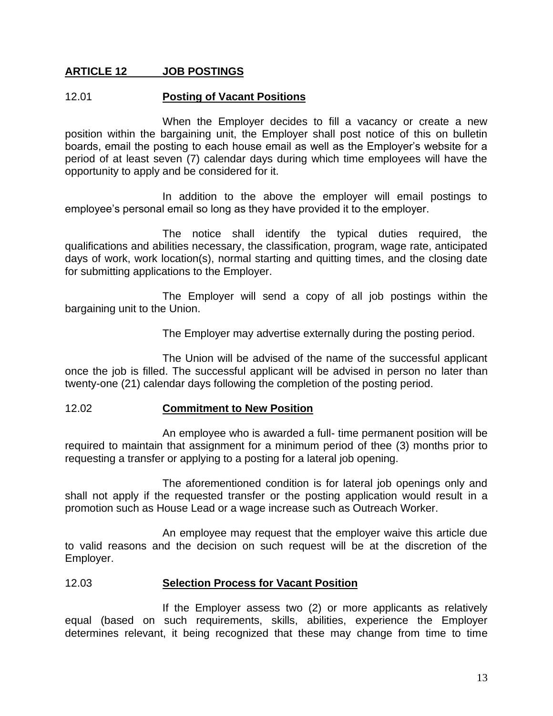## **ARTICLE 12 JOB POSTINGS**

#### 12.01 **Posting of Vacant Positions**

When the Employer decides to fill a vacancy or create a new position within the bargaining unit, the Employer shall post notice of this on bulletin boards, email the posting to each house email as well as the Employer's website for a period of at least seven (7) calendar days during which time employees will have the opportunity to apply and be considered for it.

In addition to the above the employer will email postings to employee's personal email so long as they have provided it to the employer.

The notice shall identify the typical duties required, the qualifications and abilities necessary, the classification, program, wage rate, anticipated days of work, work location(s), normal starting and quitting times, and the closing date for submitting applications to the Employer.

The Employer will send a copy of all job postings within the bargaining unit to the Union.

The Employer may advertise externally during the posting period.

The Union will be advised of the name of the successful applicant once the job is filled. The successful applicant will be advised in person no later than twenty-one (21) calendar days following the completion of the posting period.

#### 12.02 **Commitment to New Position**

An employee who is awarded a full- time permanent position will be required to maintain that assignment for a minimum period of thee (3) months prior to requesting a transfer or applying to a posting for a lateral job opening.

The aforementioned condition is for lateral job openings only and shall not apply if the requested transfer or the posting application would result in a promotion such as House Lead or a wage increase such as Outreach Worker.

An employee may request that the employer waive this article due to valid reasons and the decision on such request will be at the discretion of the Employer.

#### 12.03 **Selection Process for Vacant Position**

If the Employer assess two (2) or more applicants as relatively equal (based on such requirements, skills, abilities, experience the Employer determines relevant, it being recognized that these may change from time to time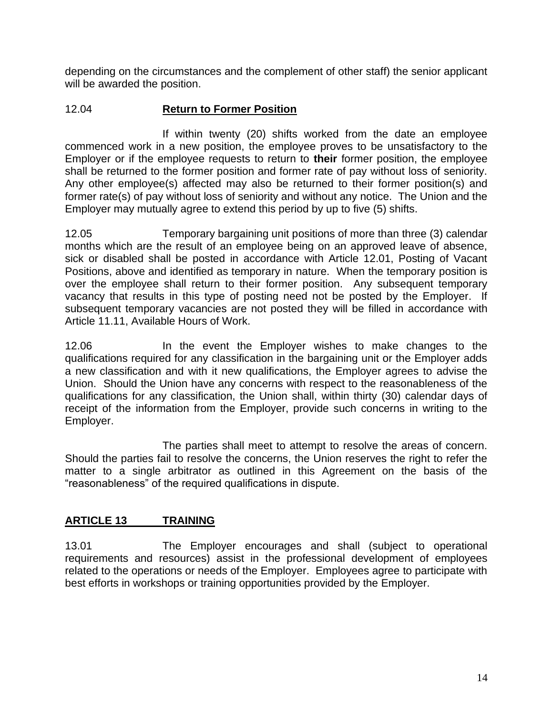depending on the circumstances and the complement of other staff) the senior applicant will be awarded the position.

## 12.04 **Return to Former Position**

If within twenty (20) shifts worked from the date an employee commenced work in a new position, the employee proves to be unsatisfactory to the Employer or if the employee requests to return to **their** former position, the employee shall be returned to the former position and former rate of pay without loss of seniority. Any other employee(s) affected may also be returned to their former position(s) and former rate(s) of pay without loss of seniority and without any notice. The Union and the Employer may mutually agree to extend this period by up to five (5) shifts.

12.05 Temporary bargaining unit positions of more than three (3) calendar months which are the result of an employee being on an approved leave of absence, sick or disabled shall be posted in accordance with Article 12.01, Posting of Vacant Positions, above and identified as temporary in nature. When the temporary position is over the employee shall return to their former position. Any subsequent temporary vacancy that results in this type of posting need not be posted by the Employer. If subsequent temporary vacancies are not posted they will be filled in accordance with Article 11.11, Available Hours of Work.

12.06 In the event the Employer wishes to make changes to the qualifications required for any classification in the bargaining unit or the Employer adds a new classification and with it new qualifications, the Employer agrees to advise the Union. Should the Union have any concerns with respect to the reasonableness of the qualifications for any classification, the Union shall, within thirty (30) calendar days of receipt of the information from the Employer, provide such concerns in writing to the Employer.

The parties shall meet to attempt to resolve the areas of concern. Should the parties fail to resolve the concerns, the Union reserves the right to refer the matter to a single arbitrator as outlined in this Agreement on the basis of the "reasonableness" of the required qualifications in dispute.

## **ARTICLE 13 TRAINING**

13.01 The Employer encourages and shall (subject to operational requirements and resources) assist in the professional development of employees related to the operations or needs of the Employer. Employees agree to participate with best efforts in workshops or training opportunities provided by the Employer.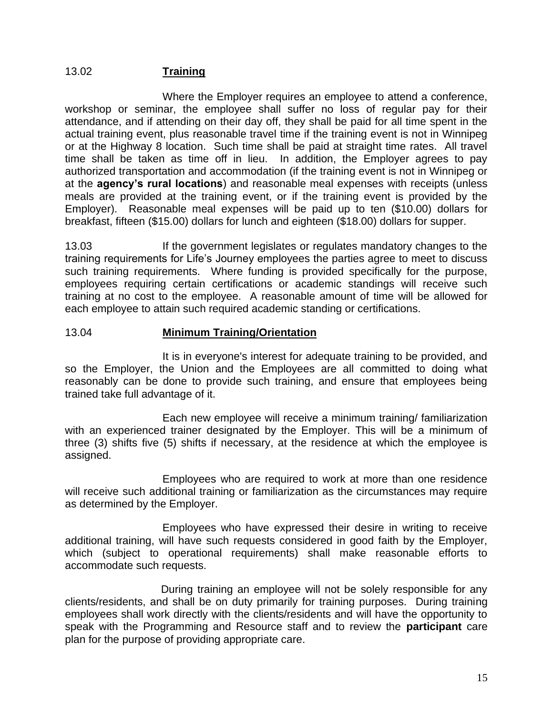## 13.02 **Training**

Where the Employer requires an employee to attend a conference, workshop or seminar, the employee shall suffer no loss of regular pay for their attendance, and if attending on their day off, they shall be paid for all time spent in the actual training event, plus reasonable travel time if the training event is not in Winnipeg or at the Highway 8 location. Such time shall be paid at straight time rates. All travel time shall be taken as time off in lieu. In addition, the Employer agrees to pay authorized transportation and accommodation (if the training event is not in Winnipeg or at the **agency's rural locations**) and reasonable meal expenses with receipts (unless meals are provided at the training event, or if the training event is provided by the Employer). Reasonable meal expenses will be paid up to ten (\$10.00) dollars for breakfast, fifteen (\$15.00) dollars for lunch and eighteen (\$18.00) dollars for supper.

13.03 If the government legislates or regulates mandatory changes to the training requirements for Life's Journey employees the parties agree to meet to discuss such training requirements. Where funding is provided specifically for the purpose, employees requiring certain certifications or academic standings will receive such training at no cost to the employee. A reasonable amount of time will be allowed for each employee to attain such required academic standing or certifications.

#### 13.04 **Minimum Training/Orientation**

It is in everyone's interest for adequate training to be provided, and so the Employer, the Union and the Employees are all committed to doing what reasonably can be done to provide such training, and ensure that employees being trained take full advantage of it.

Each new employee will receive a minimum training/ familiarization with an experienced trainer designated by the Employer. This will be a minimum of three (3) shifts five (5) shifts if necessary, at the residence at which the employee is assigned.

Employees who are required to work at more than one residence will receive such additional training or familiarization as the circumstances may require as determined by the Employer.

Employees who have expressed their desire in writing to receive additional training, will have such requests considered in good faith by the Employer, which (subject to operational requirements) shall make reasonable efforts to accommodate such requests.

During training an employee will not be solely responsible for any clients/residents, and shall be on duty primarily for training purposes. During training employees shall work directly with the clients/residents and will have the opportunity to speak with the Programming and Resource staff and to review the **participant** care plan for the purpose of providing appropriate care.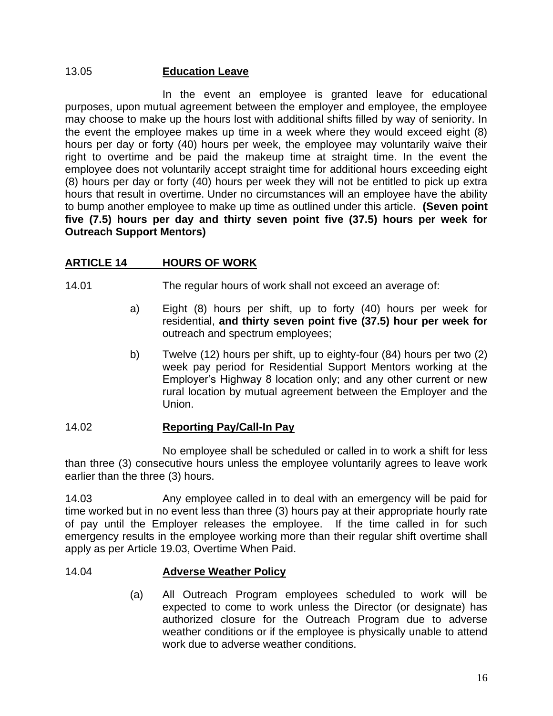## 13.05 **Education Leave**

In the event an employee is granted leave for educational purposes, upon mutual agreement between the employer and employee, the employee may choose to make up the hours lost with additional shifts filled by way of seniority. In the event the employee makes up time in a week where they would exceed eight (8) hours per day or forty (40) hours per week, the employee may voluntarily waive their right to overtime and be paid the makeup time at straight time. In the event the employee does not voluntarily accept straight time for additional hours exceeding eight (8) hours per day or forty (40) hours per week they will not be entitled to pick up extra hours that result in overtime. Under no circumstances will an employee have the ability to bump another employee to make up time as outlined under this article. **(Seven point five (7.5) hours per day and thirty seven point five (37.5) hours per week for Outreach Support Mentors)**

## **ARTICLE 14 HOURS OF WORK**

14.01 The regular hours of work shall not exceed an average of:

- a) Eight (8) hours per shift, up to forty (40) hours per week for residential, **and thirty seven point five (37.5) hour per week for** outreach and spectrum employees;
- b) Twelve (12) hours per shift, up to eighty-four (84) hours per two (2) week pay period for Residential Support Mentors working at the Employer's Highway 8 location only; and any other current or new rural location by mutual agreement between the Employer and the Union.

#### 14.02 **Reporting Pay/Call-In Pay**

No employee shall be scheduled or called in to work a shift for less than three (3) consecutive hours unless the employee voluntarily agrees to leave work earlier than the three (3) hours.

14.03 Any employee called in to deal with an emergency will be paid for time worked but in no event less than three (3) hours pay at their appropriate hourly rate of pay until the Employer releases the employee. If the time called in for such emergency results in the employee working more than their regular shift overtime shall apply as per Article 19.03, Overtime When Paid.

#### 14.04 **Adverse Weather Policy**

(a) All Outreach Program employees scheduled to work will be expected to come to work unless the Director (or designate) has authorized closure for the Outreach Program due to adverse weather conditions or if the employee is physically unable to attend work due to adverse weather conditions.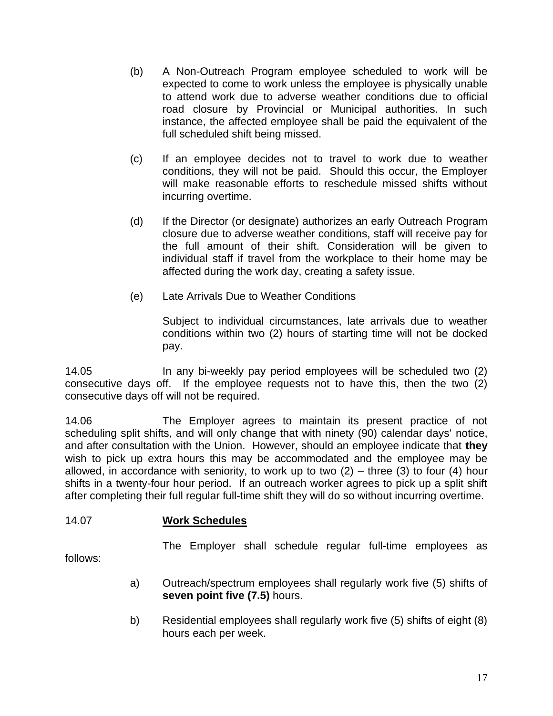- (b) A Non-Outreach Program employee scheduled to work will be expected to come to work unless the employee is physically unable to attend work due to adverse weather conditions due to official road closure by Provincial or Municipal authorities. In such instance, the affected employee shall be paid the equivalent of the full scheduled shift being missed.
- (c) If an employee decides not to travel to work due to weather conditions, they will not be paid. Should this occur, the Employer will make reasonable efforts to reschedule missed shifts without incurring overtime.
- (d) If the Director (or designate) authorizes an early Outreach Program closure due to adverse weather conditions, staff will receive pay for the full amount of their shift. Consideration will be given to individual staff if travel from the workplace to their home may be affected during the work day, creating a safety issue.
- (e) Late Arrivals Due to Weather Conditions

Subject to individual circumstances, late arrivals due to weather conditions within two (2) hours of starting time will not be docked pay.

14.05 In any bi-weekly pay period employees will be scheduled two (2) consecutive days off. If the employee requests not to have this, then the two (2) consecutive days off will not be required.

14.06 The Employer agrees to maintain its present practice of not scheduling split shifts, and will only change that with ninety (90) calendar days' notice, and after consultation with the Union. However, should an employee indicate that **they** wish to pick up extra hours this may be accommodated and the employee may be allowed, in accordance with seniority, to work up to two  $(2)$  – three  $(3)$  to four  $(4)$  hour shifts in a twenty-four hour period. If an outreach worker agrees to pick up a split shift after completing their full regular full-time shift they will do so without incurring overtime.

## 14.07 **Work Schedules**

The Employer shall schedule regular full-time employees as

follows:

- a) Outreach/spectrum employees shall regularly work five (5) shifts of **seven point five (7.5)** hours.
- b) Residential employees shall regularly work five (5) shifts of eight (8) hours each per week.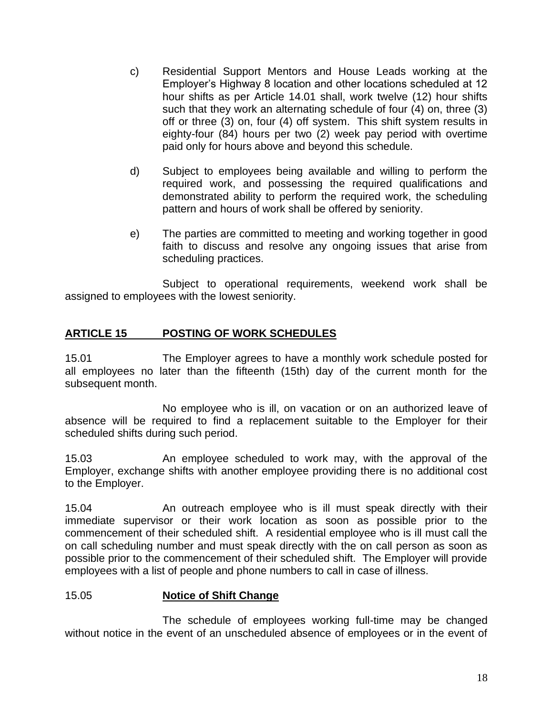- c) Residential Support Mentors and House Leads working at the Employer's Highway 8 location and other locations scheduled at 12 hour shifts as per Article 14.01 shall, work twelve (12) hour shifts such that they work an alternating schedule of four (4) on, three (3) off or three (3) on, four (4) off system. This shift system results in eighty-four (84) hours per two (2) week pay period with overtime paid only for hours above and beyond this schedule.
- d) Subject to employees being available and willing to perform the required work, and possessing the required qualifications and demonstrated ability to perform the required work, the scheduling pattern and hours of work shall be offered by seniority.
- e) The parties are committed to meeting and working together in good faith to discuss and resolve any ongoing issues that arise from scheduling practices.

Subject to operational requirements, weekend work shall be assigned to employees with the lowest seniority.

## **ARTICLE 15 POSTING OF WORK SCHEDULES**

15.01 The Employer agrees to have a monthly work schedule posted for all employees no later than the fifteenth (15th) day of the current month for the subsequent month.

No employee who is ill, on vacation or on an authorized leave of absence will be required to find a replacement suitable to the Employer for their scheduled shifts during such period.

15.03 An employee scheduled to work may, with the approval of the Employer, exchange shifts with another employee providing there is no additional cost to the Employer.

15.04 An outreach employee who is ill must speak directly with their immediate supervisor or their work location as soon as possible prior to the commencement of their scheduled shift. A residential employee who is ill must call the on call scheduling number and must speak directly with the on call person as soon as possible prior to the commencement of their scheduled shift. The Employer will provide employees with a list of people and phone numbers to call in case of illness.

#### 15.05 **Notice of Shift Change**

The schedule of employees working full-time may be changed without notice in the event of an unscheduled absence of employees or in the event of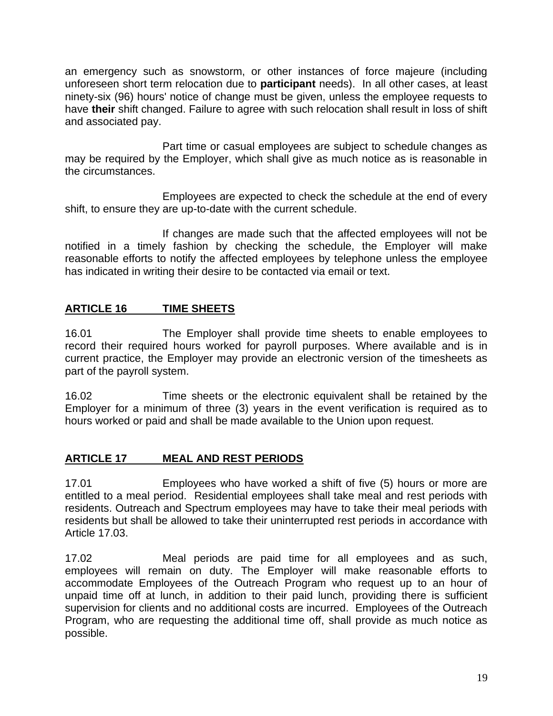an emergency such as snowstorm, or other instances of force majeure (including unforeseen short term relocation due to **participant** needs). In all other cases, at least ninety-six (96) hours' notice of change must be given, unless the employee requests to have **their** shift changed. Failure to agree with such relocation shall result in loss of shift and associated pay.

Part time or casual employees are subject to schedule changes as may be required by the Employer, which shall give as much notice as is reasonable in the circumstances.

Employees are expected to check the schedule at the end of every shift, to ensure they are up-to-date with the current schedule.

If changes are made such that the affected employees will not be notified in a timely fashion by checking the schedule, the Employer will make reasonable efforts to notify the affected employees by telephone unless the employee has indicated in writing their desire to be contacted via email or text.

## **ARTICLE 16 TIME SHEETS**

16.01 The Employer shall provide time sheets to enable employees to record their required hours worked for payroll purposes. Where available and is in current practice, the Employer may provide an electronic version of the timesheets as part of the payroll system.

16.02 Time sheets or the electronic equivalent shall be retained by the Employer for a minimum of three (3) years in the event verification is required as to hours worked or paid and shall be made available to the Union upon request.

## **ARTICLE 17 MEAL AND REST PERIODS**

17.01 Employees who have worked a shift of five (5) hours or more are entitled to a meal period. Residential employees shall take meal and rest periods with residents. Outreach and Spectrum employees may have to take their meal periods with residents but shall be allowed to take their uninterrupted rest periods in accordance with Article 17.03.

17.02 Meal periods are paid time for all employees and as such, employees will remain on duty. The Employer will make reasonable efforts to accommodate Employees of the Outreach Program who request up to an hour of unpaid time off at lunch, in addition to their paid lunch, providing there is sufficient supervision for clients and no additional costs are incurred. Employees of the Outreach Program, who are requesting the additional time off, shall provide as much notice as possible.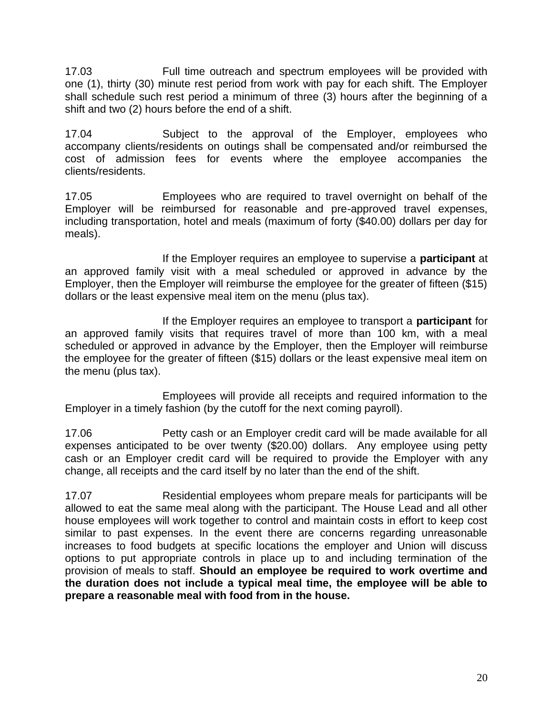17.03 Full time outreach and spectrum employees will be provided with one (1), thirty (30) minute rest period from work with pay for each shift. The Employer shall schedule such rest period a minimum of three (3) hours after the beginning of a shift and two (2) hours before the end of a shift.

17.04 Subject to the approval of the Employer, employees who accompany clients/residents on outings shall be compensated and/or reimbursed the cost of admission fees for events where the employee accompanies the clients/residents.

17.05 Employees who are required to travel overnight on behalf of the Employer will be reimbursed for reasonable and pre-approved travel expenses, including transportation, hotel and meals (maximum of forty (\$40.00) dollars per day for meals).

If the Employer requires an employee to supervise a **participant** at an approved family visit with a meal scheduled or approved in advance by the Employer, then the Employer will reimburse the employee for the greater of fifteen (\$15) dollars or the least expensive meal item on the menu (plus tax).

If the Employer requires an employee to transport a **participant** for an approved family visits that requires travel of more than 100 km, with a meal scheduled or approved in advance by the Employer, then the Employer will reimburse the employee for the greater of fifteen (\$15) dollars or the least expensive meal item on the menu (plus tax).

Employees will provide all receipts and required information to the Employer in a timely fashion (by the cutoff for the next coming payroll).

17.06 Petty cash or an Employer credit card will be made available for all expenses anticipated to be over twenty (\$20.00) dollars. Any employee using petty cash or an Employer credit card will be required to provide the Employer with any change, all receipts and the card itself by no later than the end of the shift.

17.07 Residential employees whom prepare meals for participants will be allowed to eat the same meal along with the participant. The House Lead and all other house employees will work together to control and maintain costs in effort to keep cost similar to past expenses. In the event there are concerns regarding unreasonable increases to food budgets at specific locations the employer and Union will discuss options to put appropriate controls in place up to and including termination of the provision of meals to staff. **Should an employee be required to work overtime and the duration does not include a typical meal time, the employee will be able to prepare a reasonable meal with food from in the house.**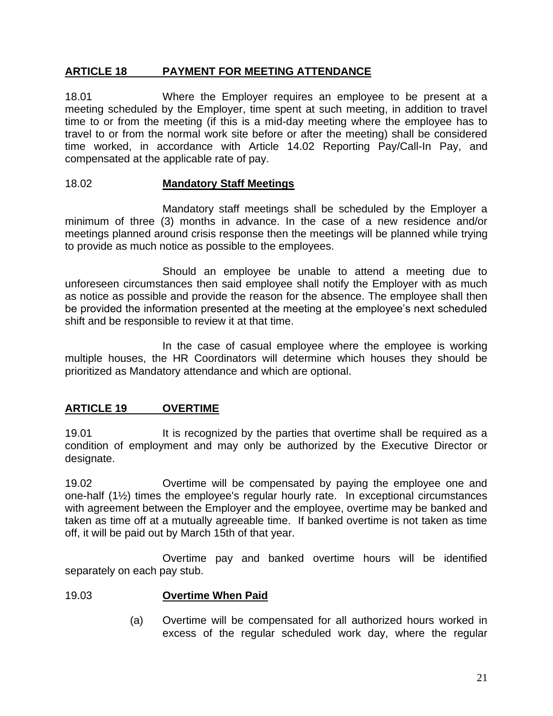## **ARTICLE 18 PAYMENT FOR MEETING ATTENDANCE**

18.01 Where the Employer requires an employee to be present at a meeting scheduled by the Employer, time spent at such meeting, in addition to travel time to or from the meeting (if this is a mid-day meeting where the employee has to travel to or from the normal work site before or after the meeting) shall be considered time worked, in accordance with Article 14.02 Reporting Pay/Call-In Pay, and compensated at the applicable rate of pay.

#### 18.02 **Mandatory Staff Meetings**

Mandatory staff meetings shall be scheduled by the Employer a minimum of three (3) months in advance. In the case of a new residence and/or meetings planned around crisis response then the meetings will be planned while trying to provide as much notice as possible to the employees.

Should an employee be unable to attend a meeting due to unforeseen circumstances then said employee shall notify the Employer with as much as notice as possible and provide the reason for the absence. The employee shall then be provided the information presented at the meeting at the employee's next scheduled shift and be responsible to review it at that time.

In the case of casual employee where the employee is working multiple houses, the HR Coordinators will determine which houses they should be prioritized as Mandatory attendance and which are optional.

## **ARTICLE 19 OVERTIME**

19.01 It is recognized by the parties that overtime shall be required as a condition of employment and may only be authorized by the Executive Director or designate.

19.02 Overtime will be compensated by paying the employee one and one-half (1½) times the employee's regular hourly rate. In exceptional circumstances with agreement between the Employer and the employee, overtime may be banked and taken as time off at a mutually agreeable time. If banked overtime is not taken as time off, it will be paid out by March 15th of that year.

Overtime pay and banked overtime hours will be identified separately on each pay stub.

#### 19.03 **Overtime When Paid**

(a) Overtime will be compensated for all authorized hours worked in excess of the regular scheduled work day, where the regular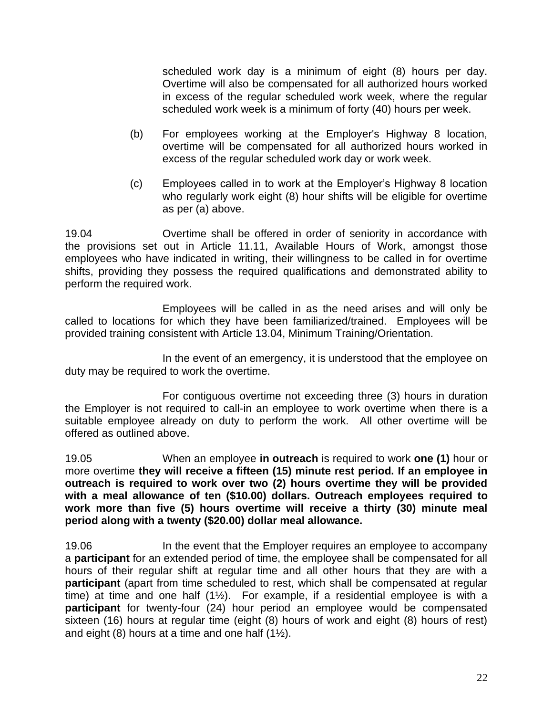scheduled work day is a minimum of eight (8) hours per day. Overtime will also be compensated for all authorized hours worked in excess of the regular scheduled work week, where the regular scheduled work week is a minimum of forty (40) hours per week.

- (b) For employees working at the Employer's Highway 8 location, overtime will be compensated for all authorized hours worked in excess of the regular scheduled work day or work week.
- (c) Employees called in to work at the Employer's Highway 8 location who regularly work eight (8) hour shifts will be eligible for overtime as per (a) above.

19.04 Overtime shall be offered in order of seniority in accordance with the provisions set out in Article 11.11, Available Hours of Work, amongst those employees who have indicated in writing, their willingness to be called in for overtime shifts, providing they possess the required qualifications and demonstrated ability to perform the required work.

Employees will be called in as the need arises and will only be called to locations for which they have been familiarized/trained. Employees will be provided training consistent with Article 13.04, Minimum Training/Orientation.

In the event of an emergency, it is understood that the employee on duty may be required to work the overtime.

For contiguous overtime not exceeding three (3) hours in duration the Employer is not required to call-in an employee to work overtime when there is a suitable employee already on duty to perform the work. All other overtime will be offered as outlined above.

19.05 When an employee **in outreach** is required to work **one (1)** hour or more overtime **they will receive a fifteen (15) minute rest period. If an employee in outreach is required to work over two (2) hours overtime they will be provided with a meal allowance of ten (\$10.00) dollars. Outreach employees required to work more than five (5) hours overtime will receive a thirty (30) minute meal period along with a twenty (\$20.00) dollar meal allowance.**

19.06 In the event that the Employer requires an employee to accompany a **participant** for an extended period of time, the employee shall be compensated for all hours of their regular shift at regular time and all other hours that they are with a **participant** (apart from time scheduled to rest, which shall be compensated at regular time) at time and one half  $(1\frac{1}{2})$ . For example, if a residential employee is with a **participant** for twenty-four (24) hour period an employee would be compensated sixteen (16) hours at regular time (eight (8) hours of work and eight (8) hours of rest) and eight (8) hours at a time and one half (1½).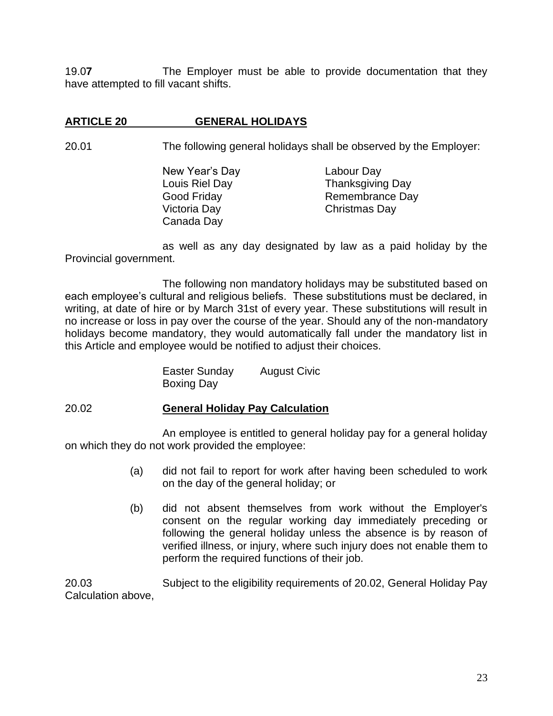19.0**7** The Employer must be able to provide documentation that they have attempted to fill vacant shifts.

## **ARTICLE 20 GENERAL HOLIDAYS**

20.01 The following general holidays shall be observed by the Employer:

New Year's Day Labour Day Louis Riel Day Thanksgiving Day Good Friday **Remembrance Day** Victoria Day Christmas Day Canada Day

as well as any day designated by law as a paid holiday by the Provincial government.

The following non mandatory holidays may be substituted based on each employee's cultural and religious beliefs. These substitutions must be declared, in writing, at date of hire or by March 31st of every year. These substitutions will result in no increase or loss in pay over the course of the year. Should any of the non-mandatory holidays become mandatory, they would automatically fall under the mandatory list in this Article and employee would be notified to adjust their choices.

> Easter Sunday August Civic Boxing Day

#### 20.02 **General Holiday Pay Calculation**

An employee is entitled to general holiday pay for a general holiday on which they do not work provided the employee:

- (a) did not fail to report for work after having been scheduled to work on the day of the general holiday; or
- (b) did not absent themselves from work without the Employer's consent on the regular working day immediately preceding or following the general holiday unless the absence is by reason of verified illness, or injury, where such injury does not enable them to perform the required functions of their job.

20.03 Subject to the eligibility requirements of 20.02, General Holiday Pay Calculation above,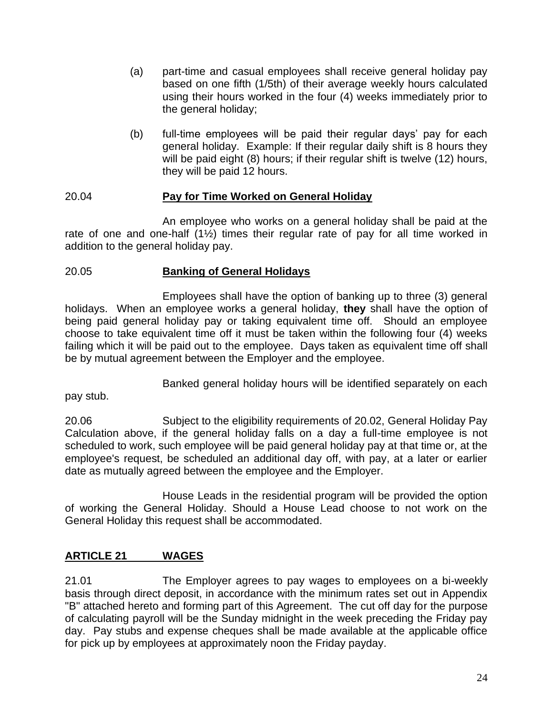- (a) part-time and casual employees shall receive general holiday pay based on one fifth (1/5th) of their average weekly hours calculated using their hours worked in the four (4) weeks immediately prior to the general holiday;
- (b) full-time employees will be paid their regular days' pay for each general holiday. Example: If their regular daily shift is 8 hours they will be paid eight (8) hours; if their regular shift is twelve (12) hours, they will be paid 12 hours.

## 20.04 **Pay for Time Worked on General Holiday**

An employee who works on a general holiday shall be paid at the rate of one and one-half (1½) times their regular rate of pay for all time worked in addition to the general holiday pay.

#### 20.05 **Banking of General Holidays**

Employees shall have the option of banking up to three (3) general holidays. When an employee works a general holiday, **they** shall have the option of being paid general holiday pay or taking equivalent time off. Should an employee choose to take equivalent time off it must be taken within the following four (4) weeks failing which it will be paid out to the employee. Days taken as equivalent time off shall be by mutual agreement between the Employer and the employee.

Banked general holiday hours will be identified separately on each

pay stub.

20.06 Subject to the eligibility requirements of 20.02, General Holiday Pay Calculation above, if the general holiday falls on a day a full-time employee is not scheduled to work, such employee will be paid general holiday pay at that time or, at the employee's request, be scheduled an additional day off, with pay, at a later or earlier date as mutually agreed between the employee and the Employer.

House Leads in the residential program will be provided the option of working the General Holiday. Should a House Lead choose to not work on the General Holiday this request shall be accommodated.

## **ARTICLE 21 WAGES**

21.01 The Employer agrees to pay wages to employees on a bi-weekly basis through direct deposit, in accordance with the minimum rates set out in Appendix "B" attached hereto and forming part of this Agreement. The cut off day for the purpose of calculating payroll will be the Sunday midnight in the week preceding the Friday pay day. Pay stubs and expense cheques shall be made available at the applicable office for pick up by employees at approximately noon the Friday payday.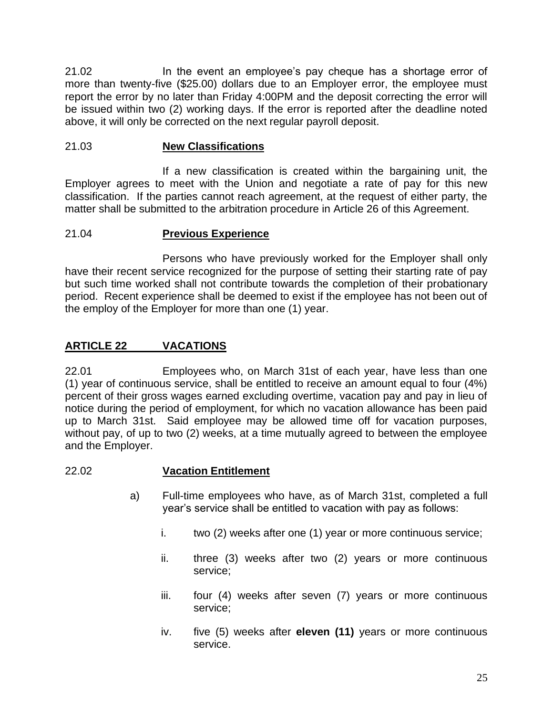21.02 In the event an employee's pay cheque has a shortage error of more than twenty-five (\$25.00) dollars due to an Employer error, the employee must report the error by no later than Friday 4:00PM and the deposit correcting the error will be issued within two (2) working days. If the error is reported after the deadline noted above, it will only be corrected on the next regular payroll deposit.

### 21.03 **New Classifications**

If a new classification is created within the bargaining unit, the Employer agrees to meet with the Union and negotiate a rate of pay for this new classification. If the parties cannot reach agreement, at the request of either party, the matter shall be submitted to the arbitration procedure in Article 26 of this Agreement.

#### 21.04 **Previous Experience**

Persons who have previously worked for the Employer shall only have their recent service recognized for the purpose of setting their starting rate of pay but such time worked shall not contribute towards the completion of their probationary period. Recent experience shall be deemed to exist if the employee has not been out of the employ of the Employer for more than one (1) year.

## **ARTICLE 22 VACATIONS**

22.01 Employees who, on March 31st of each year, have less than one (1) year of continuous service, shall be entitled to receive an amount equal to four (4%) percent of their gross wages earned excluding overtime, vacation pay and pay in lieu of notice during the period of employment, for which no vacation allowance has been paid up to March 31st. Said employee may be allowed time off for vacation purposes, without pay, of up to two (2) weeks, at a time mutually agreed to between the employee and the Employer.

#### 22.02 **Vacation Entitlement**

- a) Full-time employees who have, as of March 31st, completed a full year's service shall be entitled to vacation with pay as follows:
	- i. two (2) weeks after one (1) year or more continuous service;
	- ii. three (3) weeks after two (2) years or more continuous service;
	- iii. four (4) weeks after seven (7) years or more continuous service;
	- iv. five (5) weeks after **eleven (11)** years or more continuous service.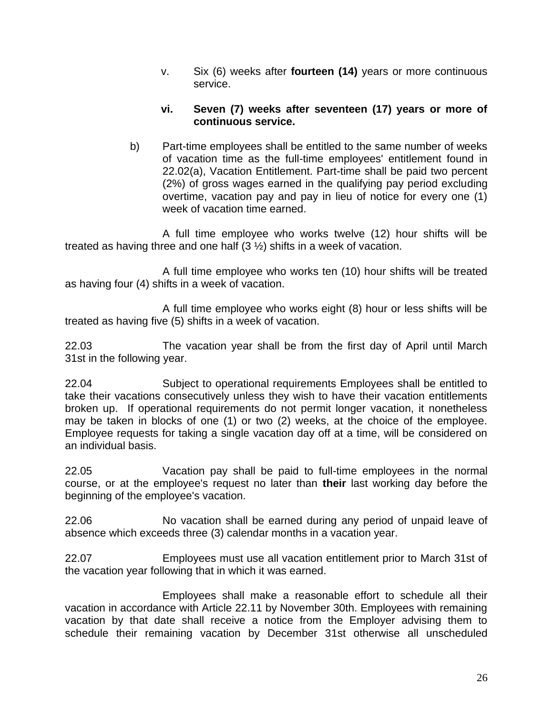v. Six (6) weeks after **fourteen (14)** years or more continuous service.

#### **vi. Seven (7) weeks after seventeen (17) years or more of continuous service.**

b) Part-time employees shall be entitled to the same number of weeks of vacation time as the full-time employees' entitlement found in 22.02(a), Vacation Entitlement. Part-time shall be paid two percent (2%) of gross wages earned in the qualifying pay period excluding overtime, vacation pay and pay in lieu of notice for every one (1) week of vacation time earned.

A full time employee who works twelve (12) hour shifts will be treated as having three and one half (3 ½) shifts in a week of vacation.

A full time employee who works ten (10) hour shifts will be treated as having four (4) shifts in a week of vacation.

A full time employee who works eight (8) hour or less shifts will be treated as having five (5) shifts in a week of vacation.

22.03 The vacation year shall be from the first day of April until March 31st in the following year.

22.04 Subject to operational requirements Employees shall be entitled to take their vacations consecutively unless they wish to have their vacation entitlements broken up. If operational requirements do not permit longer vacation, it nonetheless may be taken in blocks of one (1) or two (2) weeks, at the choice of the employee. Employee requests for taking a single vacation day off at a time, will be considered on an individual basis.

22.05 Vacation pay shall be paid to full-time employees in the normal course, or at the employee's request no later than **their** last working day before the beginning of the employee's vacation.

22.06 No vacation shall be earned during any period of unpaid leave of absence which exceeds three (3) calendar months in a vacation year.

22.07 Employees must use all vacation entitlement prior to March 31st of the vacation year following that in which it was earned.

Employees shall make a reasonable effort to schedule all their vacation in accordance with Article 22.11 by November 30th. Employees with remaining vacation by that date shall receive a notice from the Employer advising them to schedule their remaining vacation by December 31st otherwise all unscheduled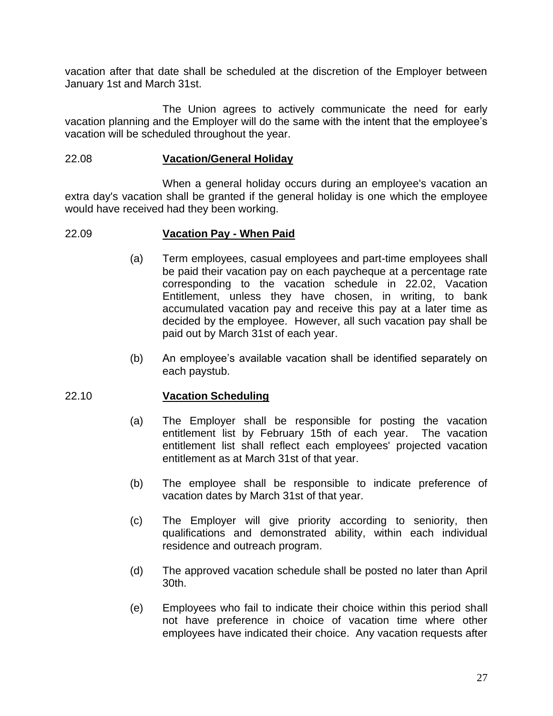vacation after that date shall be scheduled at the discretion of the Employer between January 1st and March 31st.

The Union agrees to actively communicate the need for early vacation planning and the Employer will do the same with the intent that the employee's vacation will be scheduled throughout the year.

#### 22.08 **Vacation/General Holiday**

When a general holiday occurs during an employee's vacation an extra day's vacation shall be granted if the general holiday is one which the employee would have received had they been working.

#### 22.09 **Vacation Pay - When Paid**

- (a) Term employees, casual employees and part-time employees shall be paid their vacation pay on each paycheque at a percentage rate corresponding to the vacation schedule in 22.02, Vacation Entitlement, unless they have chosen, in writing, to bank accumulated vacation pay and receive this pay at a later time as decided by the employee. However, all such vacation pay shall be paid out by March 31st of each year.
- (b) An employee's available vacation shall be identified separately on each paystub.

#### 22.10 **Vacation Scheduling**

- (a) The Employer shall be responsible for posting the vacation entitlement list by February 15th of each year. The vacation entitlement list shall reflect each employees' projected vacation entitlement as at March 31st of that year.
- (b) The employee shall be responsible to indicate preference of vacation dates by March 31st of that year.
- (c) The Employer will give priority according to seniority, then qualifications and demonstrated ability, within each individual residence and outreach program.
- (d) The approved vacation schedule shall be posted no later than April 30th.
- (e) Employees who fail to indicate their choice within this period shall not have preference in choice of vacation time where other employees have indicated their choice. Any vacation requests after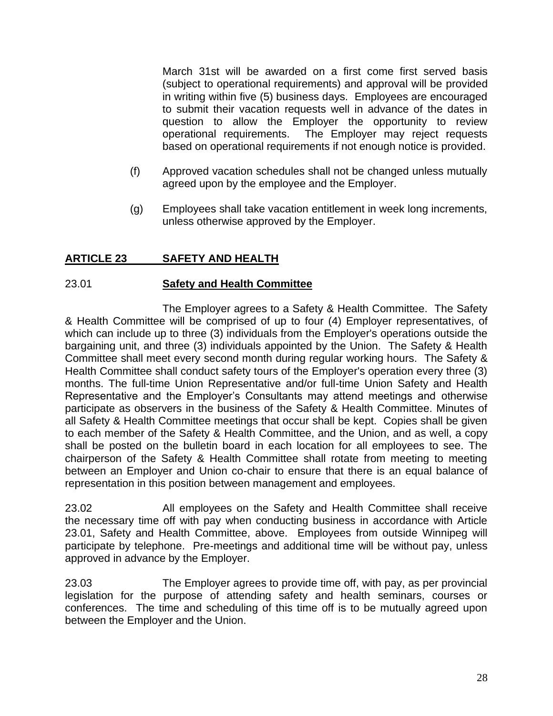March 31st will be awarded on a first come first served basis (subject to operational requirements) and approval will be provided in writing within five (5) business days. Employees are encouraged to submit their vacation requests well in advance of the dates in question to allow the Employer the opportunity to review operational requirements. The Employer may reject requests based on operational requirements if not enough notice is provided.

- (f) Approved vacation schedules shall not be changed unless mutually agreed upon by the employee and the Employer.
- (g) Employees shall take vacation entitlement in week long increments, unless otherwise approved by the Employer.

## **ARTICLE 23 SAFETY AND HEALTH**

#### 23.01 **Safety and Health Committee**

The Employer agrees to a Safety & Health Committee. The Safety & Health Committee will be comprised of up to four (4) Employer representatives, of which can include up to three (3) individuals from the Employer's operations outside the bargaining unit, and three (3) individuals appointed by the Union. The Safety & Health Committee shall meet every second month during regular working hours. The Safety & Health Committee shall conduct safety tours of the Employer's operation every three (3) months. The full-time Union Representative and/or full-time Union Safety and Health Representative and the Employer's Consultants may attend meetings and otherwise participate as observers in the business of the Safety & Health Committee. Minutes of all Safety & Health Committee meetings that occur shall be kept. Copies shall be given to each member of the Safety & Health Committee, and the Union, and as well, a copy shall be posted on the bulletin board in each location for all employees to see. The chairperson of the Safety & Health Committee shall rotate from meeting to meeting between an Employer and Union co-chair to ensure that there is an equal balance of representation in this position between management and employees.

23.02 All employees on the Safety and Health Committee shall receive the necessary time off with pay when conducting business in accordance with Article 23.01, Safety and Health Committee, above. Employees from outside Winnipeg will participate by telephone. Pre-meetings and additional time will be without pay, unless approved in advance by the Employer.

23.03 The Employer agrees to provide time off, with pay, as per provincial legislation for the purpose of attending safety and health seminars, courses or conferences. The time and scheduling of this time off is to be mutually agreed upon between the Employer and the Union.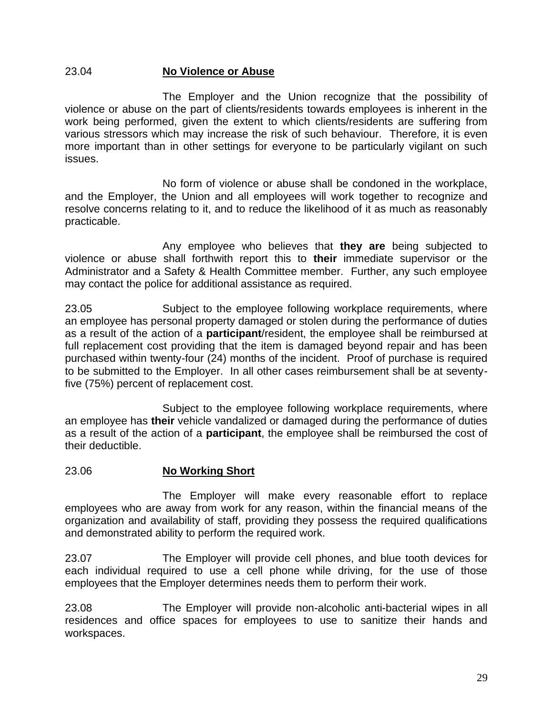#### 23.04 **No Violence or Abuse**

The Employer and the Union recognize that the possibility of violence or abuse on the part of clients/residents towards employees is inherent in the work being performed, given the extent to which clients/residents are suffering from various stressors which may increase the risk of such behaviour. Therefore, it is even more important than in other settings for everyone to be particularly vigilant on such issues.

No form of violence or abuse shall be condoned in the workplace, and the Employer, the Union and all employees will work together to recognize and resolve concerns relating to it, and to reduce the likelihood of it as much as reasonably practicable.

Any employee who believes that **they are** being subjected to violence or abuse shall forthwith report this to **their** immediate supervisor or the Administrator and a Safety & Health Committee member. Further, any such employee may contact the police for additional assistance as required.

23.05 Subject to the employee following workplace requirements, where an employee has personal property damaged or stolen during the performance of duties as a result of the action of a **participant**/resident, the employee shall be reimbursed at full replacement cost providing that the item is damaged beyond repair and has been purchased within twenty-four (24) months of the incident. Proof of purchase is required to be submitted to the Employer. In all other cases reimbursement shall be at seventyfive (75%) percent of replacement cost.

Subject to the employee following workplace requirements, where an employee has **their** vehicle vandalized or damaged during the performance of duties as a result of the action of a **participant**, the employee shall be reimbursed the cost of their deductible.

#### 23.06 **No Working Short**

The Employer will make every reasonable effort to replace employees who are away from work for any reason, within the financial means of the organization and availability of staff, providing they possess the required qualifications and demonstrated ability to perform the required work.

23.07 The Employer will provide cell phones, and blue tooth devices for each individual required to use a cell phone while driving, for the use of those employees that the Employer determines needs them to perform their work.

23.08 The Employer will provide non-alcoholic anti-bacterial wipes in all residences and office spaces for employees to use to sanitize their hands and workspaces.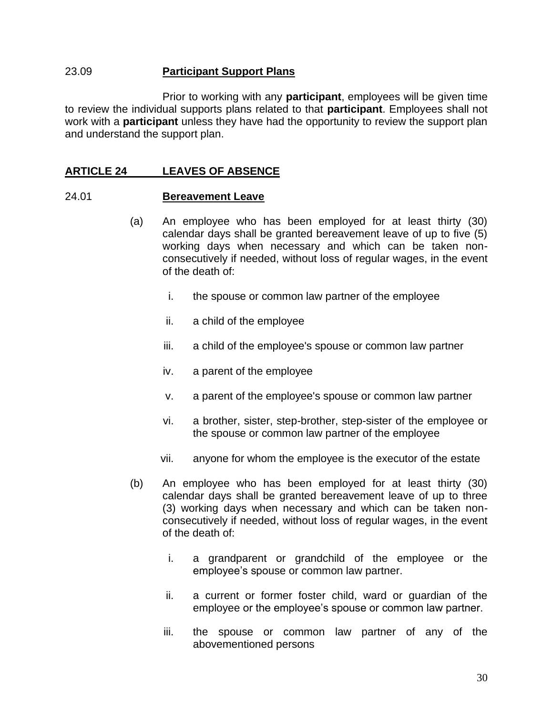#### 23.09 **Participant Support Plans**

Prior to working with any **participant**, employees will be given time to review the individual supports plans related to that **participant**. Employees shall not work with a **participant** unless they have had the opportunity to review the support plan and understand the support plan.

#### **ARTICLE 24 LEAVES OF ABSENCE**

#### 24.01 **Bereavement Leave**

- (a) An employee who has been employed for at least thirty (30) calendar days shall be granted bereavement leave of up to five (5) working days when necessary and which can be taken nonconsecutively if needed, without loss of regular wages, in the event of the death of:
	- i. the spouse or common law partner of the employee
	- ii. a child of the employee
	- iii. a child of the employee's spouse or common law partner
	- iv. a parent of the employee
	- v. a parent of the employee's spouse or common law partner
	- vi. a brother, sister, step-brother, step-sister of the employee or the spouse or common law partner of the employee
	- vii. anyone for whom the employee is the executor of the estate
- (b) An employee who has been employed for at least thirty (30) calendar days shall be granted bereavement leave of up to three (3) working days when necessary and which can be taken nonconsecutively if needed, without loss of regular wages, in the event of the death of:
	- i. a grandparent or grandchild of the employee or the employee's spouse or common law partner.
	- ii. a current or former foster child, ward or guardian of the employee or the employee's spouse or common law partner.
	- iii. the spouse or common law partner of any of the abovementioned persons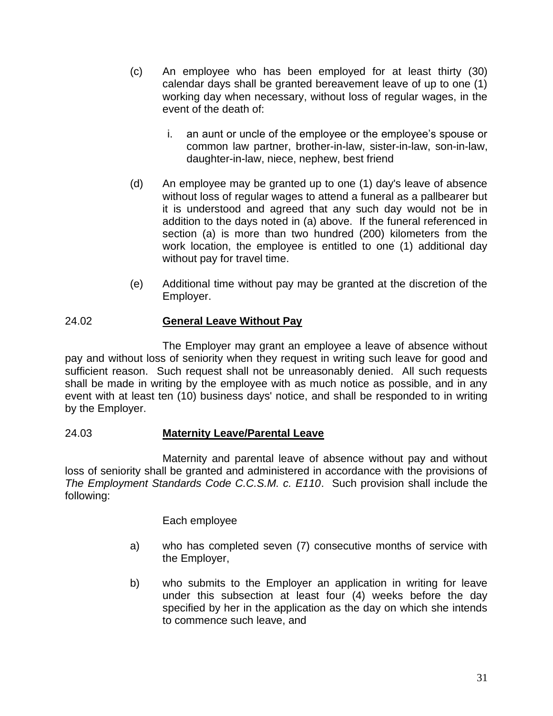- (c) An employee who has been employed for at least thirty (30) calendar days shall be granted bereavement leave of up to one (1) working day when necessary, without loss of regular wages, in the event of the death of:
	- i. an aunt or uncle of the employee or the employee's spouse or common law partner, brother-in-law, sister-in-law, son-in-law, daughter-in-law, niece, nephew, best friend
- (d) An employee may be granted up to one (1) day's leave of absence without loss of regular wages to attend a funeral as a pallbearer but it is understood and agreed that any such day would not be in addition to the days noted in (a) above. If the funeral referenced in section (a) is more than two hundred (200) kilometers from the work location, the employee is entitled to one (1) additional day without pay for travel time.
- (e) Additional time without pay may be granted at the discretion of the Employer.

# 24.02 **General Leave Without Pay**

The Employer may grant an employee a leave of absence without pay and without loss of seniority when they request in writing such leave for good and sufficient reason. Such request shall not be unreasonably denied. All such requests shall be made in writing by the employee with as much notice as possible, and in any event with at least ten (10) business days' notice, and shall be responded to in writing by the Employer.

# 24.03 **Maternity Leave/Parental Leave**

Maternity and parental leave of absence without pay and without loss of seniority shall be granted and administered in accordance with the provisions of *The Employment Standards Code C.C.S.M. c. E110*. Such provision shall include the following:

Each employee

- a) who has completed seven (7) consecutive months of service with the Employer,
- b) who submits to the Employer an application in writing for leave under this subsection at least four (4) weeks before the day specified by her in the application as the day on which she intends to commence such leave, and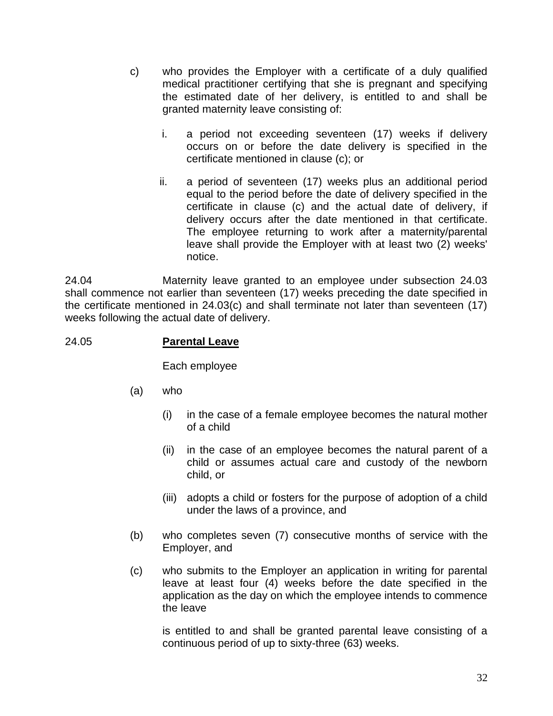- c) who provides the Employer with a certificate of a duly qualified medical practitioner certifying that she is pregnant and specifying the estimated date of her delivery, is entitled to and shall be granted maternity leave consisting of:
	- i. a period not exceeding seventeen (17) weeks if delivery occurs on or before the date delivery is specified in the certificate mentioned in clause (c); or
	- ii. a period of seventeen (17) weeks plus an additional period equal to the period before the date of delivery specified in the certificate in clause (c) and the actual date of delivery, if delivery occurs after the date mentioned in that certificate. The employee returning to work after a maternity/parental leave shall provide the Employer with at least two (2) weeks' notice.

24.04 Maternity leave granted to an employee under subsection 24.03 shall commence not earlier than seventeen (17) weeks preceding the date specified in the certificate mentioned in 24.03(c) and shall terminate not later than seventeen (17) weeks following the actual date of delivery.

# 24.05 **Parental Leave**

Each employee

- (a) who
	- (i) in the case of a female employee becomes the natural mother of a child
	- (ii) in the case of an employee becomes the natural parent of a child or assumes actual care and custody of the newborn child, or
	- (iii) adopts a child or fosters for the purpose of adoption of a child under the laws of a province, and
- (b) who completes seven (7) consecutive months of service with the Employer, and
- (c) who submits to the Employer an application in writing for parental leave at least four (4) weeks before the date specified in the application as the day on which the employee intends to commence the leave

is entitled to and shall be granted parental leave consisting of a continuous period of up to sixty-three (63) weeks.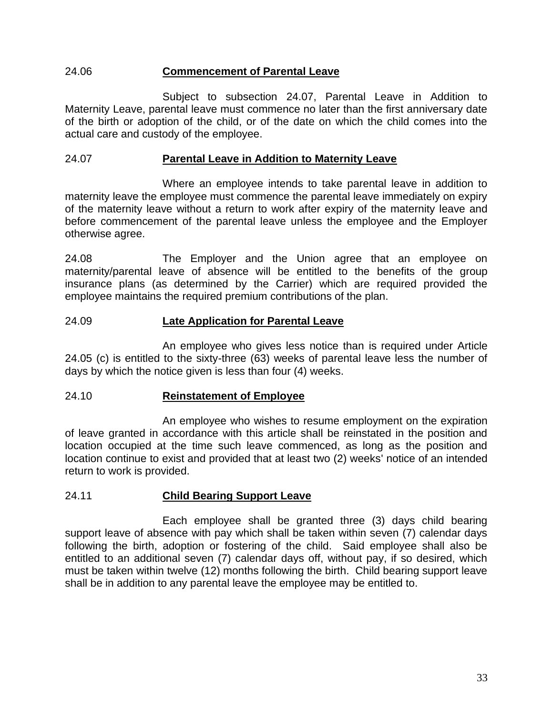### 24.06 **Commencement of Parental Leave**

Subject to subsection 24.07, Parental Leave in Addition to Maternity Leave, parental leave must commence no later than the first anniversary date of the birth or adoption of the child, or of the date on which the child comes into the actual care and custody of the employee.

#### 24.07 **Parental Leave in Addition to Maternity Leave**

Where an employee intends to take parental leave in addition to maternity leave the employee must commence the parental leave immediately on expiry of the maternity leave without a return to work after expiry of the maternity leave and before commencement of the parental leave unless the employee and the Employer otherwise agree.

24.08 The Employer and the Union agree that an employee on maternity/parental leave of absence will be entitled to the benefits of the group insurance plans (as determined by the Carrier) which are required provided the employee maintains the required premium contributions of the plan.

### 24.09 **Late Application for Parental Leave**

An employee who gives less notice than is required under Article 24.05 (c) is entitled to the sixty-three (63) weeks of parental leave less the number of days by which the notice given is less than four (4) weeks.

#### 24.10 **Reinstatement of Employee**

An employee who wishes to resume employment on the expiration of leave granted in accordance with this article shall be reinstated in the position and location occupied at the time such leave commenced, as long as the position and location continue to exist and provided that at least two (2) weeks' notice of an intended return to work is provided.

### 24.11 **Child Bearing Support Leave**

Each employee shall be granted three (3) days child bearing support leave of absence with pay which shall be taken within seven (7) calendar days following the birth, adoption or fostering of the child. Said employee shall also be entitled to an additional seven (7) calendar days off, without pay, if so desired, which must be taken within twelve (12) months following the birth. Child bearing support leave shall be in addition to any parental leave the employee may be entitled to.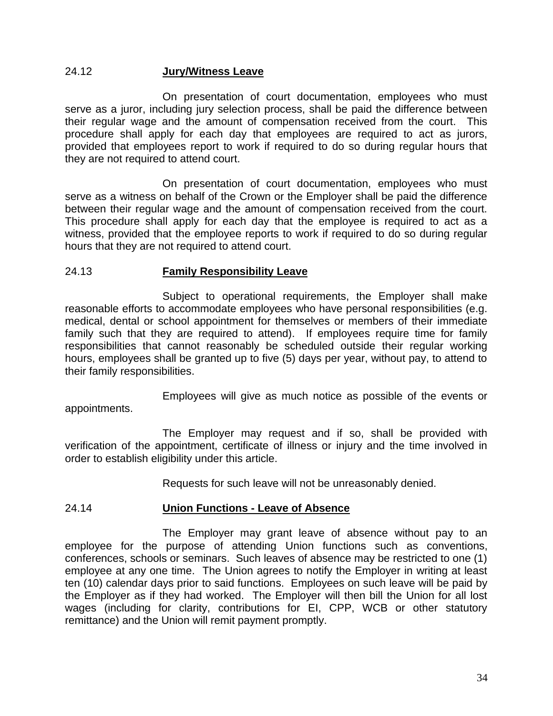#### 24.12 **Jury/Witness Leave**

On presentation of court documentation, employees who must serve as a juror, including jury selection process, shall be paid the difference between their regular wage and the amount of compensation received from the court. This procedure shall apply for each day that employees are required to act as jurors, provided that employees report to work if required to do so during regular hours that they are not required to attend court.

On presentation of court documentation, employees who must serve as a witness on behalf of the Crown or the Employer shall be paid the difference between their regular wage and the amount of compensation received from the court. This procedure shall apply for each day that the employee is required to act as a witness, provided that the employee reports to work if required to do so during regular hours that they are not required to attend court.

### 24.13 **Family Responsibility Leave**

Subject to operational requirements, the Employer shall make reasonable efforts to accommodate employees who have personal responsibilities (e.g. medical, dental or school appointment for themselves or members of their immediate family such that they are required to attend). If employees require time for family responsibilities that cannot reasonably be scheduled outside their regular working hours, employees shall be granted up to five (5) days per year, without pay, to attend to their family responsibilities.

Employees will give as much notice as possible of the events or appointments.

The Employer may request and if so, shall be provided with verification of the appointment, certificate of illness or injury and the time involved in order to establish eligibility under this article.

Requests for such leave will not be unreasonably denied.

#### 24.14 **Union Functions - Leave of Absence**

The Employer may grant leave of absence without pay to an employee for the purpose of attending Union functions such as conventions, conferences, schools or seminars. Such leaves of absence may be restricted to one (1) employee at any one time. The Union agrees to notify the Employer in writing at least ten (10) calendar days prior to said functions. Employees on such leave will be paid by the Employer as if they had worked. The Employer will then bill the Union for all lost wages (including for clarity, contributions for EI, CPP, WCB or other statutory remittance) and the Union will remit payment promptly.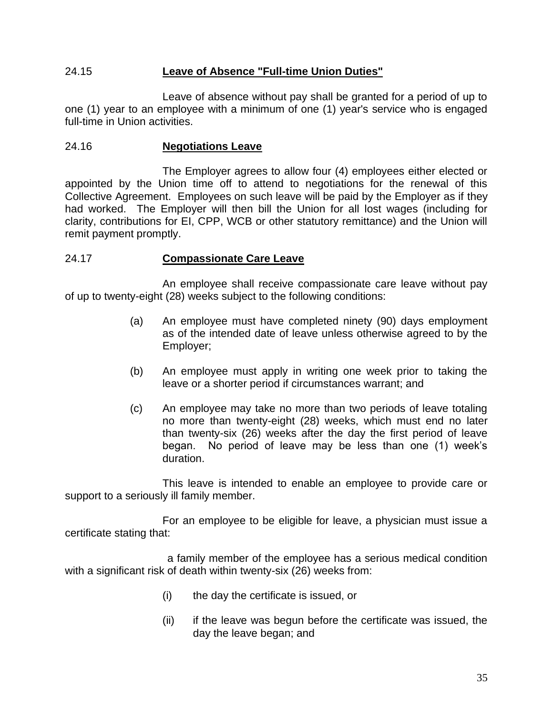### 24.15 **Leave of Absence "Full-time Union Duties"**

Leave of absence without pay shall be granted for a period of up to one (1) year to an employee with a minimum of one (1) year's service who is engaged full-time in Union activities.

### 24.16 **Negotiations Leave**

The Employer agrees to allow four (4) employees either elected or appointed by the Union time off to attend to negotiations for the renewal of this Collective Agreement. Employees on such leave will be paid by the Employer as if they had worked. The Employer will then bill the Union for all lost wages (including for clarity, contributions for EI, CPP, WCB or other statutory remittance) and the Union will remit payment promptly.

### 24.17 **Compassionate Care Leave**

An employee shall receive compassionate care leave without pay of up to twenty-eight (28) weeks subject to the following conditions:

- (a) An employee must have completed ninety (90) days employment as of the intended date of leave unless otherwise agreed to by the Employer;
- (b) An employee must apply in writing one week prior to taking the leave or a shorter period if circumstances warrant; and
- (c) An employee may take no more than two periods of leave totaling no more than twenty-eight (28) weeks, which must end no later than twenty-six (26) weeks after the day the first period of leave began. No period of leave may be less than one (1) week's duration.

This leave is intended to enable an employee to provide care or support to a seriously ill family member.

For an employee to be eligible for leave, a physician must issue a certificate stating that:

a family member of the employee has a serious medical condition with a significant risk of death within twenty-six (26) weeks from:

- (i) the day the certificate is issued, or
- (ii) if the leave was begun before the certificate was issued, the day the leave began; and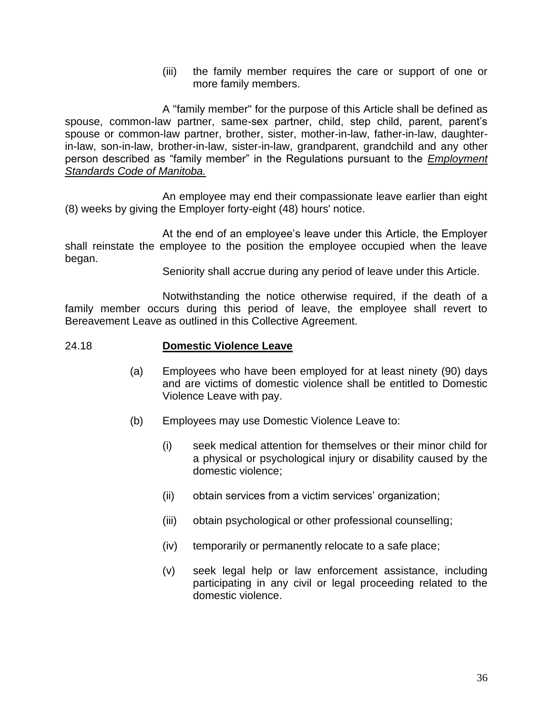(iii) the family member requires the care or support of one or more family members.

A "family member" for the purpose of this Article shall be defined as spouse, common-law partner, same-sex partner, child, step child, parent, parent's spouse or common-law partner, brother, sister, mother-in-law, father-in-law, daughterin-law, son-in-law, brother-in-law, sister-in-law, grandparent, grandchild and any other person described as "family member" in the Regulations pursuant to the *Employment Standards Code of Manitoba.*

An employee may end their compassionate leave earlier than eight (8) weeks by giving the Employer forty-eight (48) hours' notice.

At the end of an employee's leave under this Article, the Employer shall reinstate the employee to the position the employee occupied when the leave began.

Seniority shall accrue during any period of leave under this Article.

Notwithstanding the notice otherwise required, if the death of a family member occurs during this period of leave, the employee shall revert to Bereavement Leave as outlined in this Collective Agreement.

#### 24.18 **Domestic Violence Leave**

- (a) Employees who have been employed for at least ninety (90) days and are victims of domestic violence shall be entitled to Domestic Violence Leave with pay.
- (b) Employees may use Domestic Violence Leave to:
	- (i) seek medical attention for themselves or their minor child for a physical or psychological injury or disability caused by the domestic violence;
	- (ii) obtain services from a victim services' organization;
	- (iii) obtain psychological or other professional counselling;
	- (iv) temporarily or permanently relocate to a safe place;
	- (v) seek legal help or law enforcement assistance, including participating in any civil or legal proceeding related to the domestic violence.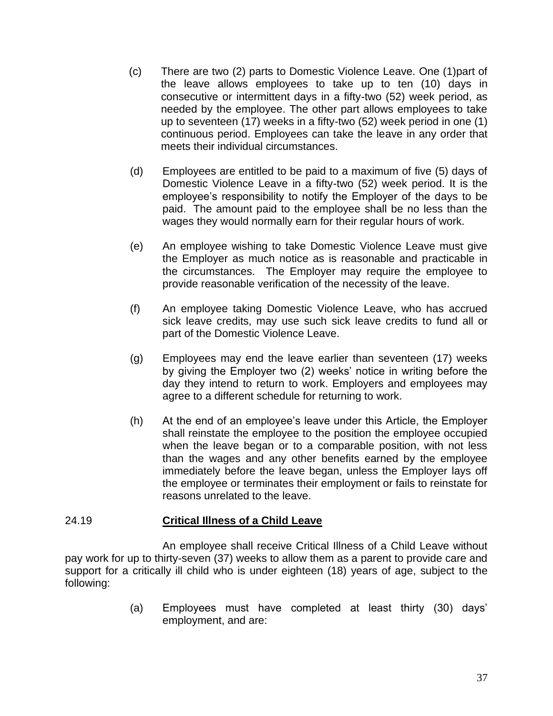- (c) There are two (2) parts to Domestic Violence Leave. One (1)part of the leave allows employees to take up to ten (10) days in consecutive or intermittent days in a fifty-two (52) week period, as needed by the employee. The other part allows employees to take up to seventeen (17) weeks in a fifty-two (52) week period in one (1) continuous period. Employees can take the leave in any order that meets their individual circumstances.
- (d) Employees are entitled to be paid to a maximum of five (5) days of Domestic Violence Leave in a fifty-two (52) week period. It is the employee's responsibility to notify the Employer of the days to be paid. The amount paid to the employee shall be no less than the wages they would normally earn for their regular hours of work.
- (e) An employee wishing to take Domestic Violence Leave must give the Employer as much notice as is reasonable and practicable in the circumstances. The Employer may require the employee to provide reasonable verification of the necessity of the leave.
- (f) An employee taking Domestic Violence Leave, who has accrued sick leave credits, may use such sick leave credits to fund all or part of the Domestic Violence Leave.
- (g) Employees may end the leave earlier than seventeen (17) weeks by giving the Employer two (2) weeks' notice in writing before the day they intend to return to work. Employers and employees may agree to a different schedule for returning to work.
- (h) At the end of an employee's leave under this Article, the Employer shall reinstate the employee to the position the employee occupied when the leave began or to a comparable position, with not less than the wages and any other benefits earned by the employee immediately before the leave began, unless the Employer lays off the employee or terminates their employment or fails to reinstate for reasons unrelated to the leave.

### 24.19 **Critical Illness of a Child Leave**

An employee shall receive Critical Illness of a Child Leave without pay work for up to thirty-seven (37) weeks to allow them as a parent to provide care and support for a critically ill child who is under eighteen (18) years of age, subject to the following:

> (a) Employees must have completed at least thirty (30) days' employment, and are: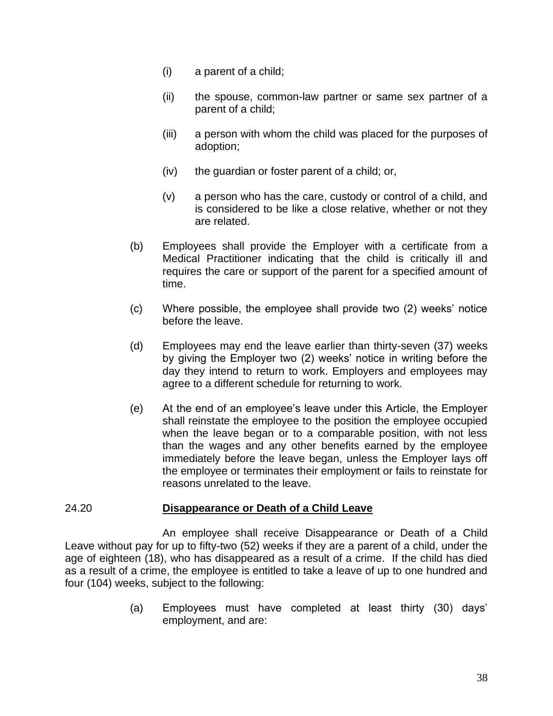- (i) a parent of a child;
- (ii) the spouse, common-law partner or same sex partner of a parent of a child;
- (iii) a person with whom the child was placed for the purposes of adoption;
- (iv) the guardian or foster parent of a child; or,
- (v) a person who has the care, custody or control of a child, and is considered to be like a close relative, whether or not they are related.
- (b) Employees shall provide the Employer with a certificate from a Medical Practitioner indicating that the child is critically ill and requires the care or support of the parent for a specified amount of time.
- (c) Where possible, the employee shall provide two (2) weeks' notice before the leave.
- (d) Employees may end the leave earlier than thirty-seven (37) weeks by giving the Employer two (2) weeks' notice in writing before the day they intend to return to work. Employers and employees may agree to a different schedule for returning to work.
- (e) At the end of an employee's leave under this Article, the Employer shall reinstate the employee to the position the employee occupied when the leave began or to a comparable position, with not less than the wages and any other benefits earned by the employee immediately before the leave began, unless the Employer lays off the employee or terminates their employment or fails to reinstate for reasons unrelated to the leave.

### 24.20 **Disappearance or Death of a Child Leave**

An employee shall receive Disappearance or Death of a Child Leave without pay for up to fifty-two (52) weeks if they are a parent of a child, under the age of eighteen (18), who has disappeared as a result of a crime. If the child has died as a result of a crime, the employee is entitled to take a leave of up to one hundred and four (104) weeks, subject to the following:

> (a) Employees must have completed at least thirty (30) days' employment, and are: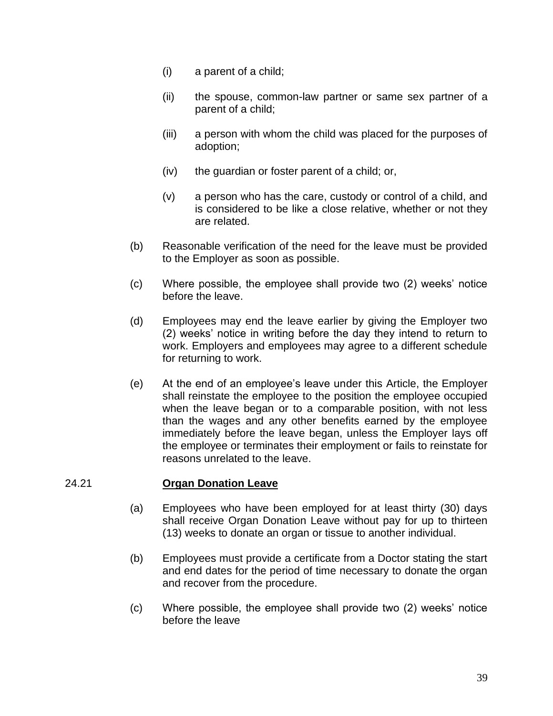- (i) a parent of a child;
- (ii) the spouse, common-law partner or same sex partner of a parent of a child;
- (iii) a person with whom the child was placed for the purposes of adoption;
- (iv) the guardian or foster parent of a child; or,
- (v) a person who has the care, custody or control of a child, and is considered to be like a close relative, whether or not they are related.
- (b) Reasonable verification of the need for the leave must be provided to the Employer as soon as possible.
- (c) Where possible, the employee shall provide two (2) weeks' notice before the leave.
- (d) Employees may end the leave earlier by giving the Employer two (2) weeks' notice in writing before the day they intend to return to work. Employers and employees may agree to a different schedule for returning to work.
- (e) At the end of an employee's leave under this Article, the Employer shall reinstate the employee to the position the employee occupied when the leave began or to a comparable position, with not less than the wages and any other benefits earned by the employee immediately before the leave began, unless the Employer lays off the employee or terminates their employment or fails to reinstate for reasons unrelated to the leave.

### 24.21 **Organ Donation Leave**

- (a) Employees who have been employed for at least thirty (30) days shall receive Organ Donation Leave without pay for up to thirteen (13) weeks to donate an organ or tissue to another individual.
- (b) Employees must provide a certificate from a Doctor stating the start and end dates for the period of time necessary to donate the organ and recover from the procedure.
- (c) Where possible, the employee shall provide two (2) weeks' notice before the leave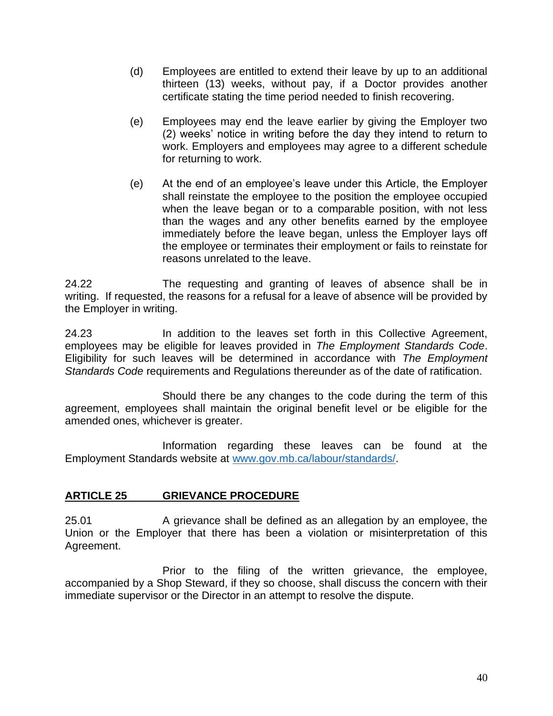- (d) Employees are entitled to extend their leave by up to an additional thirteen (13) weeks, without pay, if a Doctor provides another certificate stating the time period needed to finish recovering.
- (e) Employees may end the leave earlier by giving the Employer two (2) weeks' notice in writing before the day they intend to return to work. Employers and employees may agree to a different schedule for returning to work.
- (e) At the end of an employee's leave under this Article, the Employer shall reinstate the employee to the position the employee occupied when the leave began or to a comparable position, with not less than the wages and any other benefits earned by the employee immediately before the leave began, unless the Employer lays off the employee or terminates their employment or fails to reinstate for reasons unrelated to the leave.

24.22 The requesting and granting of leaves of absence shall be in writing. If requested, the reasons for a refusal for a leave of absence will be provided by the Employer in writing.

24.23 In addition to the leaves set forth in this Collective Agreement, employees may be eligible for leaves provided in *The Employment Standards Code*. Eligibility for such leaves will be determined in accordance with *The Employment Standards Code* requirements and Regulations thereunder as of the date of ratification.

Should there be any changes to the code during the term of this agreement, employees shall maintain the original benefit level or be eligible for the amended ones, whichever is greater.

Information regarding these leaves can be found at the Employment Standards website at [www.gov.mb.ca/labour/standards/.](http://www.gov.mb.ca/labour/standards/)

# **ARTICLE 25 GRIEVANCE PROCEDURE**

25.01 A grievance shall be defined as an allegation by an employee, the Union or the Employer that there has been a violation or misinterpretation of this Agreement.

Prior to the filing of the written grievance, the employee, accompanied by a Shop Steward, if they so choose, shall discuss the concern with their immediate supervisor or the Director in an attempt to resolve the dispute.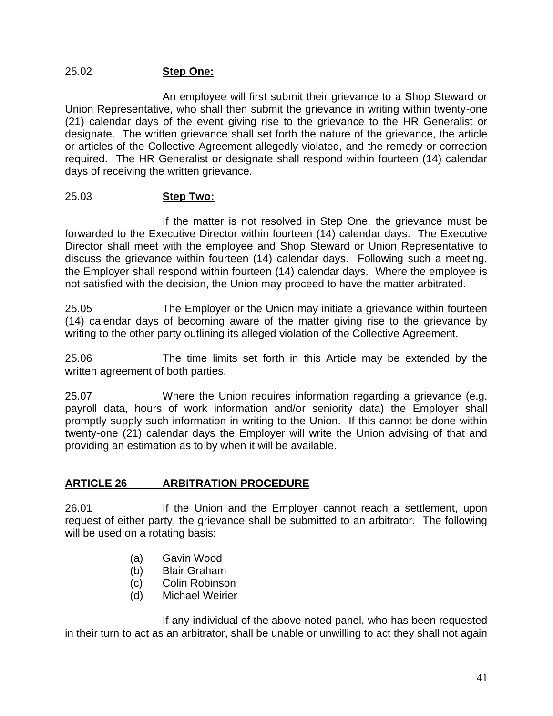### 25.02 **Step One:**

An employee will first submit their grievance to a Shop Steward or Union Representative, who shall then submit the grievance in writing within twenty-one (21) calendar days of the event giving rise to the grievance to the HR Generalist or designate. The written grievance shall set forth the nature of the grievance, the article or articles of the Collective Agreement allegedly violated, and the remedy or correction required. The HR Generalist or designate shall respond within fourteen (14) calendar days of receiving the written grievance.

### 25.03 **Step Two:**

If the matter is not resolved in Step One, the grievance must be forwarded to the Executive Director within fourteen (14) calendar days. The Executive Director shall meet with the employee and Shop Steward or Union Representative to discuss the grievance within fourteen (14) calendar days. Following such a meeting, the Employer shall respond within fourteen (14) calendar days. Where the employee is not satisfied with the decision, the Union may proceed to have the matter arbitrated.

25.05 The Employer or the Union may initiate a grievance within fourteen (14) calendar days of becoming aware of the matter giving rise to the grievance by writing to the other party outlining its alleged violation of the Collective Agreement.

25.06 The time limits set forth in this Article may be extended by the written agreement of both parties.

25.07 Where the Union requires information regarding a grievance (e.g. payroll data, hours of work information and/or seniority data) the Employer shall promptly supply such information in writing to the Union. If this cannot be done within twenty-one (21) calendar days the Employer will write the Union advising of that and providing an estimation as to by when it will be available.

# **ARTICLE 26 ARBITRATION PROCEDURE**

26.01 If the Union and the Employer cannot reach a settlement, upon request of either party, the grievance shall be submitted to an arbitrator. The following will be used on a rotating basis:

- (a) Gavin Wood
- (b) Blair Graham
- (c) Colin Robinson
- (d) Michael Weirier

If any individual of the above noted panel, who has been requested in their turn to act as an arbitrator, shall be unable or unwilling to act they shall not again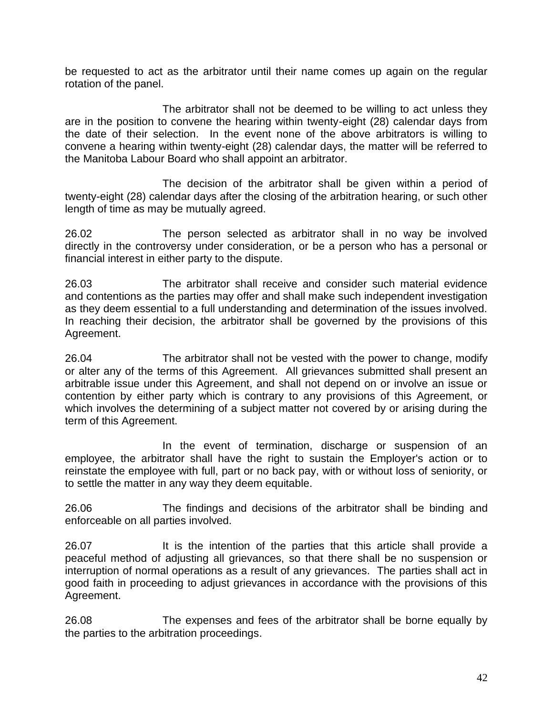be requested to act as the arbitrator until their name comes up again on the regular rotation of the panel.

The arbitrator shall not be deemed to be willing to act unless they are in the position to convene the hearing within twenty-eight (28) calendar days from the date of their selection. In the event none of the above arbitrators is willing to convene a hearing within twenty-eight (28) calendar days, the matter will be referred to the Manitoba Labour Board who shall appoint an arbitrator.

The decision of the arbitrator shall be given within a period of twenty-eight (28) calendar days after the closing of the arbitration hearing, or such other length of time as may be mutually agreed.

26.02 The person selected as arbitrator shall in no way be involved directly in the controversy under consideration, or be a person who has a personal or financial interest in either party to the dispute.

26.03 The arbitrator shall receive and consider such material evidence and contentions as the parties may offer and shall make such independent investigation as they deem essential to a full understanding and determination of the issues involved. In reaching their decision, the arbitrator shall be governed by the provisions of this Agreement.

26.04 The arbitrator shall not be vested with the power to change, modify or alter any of the terms of this Agreement. All grievances submitted shall present an arbitrable issue under this Agreement, and shall not depend on or involve an issue or contention by either party which is contrary to any provisions of this Agreement, or which involves the determining of a subject matter not covered by or arising during the term of this Agreement.

In the event of termination, discharge or suspension of an employee, the arbitrator shall have the right to sustain the Employer's action or to reinstate the employee with full, part or no back pay, with or without loss of seniority, or to settle the matter in any way they deem equitable.

26.06 The findings and decisions of the arbitrator shall be binding and enforceable on all parties involved.

26.07 It is the intention of the parties that this article shall provide a peaceful method of adjusting all grievances, so that there shall be no suspension or interruption of normal operations as a result of any grievances. The parties shall act in good faith in proceeding to adjust grievances in accordance with the provisions of this Agreement.

26.08 The expenses and fees of the arbitrator shall be borne equally by the parties to the arbitration proceedings.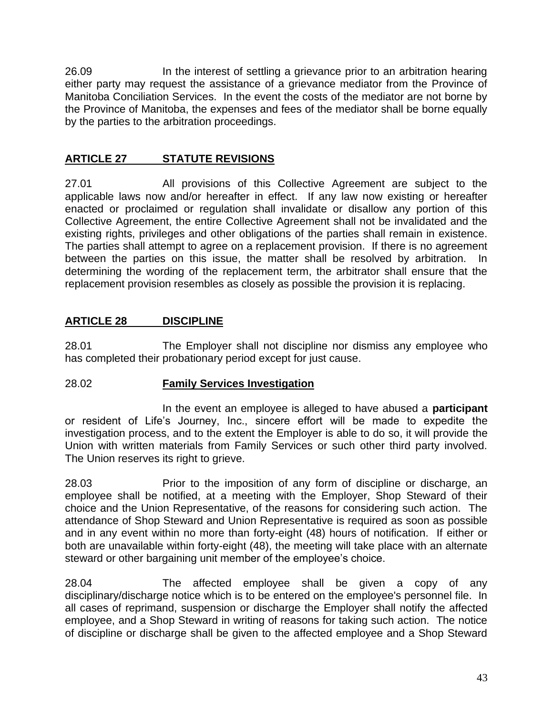26.09 In the interest of settling a grievance prior to an arbitration hearing either party may request the assistance of a grievance mediator from the Province of Manitoba Conciliation Services. In the event the costs of the mediator are not borne by the Province of Manitoba, the expenses and fees of the mediator shall be borne equally by the parties to the arbitration proceedings.

# **ARTICLE 27 STATUTE REVISIONS**

27.01 All provisions of this Collective Agreement are subject to the applicable laws now and/or hereafter in effect. If any law now existing or hereafter enacted or proclaimed or regulation shall invalidate or disallow any portion of this Collective Agreement, the entire Collective Agreement shall not be invalidated and the existing rights, privileges and other obligations of the parties shall remain in existence. The parties shall attempt to agree on a replacement provision. If there is no agreement between the parties on this issue, the matter shall be resolved by arbitration. In determining the wording of the replacement term, the arbitrator shall ensure that the replacement provision resembles as closely as possible the provision it is replacing.

# **ARTICLE 28 DISCIPLINE**

28.01 The Employer shall not discipline nor dismiss any employee who has completed their probationary period except for just cause.

# 28.02 **Family Services Investigation**

In the event an employee is alleged to have abused a **participant** or resident of Life's Journey, Inc., sincere effort will be made to expedite the investigation process, and to the extent the Employer is able to do so, it will provide the Union with written materials from Family Services or such other third party involved. The Union reserves its right to grieve.

28.03 Prior to the imposition of any form of discipline or discharge, an employee shall be notified, at a meeting with the Employer, Shop Steward of their choice and the Union Representative, of the reasons for considering such action. The attendance of Shop Steward and Union Representative is required as soon as possible and in any event within no more than forty-eight (48) hours of notification. If either or both are unavailable within forty-eight (48), the meeting will take place with an alternate steward or other bargaining unit member of the employee's choice.

28.04 The affected employee shall be given a copy of any disciplinary/discharge notice which is to be entered on the employee's personnel file. In all cases of reprimand, suspension or discharge the Employer shall notify the affected employee, and a Shop Steward in writing of reasons for taking such action. The notice of discipline or discharge shall be given to the affected employee and a Shop Steward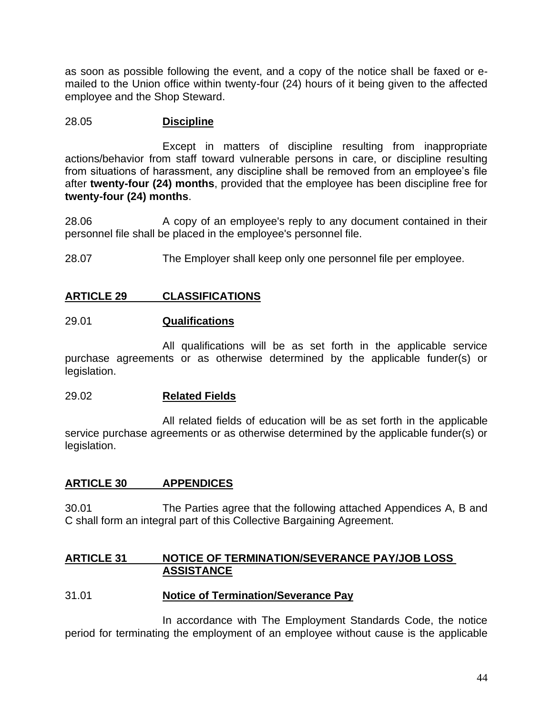as soon as possible following the event, and a copy of the notice shall be faxed or emailed to the Union office within twenty-four (24) hours of it being given to the affected employee and the Shop Steward.

### 28.05 **Discipline**

Except in matters of discipline resulting from inappropriate actions/behavior from staff toward vulnerable persons in care, or discipline resulting from situations of harassment, any discipline shall be removed from an employee's file after **twenty-four (24) months**, provided that the employee has been discipline free for **twenty-four (24) months**.

28.06 A copy of an employee's reply to any document contained in their personnel file shall be placed in the employee's personnel file.

28.07 The Employer shall keep only one personnel file per employee.

# **ARTICLE 29 CLASSIFICATIONS**

### 29.01 **Qualifications**

All qualifications will be as set forth in the applicable service purchase agreements or as otherwise determined by the applicable funder(s) or legislation.

### 29.02 **Related Fields**

All related fields of education will be as set forth in the applicable service purchase agreements or as otherwise determined by the applicable funder(s) or legislation.

# **ARTICLE 30 APPENDICES**

30.01 The Parties agree that the following attached Appendices A, B and C shall form an integral part of this Collective Bargaining Agreement.

### **ARTICLE 31 NOTICE OF TERMINATION/SEVERANCE PAY/JOB LOSS ASSISTANCE**

### 31.01 **Notice of Termination/Severance Pay**

In accordance with The Employment Standards Code, the notice period for terminating the employment of an employee without cause is the applicable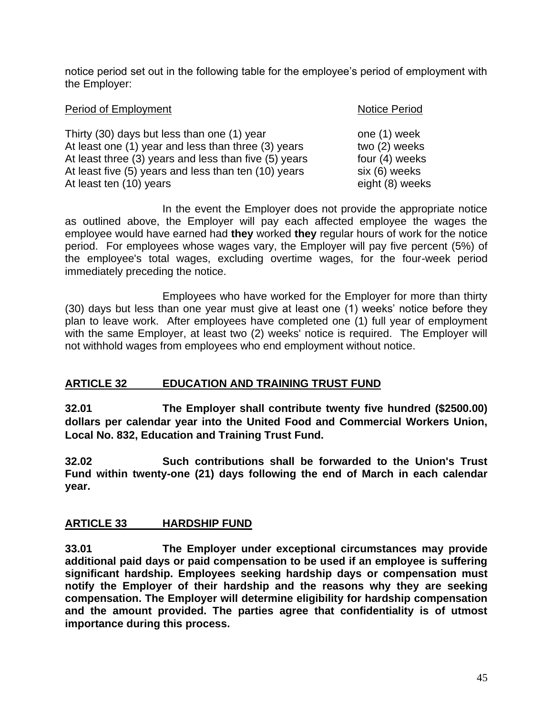notice period set out in the following table for the employee's period of employment with the Employer:

| Period of Employment                                                                                                                                                                                                | <b>Notice Period</b>                                             |
|---------------------------------------------------------------------------------------------------------------------------------------------------------------------------------------------------------------------|------------------------------------------------------------------|
| Thirty (30) days but less than one (1) year<br>At least one (1) year and less than three (3) years<br>At least three (3) years and less than five (5) years<br>At least five (5) years and less than ten (10) years | one (1) week<br>two (2) weeks<br>four (4) weeks<br>six (6) weeks |
| At least ten (10) years                                                                                                                                                                                             | eight (8) weeks                                                  |

In the event the Employer does not provide the appropriate notice as outlined above, the Employer will pay each affected employee the wages the employee would have earned had **they** worked **they** regular hours of work for the notice period. For employees whose wages vary, the Employer will pay five percent (5%) of the employee's total wages, excluding overtime wages, for the four-week period immediately preceding the notice.

Employees who have worked for the Employer for more than thirty (30) days but less than one year must give at least one (1) weeks' notice before they plan to leave work. After employees have completed one (1) full year of employment with the same Employer, at least two (2) weeks' notice is required. The Employer will not withhold wages from employees who end employment without notice.

# **ARTICLE 32 EDUCATION AND TRAINING TRUST FUND**

**32.01 The Employer shall contribute twenty five hundred (\$2500.00) dollars per calendar year into the United Food and Commercial Workers Union, Local No. 832, Education and Training Trust Fund.**

**32.02 Such contributions shall be forwarded to the Union's Trust Fund within twenty-one (21) days following the end of March in each calendar year.**

# **ARTICLE 33 HARDSHIP FUND**

**33.01 The Employer under exceptional circumstances may provide additional paid days or paid compensation to be used if an employee is suffering significant hardship. Employees seeking hardship days or compensation must notify the Employer of their hardship and the reasons why they are seeking compensation. The Employer will determine eligibility for hardship compensation and the amount provided. The parties agree that confidentiality is of utmost importance during this process.**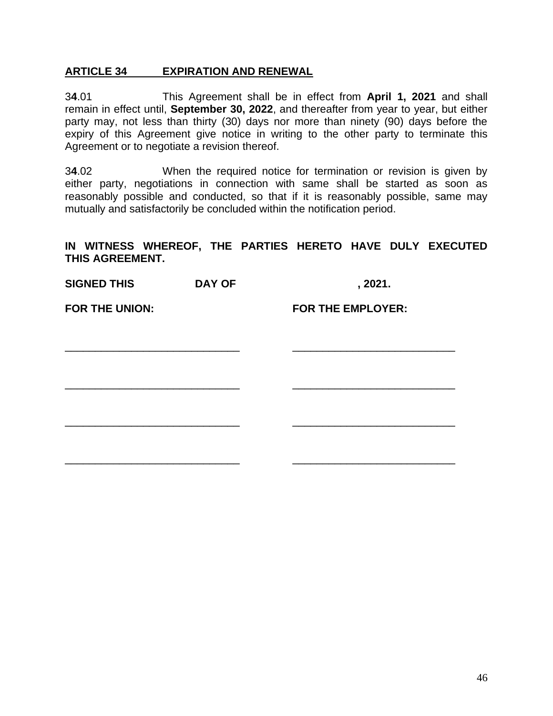#### **ARTICLE 34 EXPIRATION AND RENEWAL**

3**4**.01 This Agreement shall be in effect from **April 1, 2021** and shall remain in effect until, **September 30, 2022**, and thereafter from year to year, but either party may, not less than thirty (30) days nor more than ninety (90) days before the expiry of this Agreement give notice in writing to the other party to terminate this Agreement or to negotiate a revision thereof.

3**4**.02 When the required notice for termination or revision is given by either party, negotiations in connection with same shall be started as soon as reasonably possible and conducted, so that if it is reasonably possible, same may mutually and satisfactorily be concluded within the notification period.

#### **IN WITNESS WHEREOF, THE PARTIES HERETO HAVE DULY EXECUTED THIS AGREEMENT.**

**SIGNED THIS DAY OF , 2021. FOR THE UNION: FOR THE EMPLOYER:** \_\_\_\_\_\_\_\_\_\_\_\_\_\_\_\_\_\_\_\_\_\_\_\_\_\_\_\_\_ \_\_\_\_\_\_\_\_\_\_\_\_\_\_\_\_\_\_\_\_\_\_\_\_\_\_\_ \_\_\_\_\_\_\_\_\_\_\_\_\_\_\_\_\_\_\_\_\_\_\_\_\_\_\_\_\_ \_\_\_\_\_\_\_\_\_\_\_\_\_\_\_\_\_\_\_\_\_\_\_\_\_\_\_ \_\_\_\_\_\_\_\_\_\_\_\_\_\_\_\_\_\_\_\_\_\_\_\_\_\_\_\_\_ \_\_\_\_\_\_\_\_\_\_\_\_\_\_\_\_\_\_\_\_\_\_\_\_\_\_\_ \_\_\_\_\_\_\_\_\_\_\_\_\_\_\_\_\_\_\_\_\_\_\_\_\_\_\_\_\_ \_\_\_\_\_\_\_\_\_\_\_\_\_\_\_\_\_\_\_\_\_\_\_\_\_\_\_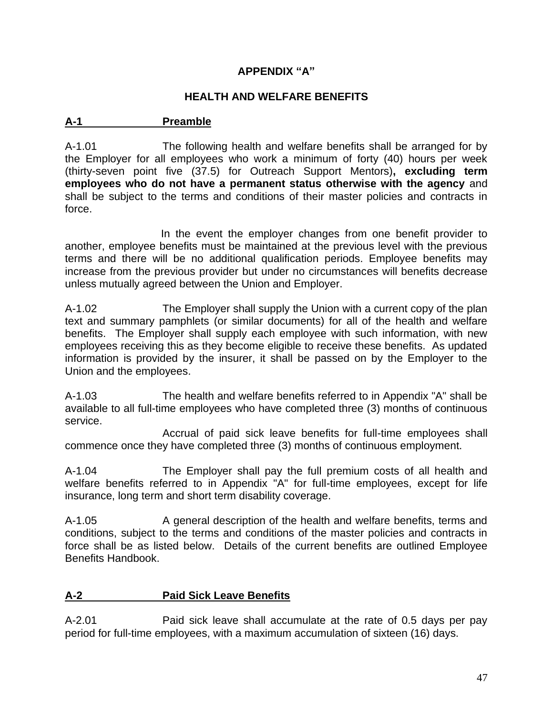# **APPENDIX "A"**

### **HEALTH AND WELFARE BENEFITS**

### **A-1 Preamble**

A-1.01 The following health and welfare benefits shall be arranged for by the Employer for all employees who work a minimum of forty (40) hours per week (thirty-seven point five (37.5) for Outreach Support Mentors)**, excluding term employees who do not have a permanent status otherwise with the agency** and shall be subject to the terms and conditions of their master policies and contracts in force.

In the event the employer changes from one benefit provider to another, employee benefits must be maintained at the previous level with the previous terms and there will be no additional qualification periods. Employee benefits may increase from the previous provider but under no circumstances will benefits decrease unless mutually agreed between the Union and Employer.

A-1.02 The Employer shall supply the Union with a current copy of the plan text and summary pamphlets (or similar documents) for all of the health and welfare benefits. The Employer shall supply each employee with such information, with new employees receiving this as they become eligible to receive these benefits. As updated information is provided by the insurer, it shall be passed on by the Employer to the Union and the employees.

A-1.03 The health and welfare benefits referred to in Appendix "A" shall be available to all full-time employees who have completed three (3) months of continuous service.

Accrual of paid sick leave benefits for full-time employees shall commence once they have completed three (3) months of continuous employment.

A-1.04 The Employer shall pay the full premium costs of all health and welfare benefits referred to in Appendix "A" for full-time employees, except for life insurance, long term and short term disability coverage.

A-1.05 A general description of the health and welfare benefits, terms and conditions, subject to the terms and conditions of the master policies and contracts in force shall be as listed below. Details of the current benefits are outlined Employee Benefits Handbook.

# **A-2 Paid Sick Leave Benefits**

A-2.01 Paid sick leave shall accumulate at the rate of 0.5 days per pay period for full-time employees, with a maximum accumulation of sixteen (16) days.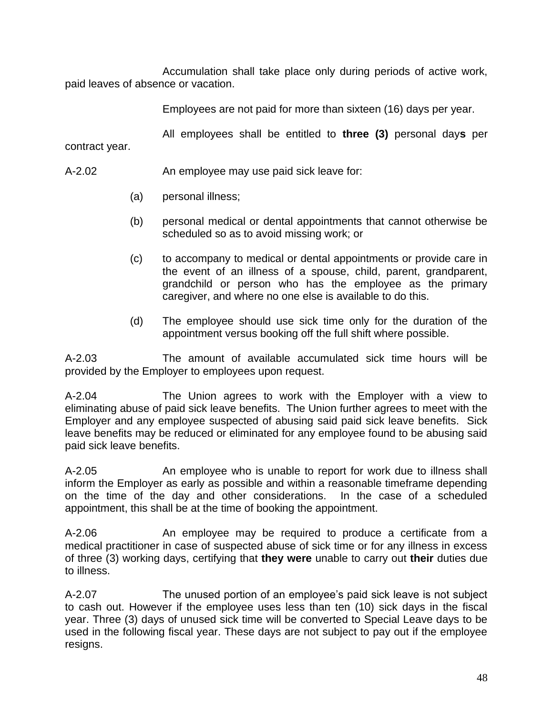Accumulation shall take place only during periods of active work, paid leaves of absence or vacation.

Employees are not paid for more than sixteen (16) days per year.

All employees shall be entitled to **three (3)** personal day**s** per

contract year.

- A-2.02 An employee may use paid sick leave for:
	- (a) personal illness;
	- (b) personal medical or dental appointments that cannot otherwise be scheduled so as to avoid missing work; or
	- (c) to accompany to medical or dental appointments or provide care in the event of an illness of a spouse, child, parent, grandparent, grandchild or person who has the employee as the primary caregiver, and where no one else is available to do this.
	- (d) The employee should use sick time only for the duration of the appointment versus booking off the full shift where possible.

A-2.03 The amount of available accumulated sick time hours will be provided by the Employer to employees upon request.

A-2.04 The Union agrees to work with the Employer with a view to eliminating abuse of paid sick leave benefits. The Union further agrees to meet with the Employer and any employee suspected of abusing said paid sick leave benefits. Sick leave benefits may be reduced or eliminated for any employee found to be abusing said paid sick leave benefits.

A-2.05 An employee who is unable to report for work due to illness shall inform the Employer as early as possible and within a reasonable timeframe depending on the time of the day and other considerations. In the case of a scheduled appointment, this shall be at the time of booking the appointment.

A-2.06 An employee may be required to produce a certificate from a medical practitioner in case of suspected abuse of sick time or for any illness in excess of three (3) working days, certifying that **they were** unable to carry out **their** duties due to illness.

A-2.07 The unused portion of an employee's paid sick leave is not subject to cash out. However if the employee uses less than ten (10) sick days in the fiscal year. Three (3) days of unused sick time will be converted to Special Leave days to be used in the following fiscal year. These days are not subject to pay out if the employee resigns.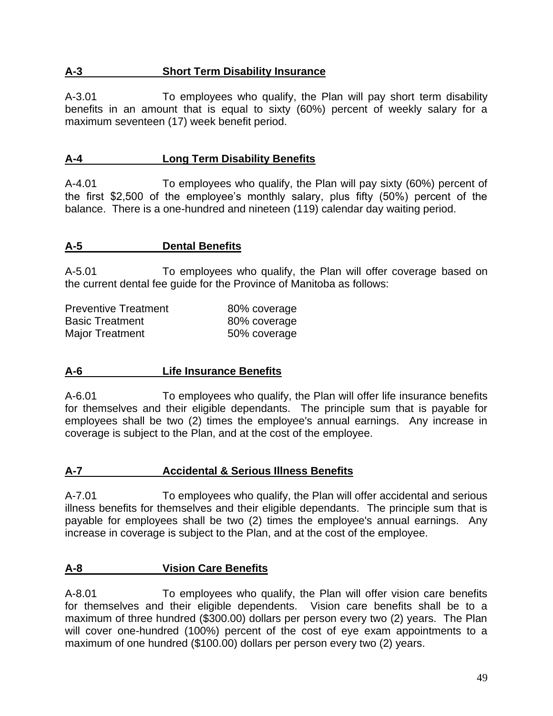### **A-3 Short Term Disability Insurance**

A-3.01 To employees who qualify, the Plan will pay short term disability benefits in an amount that is equal to sixty (60%) percent of weekly salary for a maximum seventeen (17) week benefit period.

### **A-4 Long Term Disability Benefits**

A-4.01 To employees who qualify, the Plan will pay sixty (60%) percent of the first \$2,500 of the employee's monthly salary, plus fifty (50%) percent of the balance. There is a one-hundred and nineteen (119) calendar day waiting period.

### **A-5 Dental Benefits**

A-5.01 To employees who qualify, the Plan will offer coverage based on the current dental fee guide for the Province of Manitoba as follows:

| <b>Preventive Treatment</b> | 80% coverage |
|-----------------------------|--------------|
| <b>Basic Treatment</b>      | 80% coverage |
| <b>Major Treatment</b>      | 50% coverage |

### **A-6 Life Insurance Benefits**

A-6.01 To employees who qualify, the Plan will offer life insurance benefits for themselves and their eligible dependants. The principle sum that is payable for employees shall be two (2) times the employee's annual earnings. Any increase in coverage is subject to the Plan, and at the cost of the employee.

### **A-7 Accidental & Serious Illness Benefits**

A-7.01 To employees who qualify, the Plan will offer accidental and serious illness benefits for themselves and their eligible dependants. The principle sum that is payable for employees shall be two (2) times the employee's annual earnings. Any increase in coverage is subject to the Plan, and at the cost of the employee.

### **A-8 Vision Care Benefits**

A-8.01 To employees who qualify, the Plan will offer vision care benefits for themselves and their eligible dependents. Vision care benefits shall be to a maximum of three hundred (\$300.00) dollars per person every two (2) years. The Plan will cover one-hundred (100%) percent of the cost of eye exam appointments to a maximum of one hundred (\$100.00) dollars per person every two (2) years.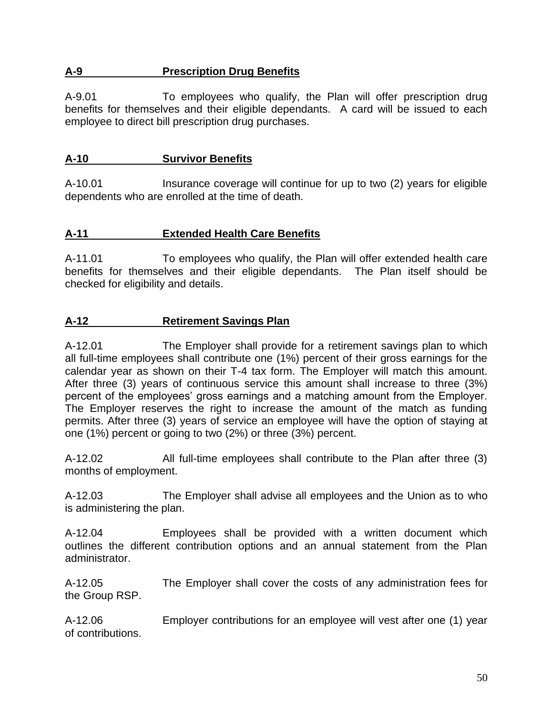### **A-9 Prescription Drug Benefits**

A-9.01 To employees who qualify, the Plan will offer prescription drug benefits for themselves and their eligible dependants. A card will be issued to each employee to direct bill prescription drug purchases.

### **A-10 Survivor Benefits**

A-10.01 Insurance coverage will continue for up to two (2) years for eligible dependents who are enrolled at the time of death.

### **A-11 Extended Health Care Benefits**

A-11.01 To employees who qualify, the Plan will offer extended health care benefits for themselves and their eligible dependants. The Plan itself should be checked for eligibility and details.

### **A-12 Retirement Savings Plan**

A-12.01 The Employer shall provide for a retirement savings plan to which all full-time employees shall contribute one (1%) percent of their gross earnings for the calendar year as shown on their T-4 tax form. The Employer will match this amount. After three (3) years of continuous service this amount shall increase to three (3%) percent of the employees' gross earnings and a matching amount from the Employer. The Employer reserves the right to increase the amount of the match as funding permits. After three (3) years of service an employee will have the option of staying at one (1%) percent or going to two (2%) or three (3%) percent.

A-12.02 All full-time employees shall contribute to the Plan after three (3) months of employment.

A-12.03 The Employer shall advise all employees and the Union as to who is administering the plan.

A-12.04 Employees shall be provided with a written document which outlines the different contribution options and an annual statement from the Plan administrator.

A-12.05 The Employer shall cover the costs of any administration fees for the Group RSP.

A-12.06 Employer contributions for an employee will vest after one (1) year of contributions.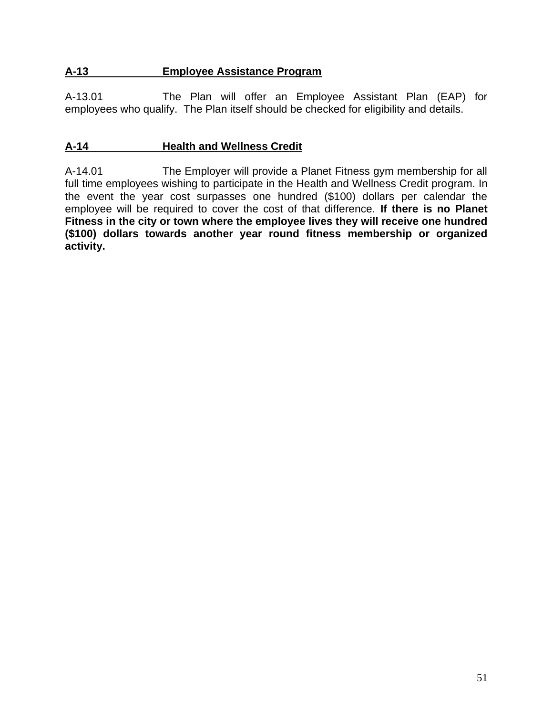# **A-13 Employee Assistance Program**

A-13.01 The Plan will offer an Employee Assistant Plan (EAP) for employees who qualify. The Plan itself should be checked for eligibility and details.

### **A-14 Health and Wellness Credit**

A-14.01 The Employer will provide a Planet Fitness gym membership for all full time employees wishing to participate in the Health and Wellness Credit program. In the event the year cost surpasses one hundred (\$100) dollars per calendar the employee will be required to cover the cost of that difference. **If there is no Planet Fitness in the city or town where the employee lives they will receive one hundred (\$100) dollars towards another year round fitness membership or organized activity.**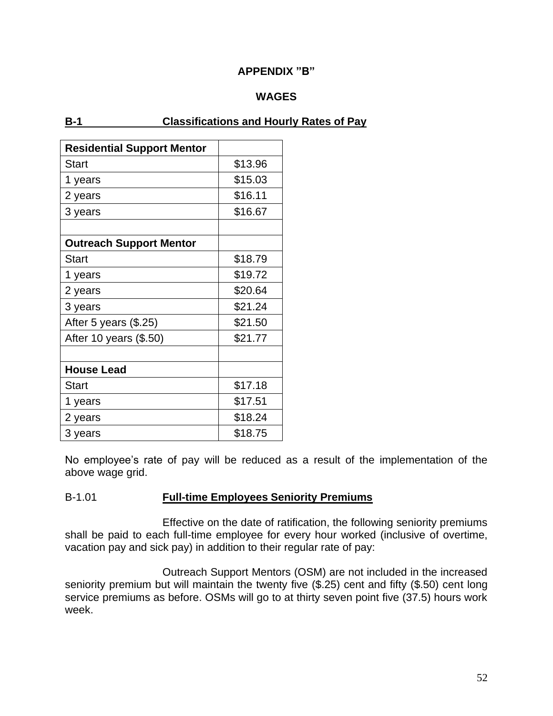### **APPENDIX "B"**

### **WAGES**

### **B-1 Classifications and Hourly Rates of Pay**

| <b>Residential Support Mentor</b> |         |
|-----------------------------------|---------|
| <b>Start</b>                      | \$13.96 |
| 1 years                           | \$15.03 |
| 2 years                           | \$16.11 |
| 3 years                           | \$16.67 |
|                                   |         |
| <b>Outreach Support Mentor</b>    |         |
| <b>Start</b>                      | \$18.79 |
| 1 years                           | \$19.72 |
| 2 years                           | \$20.64 |
| 3 years                           | \$21.24 |
| After 5 years (\$.25)             | \$21.50 |
| After 10 years (\$.50)            | \$21.77 |
|                                   |         |
| <b>House Lead</b>                 |         |
| <b>Start</b>                      | \$17.18 |
| 1 years                           | \$17.51 |
| 2 years                           | \$18.24 |
| 3 years                           | \$18.75 |

No employee's rate of pay will be reduced as a result of the implementation of the above wage grid.

### B-1.01 **Full-time Employees Seniority Premiums**

Effective on the date of ratification, the following seniority premiums shall be paid to each full-time employee for every hour worked (inclusive of overtime, vacation pay and sick pay) in addition to their regular rate of pay:

Outreach Support Mentors (OSM) are not included in the increased seniority premium but will maintain the twenty five (\$.25) cent and fifty (\$.50) cent long service premiums as before. OSMs will go to at thirty seven point five (37.5) hours work week.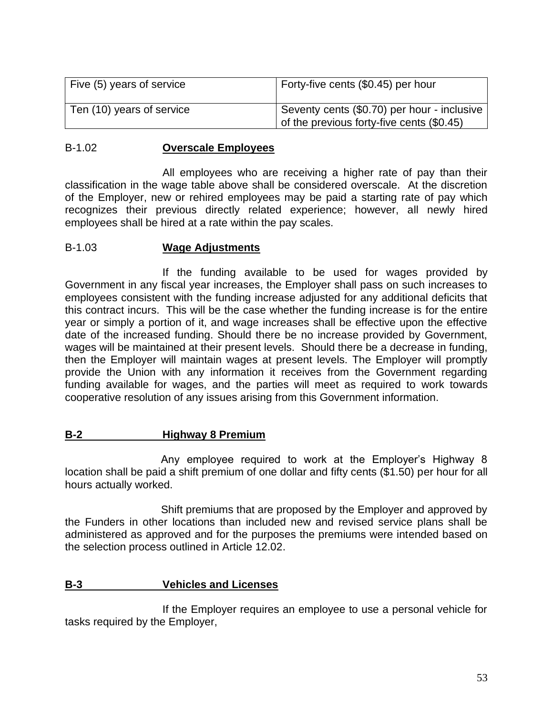| Five (5) years of service | Forty-five cents (\$0.45) per hour                                                         |
|---------------------------|--------------------------------------------------------------------------------------------|
| Ten (10) years of service | Seventy cents (\$0.70) per hour - inclusive<br>of the previous forty-five cents $(\$0.45)$ |

#### B-1.02 **Overscale Employees**

All employees who are receiving a higher rate of pay than their classification in the wage table above shall be considered overscale. At the discretion of the Employer, new or rehired employees may be paid a starting rate of pay which recognizes their previous directly related experience; however, all newly hired employees shall be hired at a rate within the pay scales.

#### B-1.03 **Wage Adjustments**

If the funding available to be used for wages provided by Government in any fiscal year increases, the Employer shall pass on such increases to employees consistent with the funding increase adjusted for any additional deficits that this contract incurs. This will be the case whether the funding increase is for the entire year or simply a portion of it, and wage increases shall be effective upon the effective date of the increased funding. Should there be no increase provided by Government, wages will be maintained at their present levels. Should there be a decrease in funding, then the Employer will maintain wages at present levels. The Employer will promptly provide the Union with any information it receives from the Government regarding funding available for wages, and the parties will meet as required to work towards cooperative resolution of any issues arising from this Government information.

### **B-2 Highway 8 Premium**

Any employee required to work at the Employer's Highway 8 location shall be paid a shift premium of one dollar and fifty cents (\$1.50) per hour for all hours actually worked.

Shift premiums that are proposed by the Employer and approved by the Funders in other locations than included new and revised service plans shall be administered as approved and for the purposes the premiums were intended based on the selection process outlined in Article 12.02.

### **B-3 Vehicles and Licenses**

If the Employer requires an employee to use a personal vehicle for tasks required by the Employer,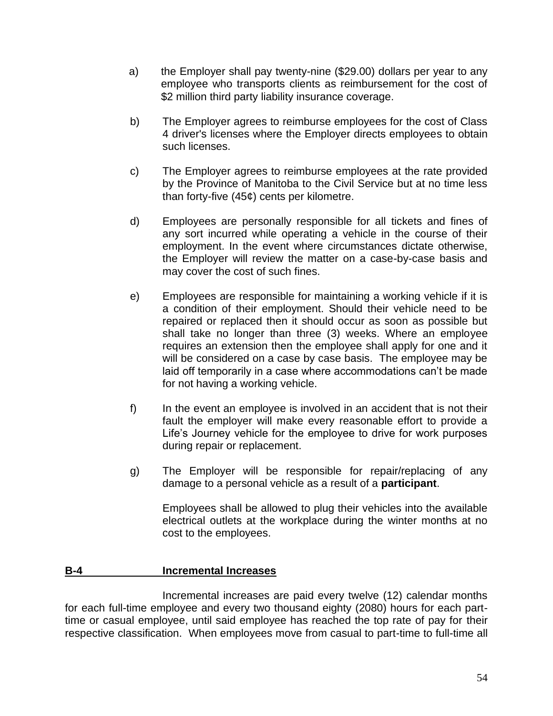- a) the Employer shall pay twenty-nine (\$29.00) dollars per year to any employee who transports clients as reimbursement for the cost of \$2 million third party liability insurance coverage.
- b) The Employer agrees to reimburse employees for the cost of Class 4 driver's licenses where the Employer directs employees to obtain such licenses.
- c) The Employer agrees to reimburse employees at the rate provided by the Province of Manitoba to the Civil Service but at no time less than forty-five (45¢) cents per kilometre.
- d) Employees are personally responsible for all tickets and fines of any sort incurred while operating a vehicle in the course of their employment. In the event where circumstances dictate otherwise, the Employer will review the matter on a case-by-case basis and may cover the cost of such fines.
- e) Employees are responsible for maintaining a working vehicle if it is a condition of their employment. Should their vehicle need to be repaired or replaced then it should occur as soon as possible but shall take no longer than three (3) weeks. Where an employee requires an extension then the employee shall apply for one and it will be considered on a case by case basis. The employee may be laid off temporarily in a case where accommodations can't be made for not having a working vehicle.
- f) In the event an employee is involved in an accident that is not their fault the employer will make every reasonable effort to provide a Life's Journey vehicle for the employee to drive for work purposes during repair or replacement.
- g) The Employer will be responsible for repair/replacing of any damage to a personal vehicle as a result of a **participant**.

Employees shall be allowed to plug their vehicles into the available electrical outlets at the workplace during the winter months at no cost to the employees.

### **B-4 Incremental Increases**

Incremental increases are paid every twelve (12) calendar months for each full-time employee and every two thousand eighty (2080) hours for each parttime or casual employee, until said employee has reached the top rate of pay for their respective classification. When employees move from casual to part-time to full-time all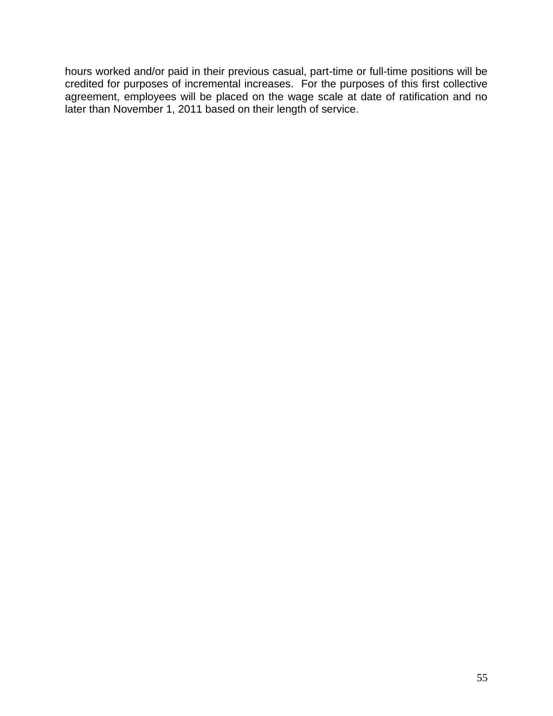hours worked and/or paid in their previous casual, part-time or full-time positions will be credited for purposes of incremental increases. For the purposes of this first collective agreement, employees will be placed on the wage scale at date of ratification and no later than November 1, 2011 based on their length of service.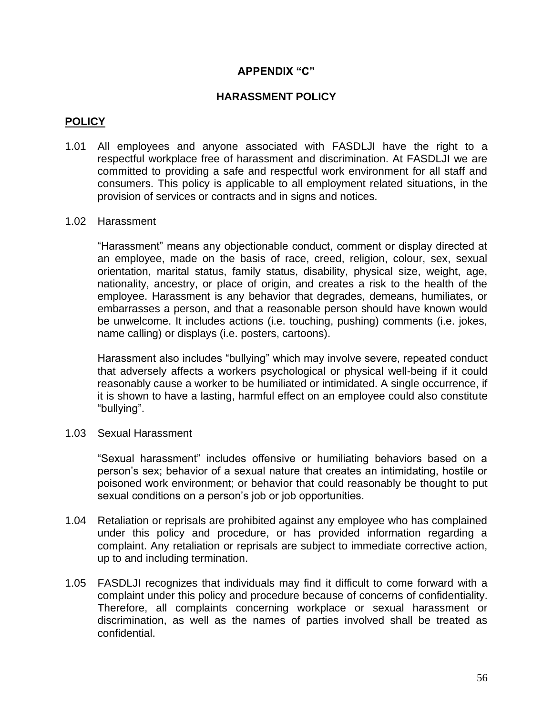### **APPENDIX "C"**

### **HARASSMENT POLICY**

### **POLICY**

- 1.01 All employees and anyone associated with FASDLJI have the right to a respectful workplace free of harassment and discrimination. At FASDLJI we are committed to providing a safe and respectful work environment for all staff and consumers. This policy is applicable to all employment related situations, in the provision of services or contracts and in signs and notices.
- 1.02 Harassment

"Harassment" means any objectionable conduct, comment or display directed at an employee, made on the basis of race, creed, religion, colour, sex, sexual orientation, marital status, family status, disability, physical size, weight, age, nationality, ancestry, or place of origin, and creates a risk to the health of the employee. Harassment is any behavior that degrades, demeans, humiliates, or embarrasses a person, and that a reasonable person should have known would be unwelcome. It includes actions (i.e. touching, pushing) comments (i.e. jokes, name calling) or displays (i.e. posters, cartoons).

Harassment also includes "bullying" which may involve severe, repeated conduct that adversely affects a workers psychological or physical well-being if it could reasonably cause a worker to be humiliated or intimidated. A single occurrence, if it is shown to have a lasting, harmful effect on an employee could also constitute "bullying".

1.03 Sexual Harassment

"Sexual harassment" includes offensive or humiliating behaviors based on a person's sex; behavior of a sexual nature that creates an intimidating, hostile or poisoned work environment; or behavior that could reasonably be thought to put sexual conditions on a person's job or job opportunities.

- 1.04 Retaliation or reprisals are prohibited against any employee who has complained under this policy and procedure, or has provided information regarding a complaint. Any retaliation or reprisals are subject to immediate corrective action, up to and including termination.
- 1.05 FASDLJI recognizes that individuals may find it difficult to come forward with a complaint under this policy and procedure because of concerns of confidentiality. Therefore, all complaints concerning workplace or sexual harassment or discrimination, as well as the names of parties involved shall be treated as confidential.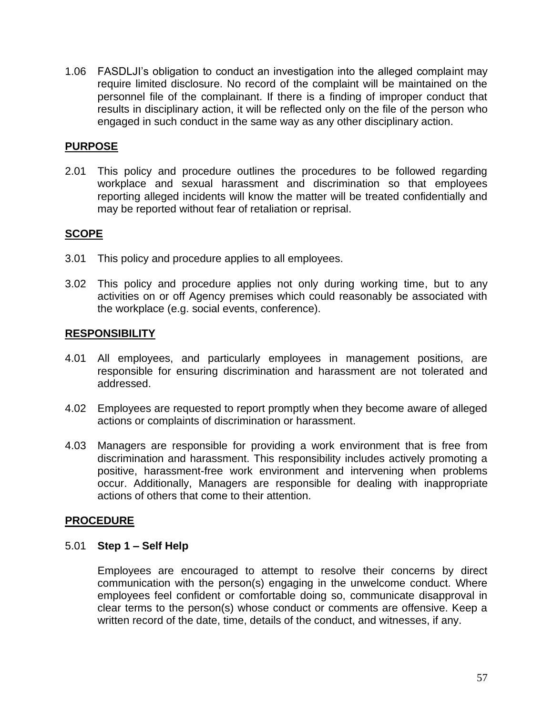1.06 FASDLJI's obligation to conduct an investigation into the alleged complaint may require limited disclosure. No record of the complaint will be maintained on the personnel file of the complainant. If there is a finding of improper conduct that results in disciplinary action, it will be reflected only on the file of the person who engaged in such conduct in the same way as any other disciplinary action.

### **PURPOSE**

2.01 This policy and procedure outlines the procedures to be followed regarding workplace and sexual harassment and discrimination so that employees reporting alleged incidents will know the matter will be treated confidentially and may be reported without fear of retaliation or reprisal.

### **SCOPE**

- 3.01 This policy and procedure applies to all employees.
- 3.02 This policy and procedure applies not only during working time, but to any activities on or off Agency premises which could reasonably be associated with the workplace (e.g. social events, conference).

### **RESPONSIBILITY**

- 4.01 All employees, and particularly employees in management positions, are responsible for ensuring discrimination and harassment are not tolerated and addressed.
- 4.02 Employees are requested to report promptly when they become aware of alleged actions or complaints of discrimination or harassment.
- 4.03 Managers are responsible for providing a work environment that is free from discrimination and harassment. This responsibility includes actively promoting a positive, harassment-free work environment and intervening when problems occur. Additionally, Managers are responsible for dealing with inappropriate actions of others that come to their attention.

### **PROCEDURE**

### 5.01 **Step 1 – Self Help**

Employees are encouraged to attempt to resolve their concerns by direct communication with the person(s) engaging in the unwelcome conduct. Where employees feel confident or comfortable doing so, communicate disapproval in clear terms to the person(s) whose conduct or comments are offensive. Keep a written record of the date, time, details of the conduct, and witnesses, if any.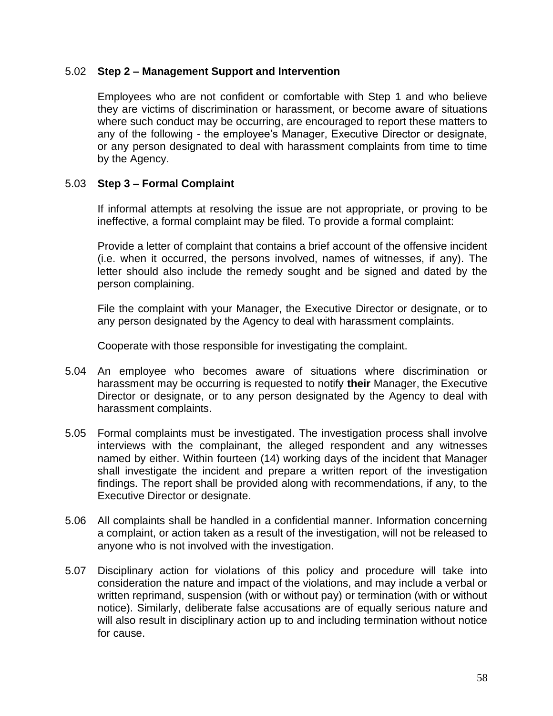#### 5.02 **Step 2 – Management Support and Intervention**

Employees who are not confident or comfortable with Step 1 and who believe they are victims of discrimination or harassment, or become aware of situations where such conduct may be occurring, are encouraged to report these matters to any of the following - the employee's Manager, Executive Director or designate, or any person designated to deal with harassment complaints from time to time by the Agency.

#### 5.03 **Step 3 – Formal Complaint**

If informal attempts at resolving the issue are not appropriate, or proving to be ineffective, a formal complaint may be filed. To provide a formal complaint:

Provide a letter of complaint that contains a brief account of the offensive incident (i.e. when it occurred, the persons involved, names of witnesses, if any). The letter should also include the remedy sought and be signed and dated by the person complaining.

File the complaint with your Manager, the Executive Director or designate, or to any person designated by the Agency to deal with harassment complaints.

Cooperate with those responsible for investigating the complaint.

- 5.04 An employee who becomes aware of situations where discrimination or harassment may be occurring is requested to notify **their** Manager, the Executive Director or designate, or to any person designated by the Agency to deal with harassment complaints.
- 5.05 Formal complaints must be investigated. The investigation process shall involve interviews with the complainant, the alleged respondent and any witnesses named by either. Within fourteen (14) working days of the incident that Manager shall investigate the incident and prepare a written report of the investigation findings. The report shall be provided along with recommendations, if any, to the Executive Director or designate.
- 5.06 All complaints shall be handled in a confidential manner. Information concerning a complaint, or action taken as a result of the investigation, will not be released to anyone who is not involved with the investigation.
- 5.07 Disciplinary action for violations of this policy and procedure will take into consideration the nature and impact of the violations, and may include a verbal or written reprimand, suspension (with or without pay) or termination (with or without notice). Similarly, deliberate false accusations are of equally serious nature and will also result in disciplinary action up to and including termination without notice for cause.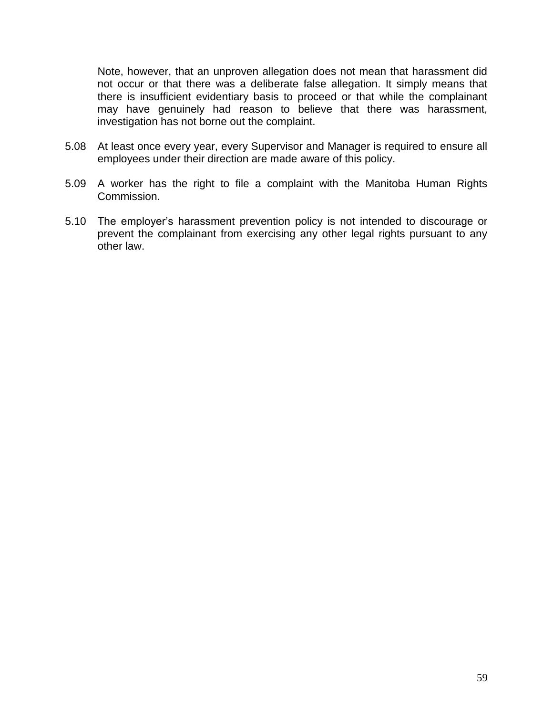Note, however, that an unproven allegation does not mean that harassment did not occur or that there was a deliberate false allegation. It simply means that there is insufficient evidentiary basis to proceed or that while the complainant may have genuinely had reason to believe that there was harassment, investigation has not borne out the complaint.

- 5.08 At least once every year, every Supervisor and Manager is required to ensure all employees under their direction are made aware of this policy.
- 5.09 A worker has the right to file a complaint with the Manitoba Human Rights Commission.
- 5.10 The employer's harassment prevention policy is not intended to discourage or prevent the complainant from exercising any other legal rights pursuant to any other law.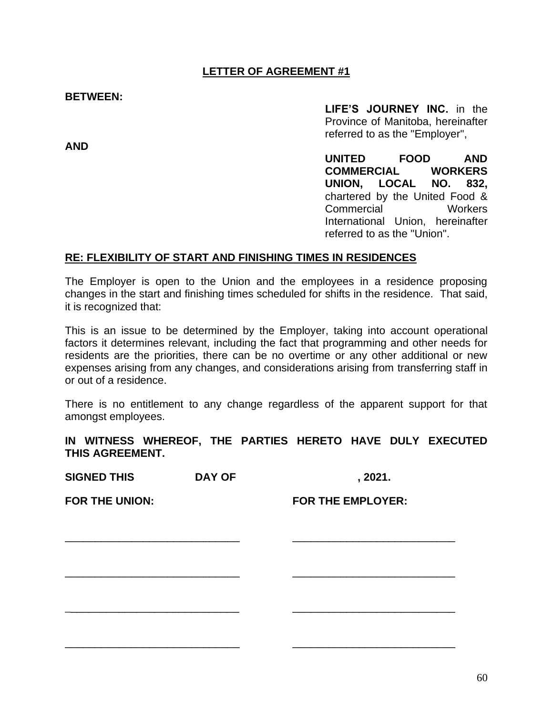### **LETTER OF AGREEMENT #1**

**BETWEEN:**

**LIFE'S JOURNEY INC.** in the Province of Manitoba, hereinafter referred to as the "Employer",

**UNITED FOOD AND COMMERCIAL WORKERS UNION, LOCAL NO. 832,** chartered by the United Food & Commercial Workers International Union, hereinafter referred to as the "Union".

### **RE: FLEXIBILITY OF START AND FINISHING TIMES IN RESIDENCES**

The Employer is open to the Union and the employees in a residence proposing changes in the start and finishing times scheduled for shifts in the residence. That said, it is recognized that:

This is an issue to be determined by the Employer, taking into account operational factors it determines relevant, including the fact that programming and other needs for residents are the priorities, there can be no overtime or any other additional or new expenses arising from any changes, and considerations arising from transferring staff in or out of a residence.

There is no entitlement to any change regardless of the apparent support for that amongst employees.

**IN WITNESS WHEREOF, THE PARTIES HERETO HAVE DULY EXECUTED THIS AGREEMENT.**

\_\_\_\_\_\_\_\_\_\_\_\_\_\_\_\_\_\_\_\_\_\_\_\_\_\_\_\_\_ \_\_\_\_\_\_\_\_\_\_\_\_\_\_\_\_\_\_\_\_\_\_\_\_\_\_\_

\_\_\_\_\_\_\_\_\_\_\_\_\_\_\_\_\_\_\_\_\_\_\_\_\_\_\_\_\_ \_\_\_\_\_\_\_\_\_\_\_\_\_\_\_\_\_\_\_\_\_\_\_\_\_\_\_

\_\_\_\_\_\_\_\_\_\_\_\_\_\_\_\_\_\_\_\_\_\_\_\_\_\_\_\_\_ \_\_\_\_\_\_\_\_\_\_\_\_\_\_\_\_\_\_\_\_\_\_\_\_\_\_\_

\_\_\_\_\_\_\_\_\_\_\_\_\_\_\_\_\_\_\_\_\_\_\_\_\_\_\_\_\_ \_\_\_\_\_\_\_\_\_\_\_\_\_\_\_\_\_\_\_\_\_\_\_\_\_\_\_

**SIGNED THIS DAY OF , 2021.**

**FOR THE UNION: FOR THE EMPLOYER:**

**AND**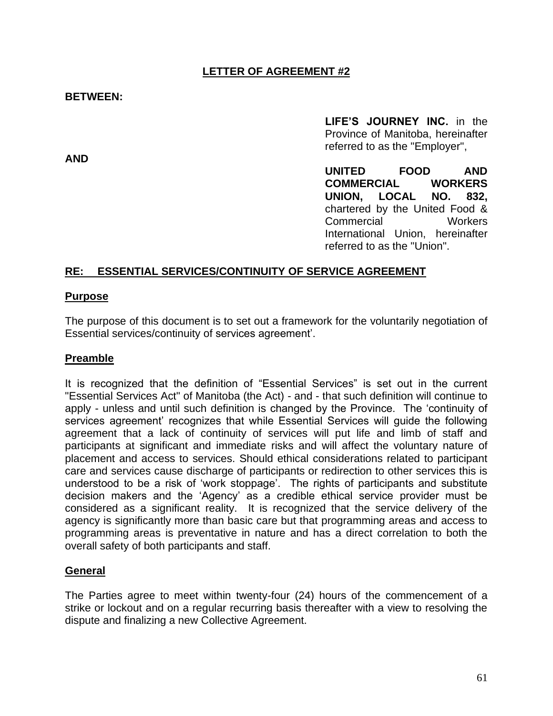### **LETTER OF AGREEMENT #2**

#### **BETWEEN:**

**AND**

**LIFE'S JOURNEY INC.** in the Province of Manitoba, hereinafter referred to as the "Employer",

**UNITED FOOD AND COMMERCIAL WORKERS UNION, LOCAL NO. 832,** chartered by the United Food & Commercial Workers International Union, hereinafter referred to as the "Union".

#### **RE: ESSENTIAL SERVICES/CONTINUITY OF SERVICE AGREEMENT**

#### **Purpose**

The purpose of this document is to set out a framework for the voluntarily negotiation of Essential services/continuity of services agreement'.

#### **Preamble**

It is recognized that the definition of "Essential Services" is set out in the current "Essential Services Act" of Manitoba (the Act) - and - that such definition will continue to apply - unless and until such definition is changed by the Province. The 'continuity of services agreement' recognizes that while Essential Services will guide the following agreement that a lack of continuity of services will put life and limb of staff and participants at significant and immediate risks and will affect the voluntary nature of placement and access to services. Should ethical considerations related to participant care and services cause discharge of participants or redirection to other services this is understood to be a risk of 'work stoppage'. The rights of participants and substitute decision makers and the 'Agency' as a credible ethical service provider must be considered as a significant reality. It is recognized that the service delivery of the agency is significantly more than basic care but that programming areas and access to programming areas is preventative in nature and has a direct correlation to both the overall safety of both participants and staff.

#### **General**

The Parties agree to meet within twenty-four (24) hours of the commencement of a strike or lockout and on a regular recurring basis thereafter with a view to resolving the dispute and finalizing a new Collective Agreement.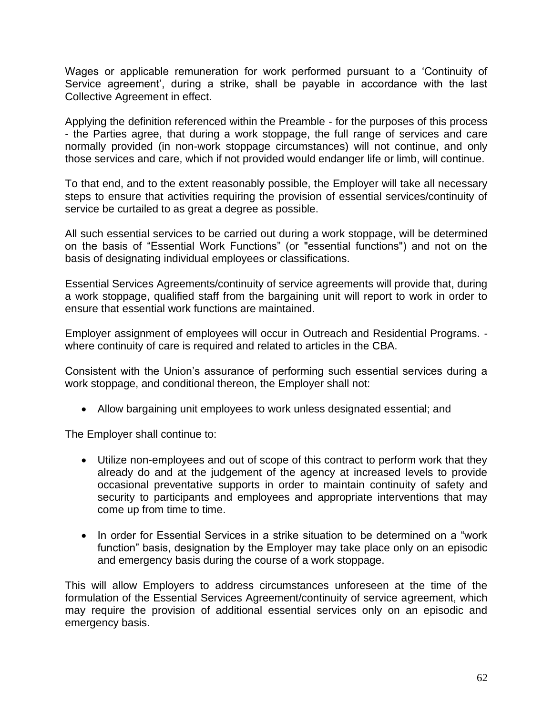Wages or applicable remuneration for work performed pursuant to a 'Continuity of Service agreement', during a strike, shall be payable in accordance with the last Collective Agreement in effect.

Applying the definition referenced within the Preamble - for the purposes of this process - the Parties agree, that during a work stoppage, the full range of services and care normally provided (in non-work stoppage circumstances) will not continue, and only those services and care, which if not provided would endanger life or limb, will continue.

To that end, and to the extent reasonably possible, the Employer will take all necessary steps to ensure that activities requiring the provision of essential services/continuity of service be curtailed to as great a degree as possible.

All such essential services to be carried out during a work stoppage, will be determined on the basis of "Essential Work Functions" (or "essential functions") and not on the basis of designating individual employees or classifications.

Essential Services Agreements/continuity of service agreements will provide that, during a work stoppage, qualified staff from the bargaining unit will report to work in order to ensure that essential work functions are maintained.

Employer assignment of employees will occur in Outreach and Residential Programs. where continuity of care is required and related to articles in the CBA.

Consistent with the Union's assurance of performing such essential services during a work stoppage, and conditional thereon, the Employer shall not:

• Allow bargaining unit employees to work unless designated essential; and

The Employer shall continue to:

- Utilize non-employees and out of scope of this contract to perform work that they already do and at the judgement of the agency at increased levels to provide occasional preventative supports in order to maintain continuity of safety and security to participants and employees and appropriate interventions that may come up from time to time.
- In order for Essential Services in a strike situation to be determined on a "work function" basis, designation by the Employer may take place only on an episodic and emergency basis during the course of a work stoppage.

This will allow Employers to address circumstances unforeseen at the time of the formulation of the Essential Services Agreement/continuity of service agreement, which may require the provision of additional essential services only on an episodic and emergency basis.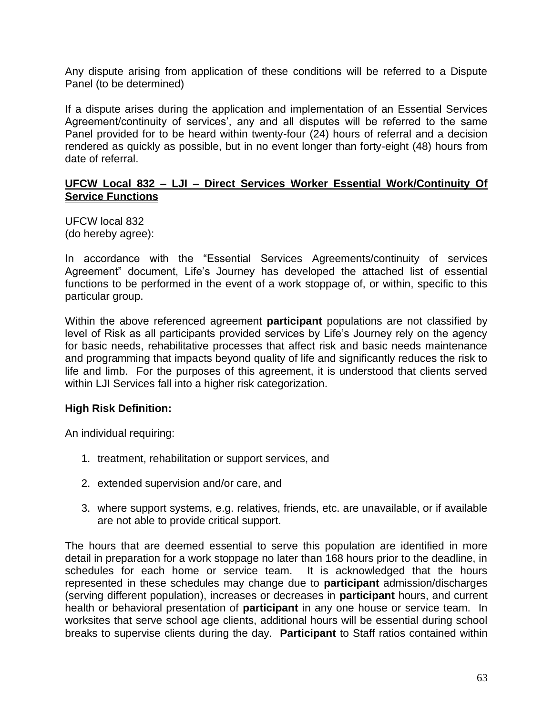Any dispute arising from application of these conditions will be referred to a Dispute Panel (to be determined)

If a dispute arises during the application and implementation of an Essential Services Agreement/continuity of services', any and all disputes will be referred to the same Panel provided for to be heard within twenty-four (24) hours of referral and a decision rendered as quickly as possible, but in no event longer than forty-eight (48) hours from date of referral.

#### **UFCW Local 832 – LJI – Direct Services Worker Essential Work/Continuity Of Service Functions**

UFCW local 832 (do hereby agree):

In accordance with the "Essential Services Agreements/continuity of services Agreement" document, Life's Journey has developed the attached list of essential functions to be performed in the event of a work stoppage of, or within, specific to this particular group.

Within the above referenced agreement **participant** populations are not classified by level of Risk as all participants provided services by Life's Journey rely on the agency for basic needs, rehabilitative processes that affect risk and basic needs maintenance and programming that impacts beyond quality of life and significantly reduces the risk to life and limb. For the purposes of this agreement, it is understood that clients served within LJI Services fall into a higher risk categorization.

### **High Risk Definition:**

An individual requiring:

- 1. treatment, rehabilitation or support services, and
- 2. extended supervision and/or care, and
- 3. where support systems, e.g. relatives, friends, etc. are unavailable, or if available are not able to provide critical support.

The hours that are deemed essential to serve this population are identified in more detail in preparation for a work stoppage no later than 168 hours prior to the deadline, in schedules for each home or service team. It is acknowledged that the hours represented in these schedules may change due to **participant** admission/discharges (serving different population), increases or decreases in **participant** hours, and current health or behavioral presentation of **participant** in any one house or service team. In worksites that serve school age clients, additional hours will be essential during school breaks to supervise clients during the day. **Participant** to Staff ratios contained within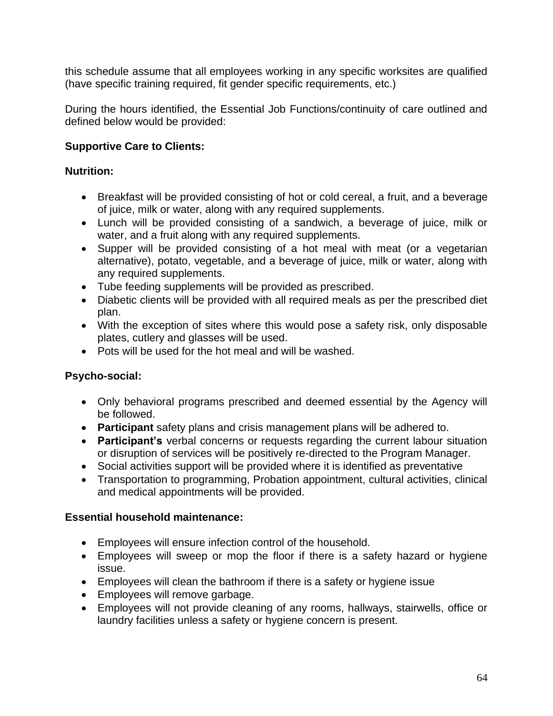this schedule assume that all employees working in any specific worksites are qualified (have specific training required, fit gender specific requirements, etc.)

During the hours identified, the Essential Job Functions/continuity of care outlined and defined below would be provided:

# **Supportive Care to Clients:**

# **Nutrition:**

- Breakfast will be provided consisting of hot or cold cereal, a fruit, and a beverage of juice, milk or water, along with any required supplements.
- Lunch will be provided consisting of a sandwich, a beverage of juice, milk or water, and a fruit along with any required supplements.
- Supper will be provided consisting of a hot meal with meat (or a vegetarian alternative), potato, vegetable, and a beverage of juice, milk or water, along with any required supplements.
- Tube feeding supplements will be provided as prescribed.
- Diabetic clients will be provided with all required meals as per the prescribed diet plan.
- With the exception of sites where this would pose a safety risk, only disposable plates, cutlery and glasses will be used.
- Pots will be used for the hot meal and will be washed.

# **Psycho-social:**

- Only behavioral programs prescribed and deemed essential by the Agency will be followed.
- **Participant** safety plans and crisis management plans will be adhered to.
- **Participant's** verbal concerns or requests regarding the current labour situation or disruption of services will be positively re-directed to the Program Manager.
- Social activities support will be provided where it is identified as preventative
- Transportation to programming, Probation appointment, cultural activities, clinical and medical appointments will be provided.

# **Essential household maintenance:**

- Employees will ensure infection control of the household.
- Employees will sweep or mop the floor if there is a safety hazard or hygiene issue.
- Employees will clean the bathroom if there is a safety or hygiene issue
- Employees will remove garbage.
- Employees will not provide cleaning of any rooms, hallways, stairwells, office or laundry facilities unless a safety or hygiene concern is present.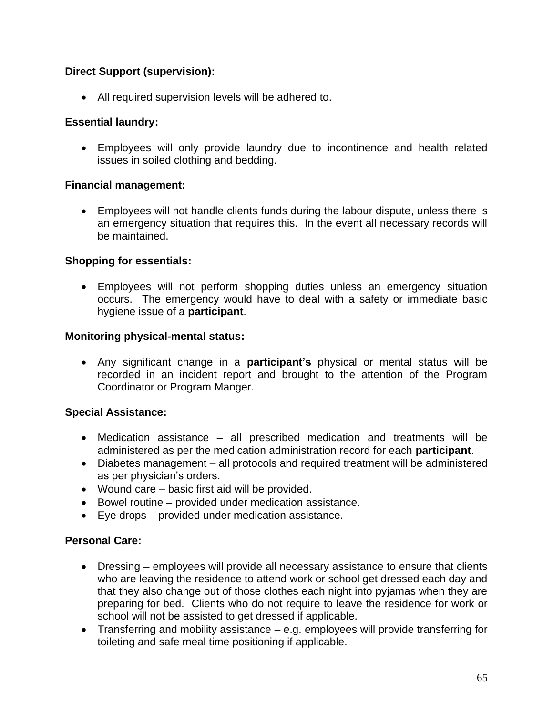# **Direct Support (supervision):**

• All required supervision levels will be adhered to.

### **Essential laundry:**

• Employees will only provide laundry due to incontinence and health related issues in soiled clothing and bedding.

### **Financial management:**

• Employees will not handle clients funds during the labour dispute, unless there is an emergency situation that requires this. In the event all necessary records will be maintained.

### **Shopping for essentials:**

• Employees will not perform shopping duties unless an emergency situation occurs. The emergency would have to deal with a safety or immediate basic hygiene issue of a **participant**.

### **Monitoring physical-mental status:**

• Any significant change in a **participant's** physical or mental status will be recorded in an incident report and brought to the attention of the Program Coordinator or Program Manger.

# **Special Assistance:**

- Medication assistance all prescribed medication and treatments will be administered as per the medication administration record for each **participant**.
- Diabetes management all protocols and required treatment will be administered as per physician's orders.
- Wound care basic first aid will be provided.
- Bowel routine provided under medication assistance.
- Eye drops provided under medication assistance.

### **Personal Care:**

- Dressing employees will provide all necessary assistance to ensure that clients who are leaving the residence to attend work or school get dressed each day and that they also change out of those clothes each night into pyjamas when they are preparing for bed. Clients who do not require to leave the residence for work or school will not be assisted to get dressed if applicable.
- Transferring and mobility assistance e.g. employees will provide transferring for toileting and safe meal time positioning if applicable.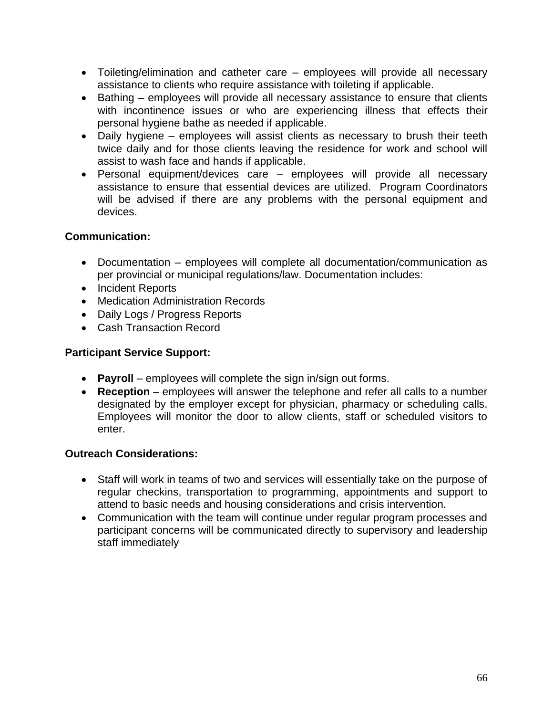- Toileting/elimination and catheter care employees will provide all necessary assistance to clients who require assistance with toileting if applicable.
- Bathing employees will provide all necessary assistance to ensure that clients with incontinence issues or who are experiencing illness that effects their personal hygiene bathe as needed if applicable.
- Daily hygiene employees will assist clients as necessary to brush their teeth twice daily and for those clients leaving the residence for work and school will assist to wash face and hands if applicable.
- Personal equipment/devices care employees will provide all necessary assistance to ensure that essential devices are utilized. Program Coordinators will be advised if there are any problems with the personal equipment and devices.

# **Communication:**

- Documentation employees will complete all documentation/communication as per provincial or municipal regulations/law. Documentation includes:
- Incident Reports
- Medication Administration Records
- Daily Logs / Progress Reports
- Cash Transaction Record

### **Participant Service Support:**

- **Payroll** employees will complete the sign in/sign out forms.
- **Reception** employees will answer the telephone and refer all calls to a number designated by the employer except for physician, pharmacy or scheduling calls. Employees will monitor the door to allow clients, staff or scheduled visitors to enter.

### **Outreach Considerations:**

- Staff will work in teams of two and services will essentially take on the purpose of regular checkins, transportation to programming, appointments and support to attend to basic needs and housing considerations and crisis intervention.
- Communication with the team will continue under regular program processes and participant concerns will be communicated directly to supervisory and leadership staff immediately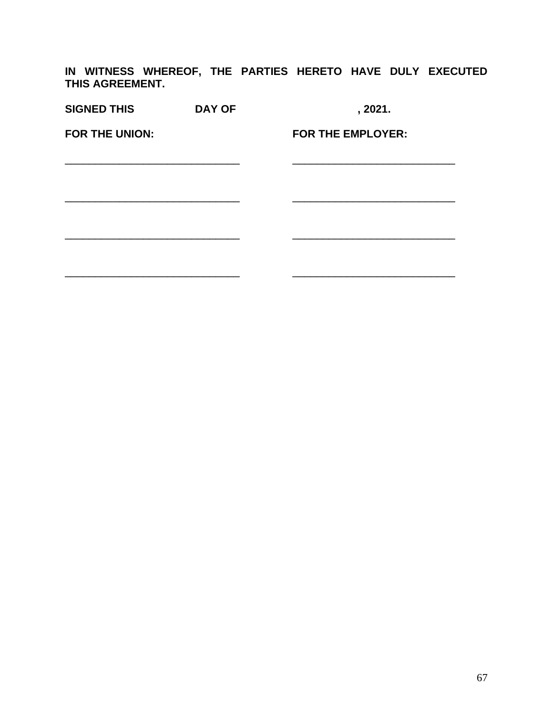**IN WITNESS WHEREOF, THE PARTIES HERETO HAVE DULY EXECUTED THIS AGREEMENT.**

| <b>SIGNED THIS</b>    | <b>DAY OF</b> | , 2021.                  |
|-----------------------|---------------|--------------------------|
| <b>FOR THE UNION:</b> |               | <b>FOR THE EMPLOYER:</b> |
|                       |               |                          |
|                       |               |                          |
|                       |               |                          |
|                       |               |                          |
|                       |               |                          |
|                       |               |                          |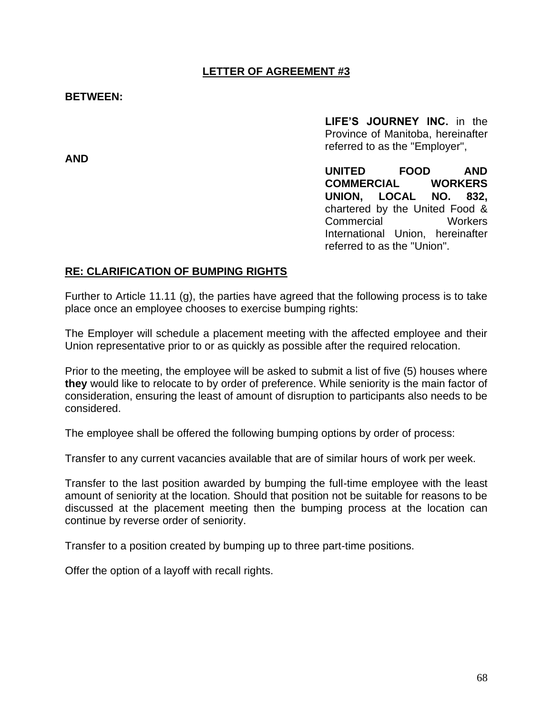## **LETTER OF AGREEMENT #3**

#### **BETWEEN:**

**AND**

**LIFE'S JOURNEY INC.** in the Province of Manitoba, hereinafter referred to as the "Employer",

**UNITED FOOD AND COMMERCIAL WORKERS UNION, LOCAL NO. 832,** chartered by the United Food & Commercial Workers International Union, hereinafter referred to as the "Union".

#### **RE: CLARIFICATION OF BUMPING RIGHTS**

Further to Article 11.11 (g), the parties have agreed that the following process is to take place once an employee chooses to exercise bumping rights:

The Employer will schedule a placement meeting with the affected employee and their Union representative prior to or as quickly as possible after the required relocation.

Prior to the meeting, the employee will be asked to submit a list of five (5) houses where **they** would like to relocate to by order of preference. While seniority is the main factor of consideration, ensuring the least of amount of disruption to participants also needs to be considered.

The employee shall be offered the following bumping options by order of process:

Transfer to any current vacancies available that are of similar hours of work per week.

Transfer to the last position awarded by bumping the full-time employee with the least amount of seniority at the location. Should that position not be suitable for reasons to be discussed at the placement meeting then the bumping process at the location can continue by reverse order of seniority.

Transfer to a position created by bumping up to three part-time positions.

Offer the option of a layoff with recall rights.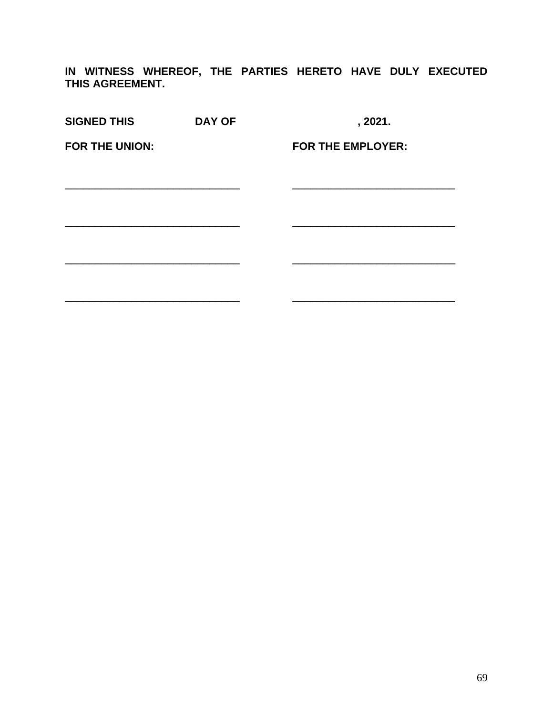**IN WITNESS WHEREOF, THE PARTIES HERETO HAVE DULY EXECUTED THIS AGREEMENT.**

| <b>SIGNED THIS</b>    | <b>DAY OF</b> | , 2021.                  |
|-----------------------|---------------|--------------------------|
| <b>FOR THE UNION:</b> |               | <b>FOR THE EMPLOYER:</b> |
|                       |               |                          |
|                       |               |                          |
|                       |               |                          |
|                       |               |                          |
|                       |               |                          |
|                       |               |                          |
|                       |               |                          |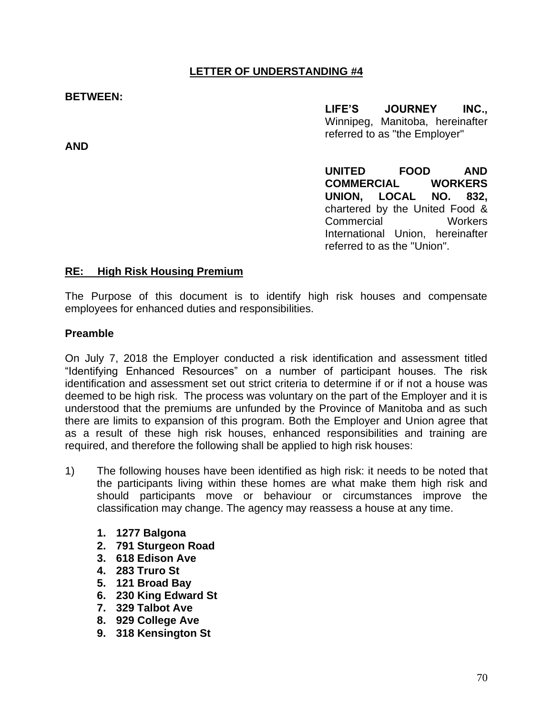#### **BETWEEN:**

**AND**

**LIFE'S JOURNEY INC.,** Winnipeg, Manitoba, hereinafter referred to as "the Employer"

**UNITED FOOD AND COMMERCIAL WORKERS UNION, LOCAL NO. 832,** chartered by the United Food & Commercial Workers International Union, hereinafter referred to as the "Union".

#### **RE: High Risk Housing Premium**

The Purpose of this document is to identify high risk houses and compensate employees for enhanced duties and responsibilities.

## **Preamble**

On July 7, 2018 the Employer conducted a risk identification and assessment titled "Identifying Enhanced Resources" on a number of participant houses. The risk identification and assessment set out strict criteria to determine if or if not a house was deemed to be high risk. The process was voluntary on the part of the Employer and it is understood that the premiums are unfunded by the Province of Manitoba and as such there are limits to expansion of this program. Both the Employer and Union agree that as a result of these high risk houses, enhanced responsibilities and training are required, and therefore the following shall be applied to high risk houses:

- 1) The following houses have been identified as high risk: it needs to be noted that the participants living within these homes are what make them high risk and should participants move or behaviour or circumstances improve the classification may change. The agency may reassess a house at any time.
	- **1. 1277 Balgona**
	- **2. 791 Sturgeon Road**
	- **3. 618 Edison Ave**
	- **4. 283 Truro St**
	- **5. 121 Broad Bay**
	- **6. 230 King Edward St**
	- **7. 329 Talbot Ave**
	- **8. 929 College Ave**
	- **9. 318 Kensington St**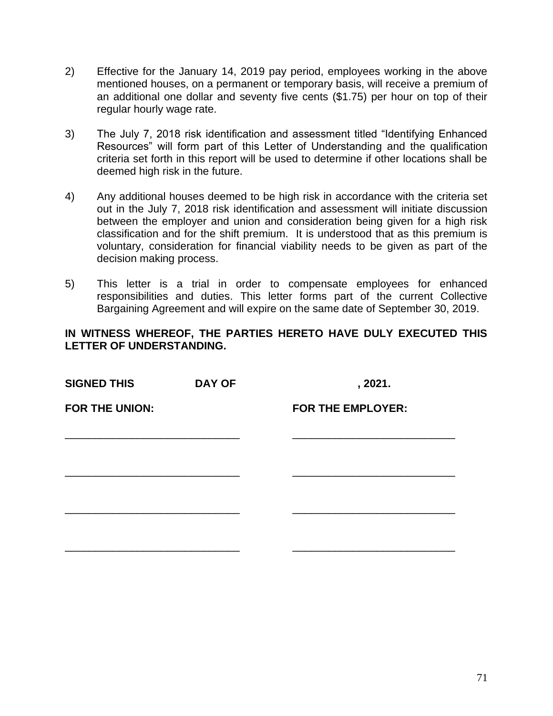- 2) Effective for the January 14, 2019 pay period, employees working in the above mentioned houses, on a permanent or temporary basis, will receive a premium of an additional one dollar and seventy five cents (\$1.75) per hour on top of their regular hourly wage rate.
- 3) The July 7, 2018 risk identification and assessment titled "Identifying Enhanced Resources" will form part of this Letter of Understanding and the qualification criteria set forth in this report will be used to determine if other locations shall be deemed high risk in the future.
- 4) Any additional houses deemed to be high risk in accordance with the criteria set out in the July 7, 2018 risk identification and assessment will initiate discussion between the employer and union and consideration being given for a high risk classification and for the shift premium. It is understood that as this premium is voluntary, consideration for financial viability needs to be given as part of the decision making process.
- 5) This letter is a trial in order to compensate employees for enhanced responsibilities and duties. This letter forms part of the current Collective Bargaining Agreement and will expire on the same date of September 30, 2019.

| <b>SIGNED THIS</b>    | <b>DAY OF</b> | , 2021.                  |  |
|-----------------------|---------------|--------------------------|--|
| <b>FOR THE UNION:</b> |               | <b>FOR THE EMPLOYER:</b> |  |
|                       |               |                          |  |
|                       |               |                          |  |
|                       |               |                          |  |
|                       |               |                          |  |
|                       |               |                          |  |
|                       |               |                          |  |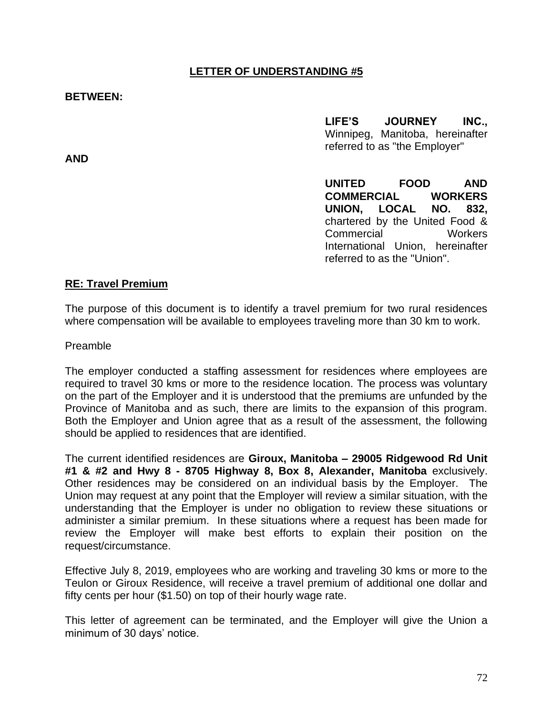#### **BETWEEN:**

**AND**

**LIFE'S JOURNEY INC.,** Winnipeg, Manitoba, hereinafter referred to as "the Employer"

**UNITED FOOD AND COMMERCIAL WORKERS UNION, LOCAL NO. 832,** chartered by the United Food & Commercial Workers International Union, hereinafter referred to as the "Union".

#### **RE: Travel Premium**

The purpose of this document is to identify a travel premium for two rural residences where compensation will be available to employees traveling more than 30 km to work.

Preamble

The employer conducted a staffing assessment for residences where employees are required to travel 30 kms or more to the residence location. The process was voluntary on the part of the Employer and it is understood that the premiums are unfunded by the Province of Manitoba and as such, there are limits to the expansion of this program. Both the Employer and Union agree that as a result of the assessment, the following should be applied to residences that are identified.

The current identified residences are **Giroux, Manitoba – 29005 Ridgewood Rd Unit #1 & #2 and Hwy 8 - 8705 Highway 8, Box 8, Alexander, Manitoba** exclusively. Other residences may be considered on an individual basis by the Employer. The Union may request at any point that the Employer will review a similar situation, with the understanding that the Employer is under no obligation to review these situations or administer a similar premium. In these situations where a request has been made for review the Employer will make best efforts to explain their position on the request/circumstance.

Effective July 8, 2019, employees who are working and traveling 30 kms or more to the Teulon or Giroux Residence, will receive a travel premium of additional one dollar and fifty cents per hour (\$1.50) on top of their hourly wage rate.

This letter of agreement can be terminated, and the Employer will give the Union a minimum of 30 days' notice.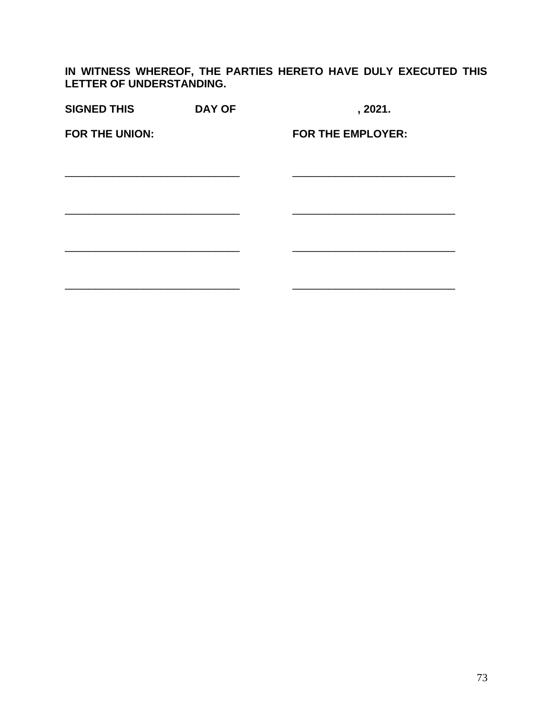| <b>SIGNED THIS</b> | <b>DAY OF</b> | , 2021.                  |
|--------------------|---------------|--------------------------|
| FOR THE UNION:     |               | <b>FOR THE EMPLOYER:</b> |
|                    |               |                          |
|                    |               |                          |
|                    |               |                          |
|                    |               |                          |
|                    |               |                          |
|                    |               |                          |
|                    |               |                          |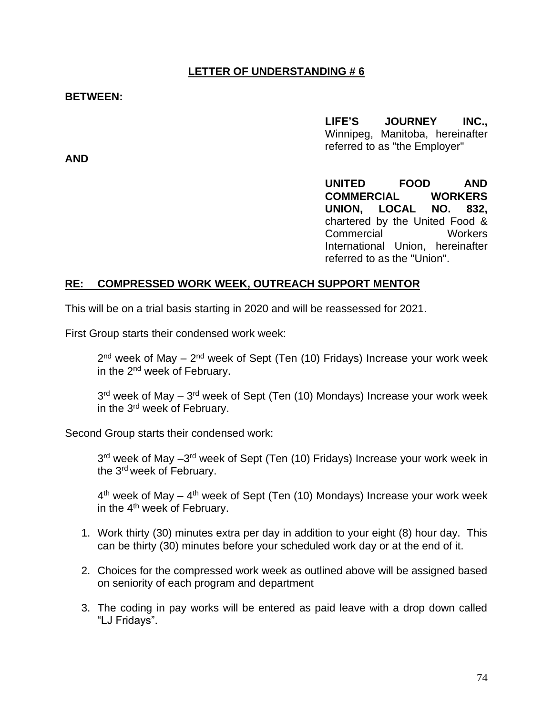#### **BETWEEN:**

**LIFE'S JOURNEY INC.,** Winnipeg, Manitoba, hereinafter referred to as "the Employer"

**AND**

**UNITED FOOD AND COMMERCIAL WORKERS UNION, LOCAL NO. 832,** chartered by the United Food & Commercial Workers International Union, hereinafter referred to as the "Union".

#### **RE: COMPRESSED WORK WEEK, OUTREACH SUPPORT MENTOR**

This will be on a trial basis starting in 2020 and will be reassessed for 2021.

First Group starts their condensed work week:

2<sup>nd</sup> week of May – 2<sup>nd</sup> week of Sept (Ten (10) Fridays) Increase your work week in the 2nd week of February.

3<sup>rd</sup> week of May – 3<sup>rd</sup> week of Sept (Ten (10) Mondays) Increase your work week in the 3rd week of February.

Second Group starts their condensed work:

3<sup>rd</sup> week of May -3<sup>rd</sup> week of Sept (Ten (10) Fridays) Increase your work week in the 3rd week of February.

4<sup>th</sup> week of May – 4<sup>th</sup> week of Sept (Ten (10) Mondays) Increase your work week in the 4<sup>th</sup> week of February.

- 1. Work thirty (30) minutes extra per day in addition to your eight (8) hour day. This can be thirty (30) minutes before your scheduled work day or at the end of it.
- 2. Choices for the compressed work week as outlined above will be assigned based on seniority of each program and department
- 3. The coding in pay works will be entered as paid leave with a drop down called "LJ Fridays".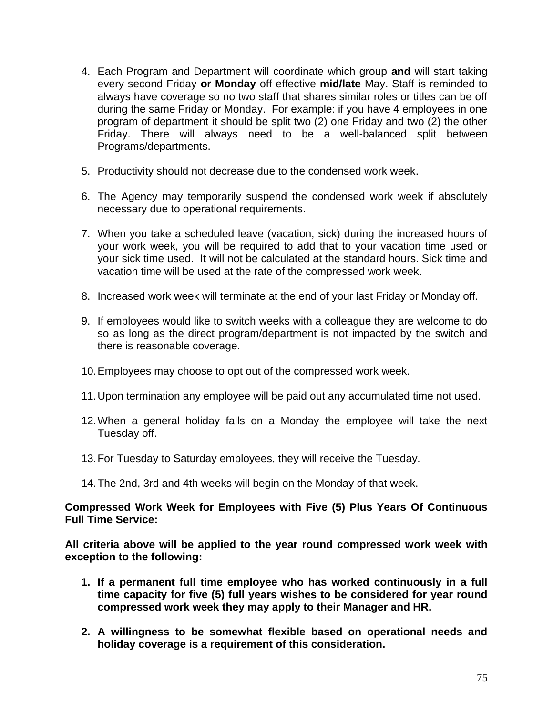- 4. Each Program and Department will coordinate which group **and** will start taking every second Friday **or Monday** off effective **mid/late** May. Staff is reminded to always have coverage so no two staff that shares similar roles or titles can be off during the same Friday or Monday. For example: if you have 4 employees in one program of department it should be split two (2) one Friday and two (2) the other Friday. There will always need to be a well-balanced split between Programs/departments.
- 5. Productivity should not decrease due to the condensed work week.
- 6. The Agency may temporarily suspend the condensed work week if absolutely necessary due to operational requirements.
- 7. When you take a scheduled leave (vacation, sick) during the increased hours of your work week, you will be required to add that to your vacation time used or your sick time used. It will not be calculated at the standard hours. Sick time and vacation time will be used at the rate of the compressed work week.
- 8. Increased work week will terminate at the end of your last Friday or Monday off.
- 9. If employees would like to switch weeks with a colleague they are welcome to do so as long as the direct program/department is not impacted by the switch and there is reasonable coverage.
- 10.Employees may choose to opt out of the compressed work week.
- 11.Upon termination any employee will be paid out any accumulated time not used.
- 12.When a general holiday falls on a Monday the employee will take the next Tuesday off.
- 13.For Tuesday to Saturday employees, they will receive the Tuesday.
- 14.The 2nd, 3rd and 4th weeks will begin on the Monday of that week.

## **Compressed Work Week for Employees with Five (5) Plus Years Of Continuous Full Time Service:**

**All criteria above will be applied to the year round compressed work week with exception to the following:** 

- **1. If a permanent full time employee who has worked continuously in a full time capacity for five (5) full years wishes to be considered for year round compressed work week they may apply to their Manager and HR.**
- **2. A willingness to be somewhat flexible based on operational needs and holiday coverage is a requirement of this consideration.**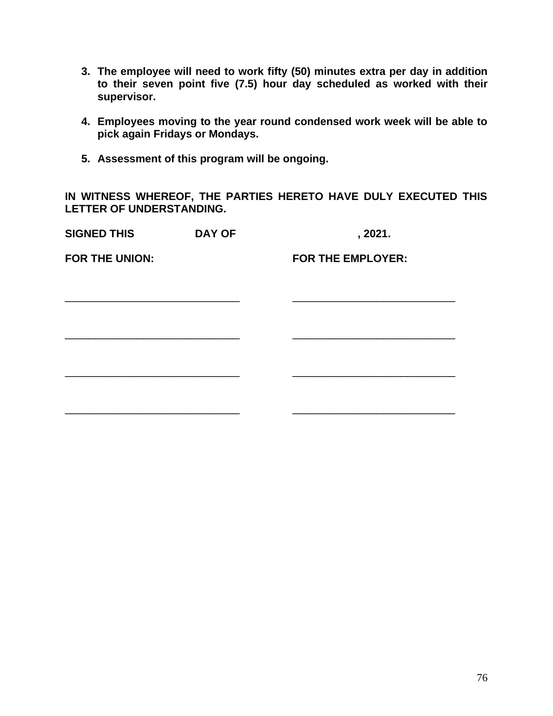- **3. The employee will need to work fifty (50) minutes extra per day in addition to their seven point five (7.5) hour day scheduled as worked with their supervisor.**
- **4. Employees moving to the year round condensed work week will be able to pick again Fridays or Mondays.**
- **5. Assessment of this program will be ongoing.**

| <b>SIGNED THIS</b>    | <b>DAY OF</b> |                          | , 2021. |  |
|-----------------------|---------------|--------------------------|---------|--|
| <b>FOR THE UNION:</b> |               | <b>FOR THE EMPLOYER:</b> |         |  |
|                       |               |                          |         |  |
|                       |               |                          |         |  |
|                       |               |                          |         |  |
|                       |               |                          |         |  |
|                       |               |                          |         |  |
|                       |               |                          |         |  |
|                       |               |                          |         |  |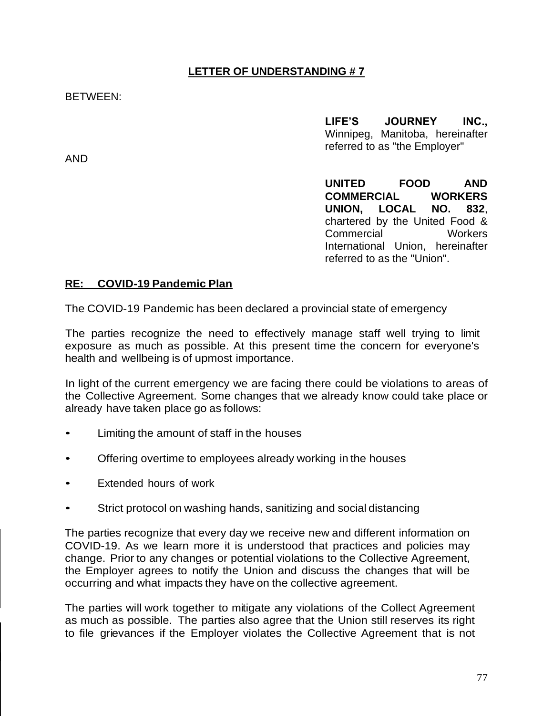## BETWEEN:

AND

**LIFE'S JOURNEY INC.,** Winnipeg, Manitoba, hereinafter referred to as "the Employer"

**UNITED FOOD AND COMMERCIAL WORKERS UNION, LOCAL NO. 832**, chartered by the United Food & Commercial Workers International Union, hereinafter referred to as the "Union".

#### **RE: COVID-19 Pandemic Plan**

The COVID-19 Pandemic has been declared a provincial state of emergency

The parties recognize the need to effectively manage staff well trying to limit exposure as much as possible. At this present time the concern for everyone's health and wellbeing is of upmost importance.

In light of the current emergency we are facing there could be violations to areas of the Collective Agreement. Some changes that we already know could take place or already have taken place go as follows:

- Limiting the amount of staff in the houses
- Offering overtime to employees already working in the houses
- Extended hours of work
- Strict protocol on washing hands, sanitizing and social distancing

The parties recognize that every day we receive new and different information on COVID-19. As we learn more it is understood that practices and policies may change. Prior to any changes or potential violations to the Collective Agreement, the Employer agrees to notify the Union and discuss the changes that will be occurring and what impacts they have on the collective agreement.

The parties will work together to mitigate any violations of the Collect Agreement as much as possible. The parties also agree that the Union still reserves its right to file grievances if the Employer violates the Collective Agreement that is not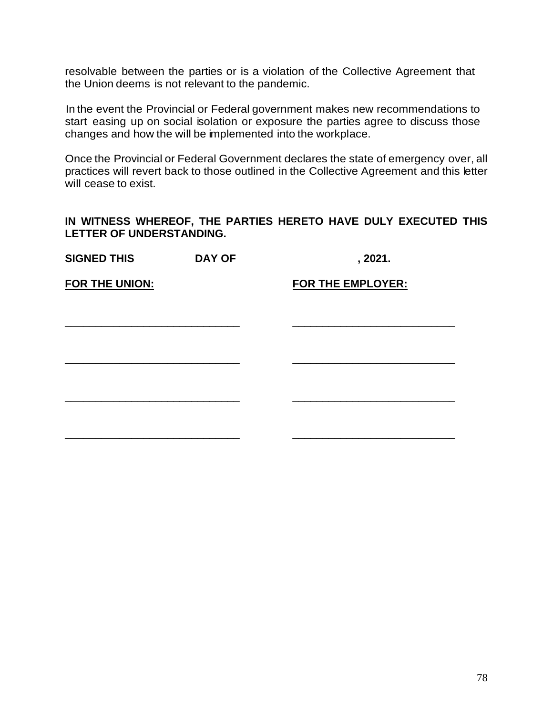resolvable between the parties or is a violation of the Collective Agreement that the Union deems is not relevant to the pandemic.

In the event the Provincial or Federal government makes new recommendations to start easing up on social isolation or exposure the parties agree to discuss those changes and how the will be implemented into the workplace.

Once the Provincial or Federal Government declares the state of emergency over, all practices will revert back to those outlined in the Collective Agreement and this letter will cease to exist.

| <b>SIGNED THIS</b>    | <b>DAY OF</b> | , 2021.                  |
|-----------------------|---------------|--------------------------|
| <b>FOR THE UNION:</b> |               | <b>FOR THE EMPLOYER:</b> |
|                       |               |                          |
|                       |               |                          |
|                       |               |                          |
|                       |               |                          |
|                       |               |                          |
|                       |               |                          |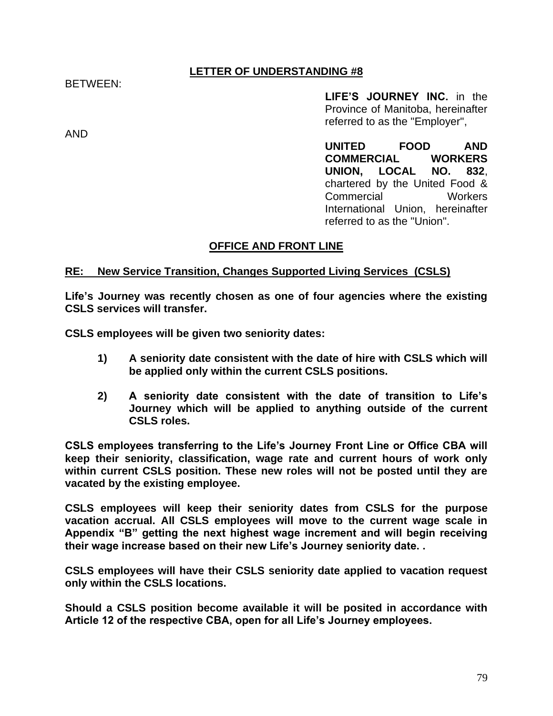BETWEEN:

AND

**LIFE'S JOURNEY INC.** in the Province of Manitoba, hereinafter referred to as the "Employer",

**UNITED FOOD AND COMMERCIAL WORKERS UNION, LOCAL NO. 832**, chartered by the United Food & Commercial Workers International Union, hereinafter referred to as the "Union".

## **OFFICE AND FRONT LINE**

#### **RE: New Service Transition, Changes Supported Living Services (CSLS)**

**Life's Journey was recently chosen as one of four agencies where the existing CSLS services will transfer.**

**CSLS employees will be given two seniority dates:** 

- **1) A seniority date consistent with the date of hire with CSLS which will be applied only within the current CSLS positions.**
- **2) A seniority date consistent with the date of transition to Life's Journey which will be applied to anything outside of the current CSLS roles.**

**CSLS employees transferring to the Life's Journey Front Line or Office CBA will keep their seniority, classification, wage rate and current hours of work only within current CSLS position. These new roles will not be posted until they are vacated by the existing employee.** 

**CSLS employees will keep their seniority dates from CSLS for the purpose vacation accrual. All CSLS employees will move to the current wage scale in Appendix "B" getting the next highest wage increment and will begin receiving their wage increase based on their new Life's Journey seniority date. .** 

**CSLS employees will have their CSLS seniority date applied to vacation request only within the CSLS locations.** 

**Should a CSLS position become available it will be posited in accordance with Article 12 of the respective CBA, open for all Life's Journey employees.**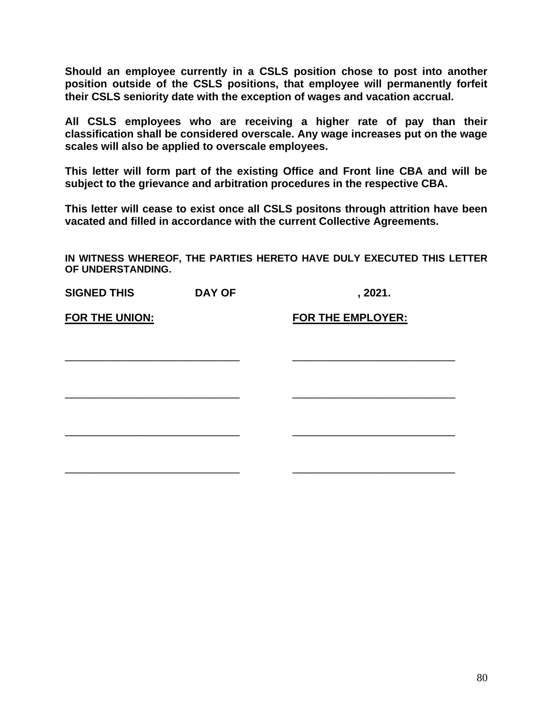**Should an employee currently in a CSLS position chose to post into another position outside of the CSLS positions, that employee will permanently forfeit their CSLS seniority date with the exception of wages and vacation accrual.** 

**All CSLS employees who are receiving a higher rate of pay than their classification shall be considered overscale. Any wage increases put on the wage scales will also be applied to overscale employees.** 

**This letter will form part of the existing Office and Front line CBA and will be subject to the grievance and arbitration procedures in the respective CBA.** 

**This letter will cease to exist once all CSLS positons through attrition have been vacated and filled in accordance with the current Collective Agreements.** 

| <b>SIGNED THIS</b>    | <b>DAY OF</b> | , 2021.                  |
|-----------------------|---------------|--------------------------|
| <b>FOR THE UNION:</b> |               | <b>FOR THE EMPLOYER:</b> |
|                       |               |                          |
|                       |               |                          |
|                       |               |                          |
|                       |               |                          |
|                       |               |                          |
|                       |               |                          |
|                       |               |                          |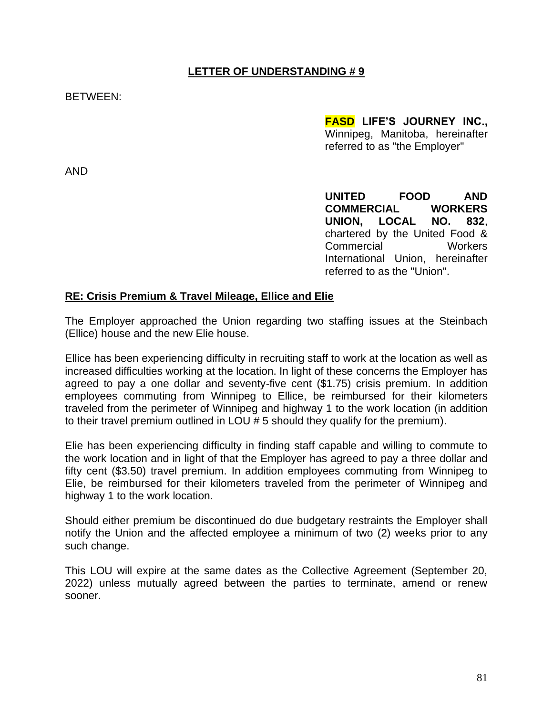BETWEEN:

**FASD LIFE'S JOURNEY INC.,** Winnipeg, Manitoba, hereinafter referred to as "the Employer"

AND

**UNITED FOOD AND COMMERCIAL WORKERS UNION, LOCAL NO. 832**, chartered by the United Food & Commercial Workers International Union, hereinafter referred to as the "Union".

#### **RE: Crisis Premium & Travel Mileage, Ellice and Elie**

The Employer approached the Union regarding two staffing issues at the Steinbach (Ellice) house and the new Elie house.

Ellice has been experiencing difficulty in recruiting staff to work at the location as well as increased difficulties working at the location. In light of these concerns the Employer has agreed to pay a one dollar and seventy-five cent (\$1.75) crisis premium. In addition employees commuting from Winnipeg to Ellice, be reimbursed for their kilometers traveled from the perimeter of Winnipeg and highway 1 to the work location (in addition to their travel premium outlined in LOU # 5 should they qualify for the premium).

Elie has been experiencing difficulty in finding staff capable and willing to commute to the work location and in light of that the Employer has agreed to pay a three dollar and fifty cent (\$3.50) travel premium. In addition employees commuting from Winnipeg to Elie, be reimbursed for their kilometers traveled from the perimeter of Winnipeg and highway 1 to the work location.

Should either premium be discontinued do due budgetary restraints the Employer shall notify the Union and the affected employee a minimum of two (2) weeks prior to any such change.

This LOU will expire at the same dates as the Collective Agreement (September 20, 2022) unless mutually agreed between the parties to terminate, amend or renew sooner.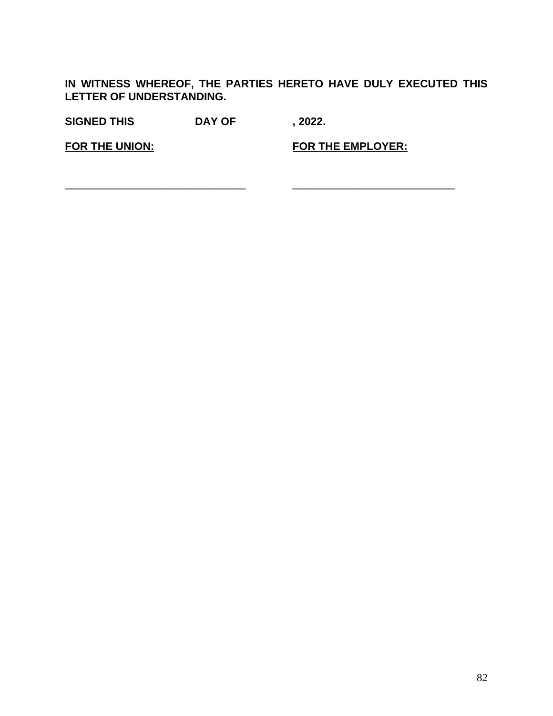**IN WITNESS WHEREOF, THE PARTIES HERETO HAVE DULY EXECUTED THIS LETTER OF UNDERSTANDING.**

**SIGNED THIS DAY OF , 2022.**

**FOR THE UNION: FOR THE EMPLOYER:**

\_\_\_\_\_\_\_\_\_\_\_\_\_\_\_\_\_\_\_\_\_\_\_\_\_\_\_\_\_\_ \_\_\_\_\_\_\_\_\_\_\_\_\_\_\_\_\_\_\_\_\_\_\_\_\_\_\_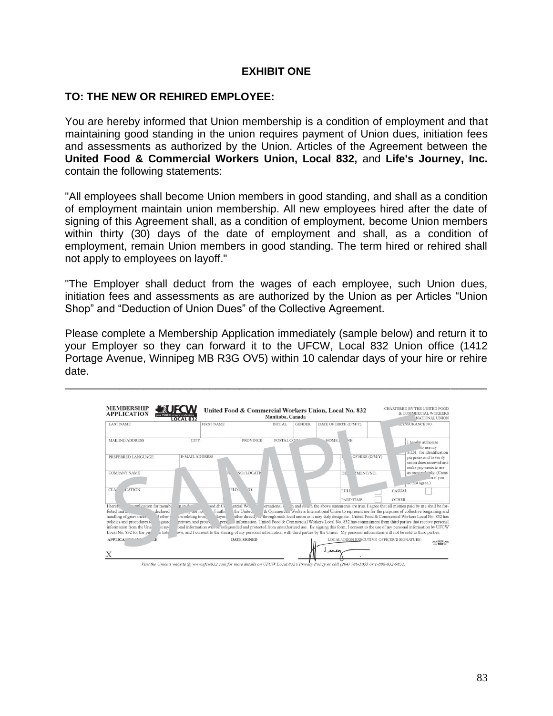## **EXHIBIT ONE**

## **TO: THE NEW OR REHIRED EMPLOYEE:**

You are hereby informed that Union membership is a condition of employment and that maintaining good standing in the union requires payment of Union dues, initiation fees and assessments as authorized by the Union. Articles of the Agreement between the **United Food & Commercial Workers Union, Local 832,** and **Life's Journey, Inc.** contain the following statements:

"All employees shall become Union members in good standing, and shall as a condition of employment maintain union membership. All new employees hired after the date of signing of this Agreement shall, as a condition of employment, become Union members within thirty (30) days of the date of employment and shall, as a condition of employment, remain Union members in good standing. The term hired or rehired shall not apply to employees on layoff."

"The Employer shall deduct from the wages of each employee, such Union dues, initiation fees and assessments as are authorized by the Union as per Articles "Union Shop" and "Deduction of Union Dues" of the Collective Agreement.

Please complete a Membership Application immediately (sample below) and return it to your Employer so they can forward it to the UFCW, Local 832 Union office (1412 Portage Avenue, Winnipeg MB R3G OV5) within 10 calendar days of your hire or rehire date.

\_\_\_\_\_\_\_\_\_\_\_\_\_\_\_\_\_\_\_\_\_\_\_\_\_\_\_\_\_\_\_\_\_\_\_\_\_\_\_\_\_\_\_\_\_\_\_\_\_\_\_\_\_\_\_\_\_\_\_\_\_\_\_\_\_\_\_\_\_\_



Visit the Union's website @ www.ufcw832.com for more details on UFCW Local 832's Privacy Policy or call (204) 786-5055 or 1-888-832-9832.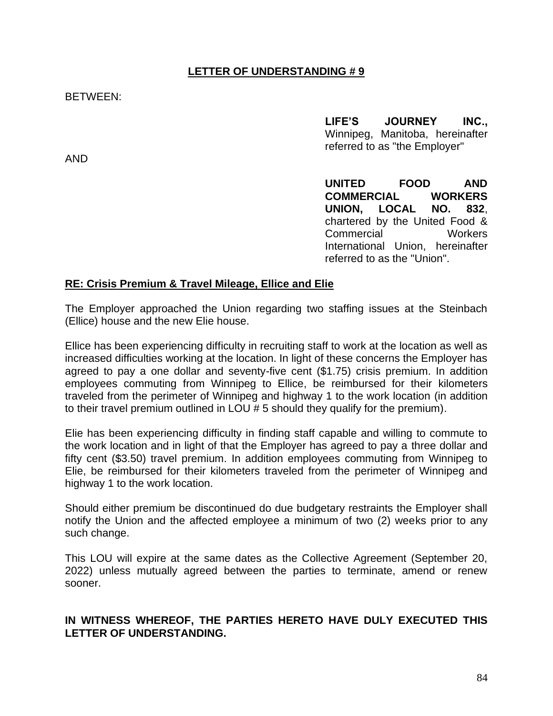BETWEEN:

**LIFE'S JOURNEY INC.,** Winnipeg, Manitoba, hereinafter referred to as "the Employer"

AND

**UNITED FOOD AND COMMERCIAL WORKERS UNION, LOCAL NO. 832**, chartered by the United Food & Commercial Workers International Union, hereinafter referred to as the "Union".

## **RE: Crisis Premium & Travel Mileage, Ellice and Elie**

The Employer approached the Union regarding two staffing issues at the Steinbach (Ellice) house and the new Elie house.

Ellice has been experiencing difficulty in recruiting staff to work at the location as well as increased difficulties working at the location. In light of these concerns the Employer has agreed to pay a one dollar and seventy-five cent (\$1.75) crisis premium. In addition employees commuting from Winnipeg to Ellice, be reimbursed for their kilometers traveled from the perimeter of Winnipeg and highway 1 to the work location (in addition to their travel premium outlined in LOU # 5 should they qualify for the premium).

Elie has been experiencing difficulty in finding staff capable and willing to commute to the work location and in light of that the Employer has agreed to pay a three dollar and fifty cent (\$3.50) travel premium. In addition employees commuting from Winnipeg to Elie, be reimbursed for their kilometers traveled from the perimeter of Winnipeg and highway 1 to the work location.

Should either premium be discontinued do due budgetary restraints the Employer shall notify the Union and the affected employee a minimum of two (2) weeks prior to any such change.

This LOU will expire at the same dates as the Collective Agreement (September 20, 2022) unless mutually agreed between the parties to terminate, amend or renew sooner.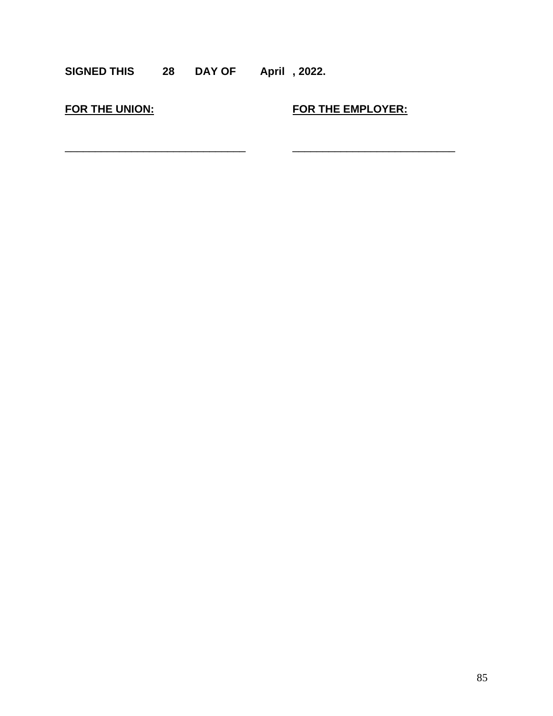## **SIGNED THIS 28 DAY OF April , 2022.**

\_\_\_\_\_\_\_\_\_\_\_\_\_\_\_\_\_\_\_\_\_\_\_\_\_\_\_\_\_\_ \_\_\_\_\_\_\_\_\_\_\_\_\_\_\_\_\_\_\_\_\_\_\_\_\_\_\_

**FOR THE UNION: FOR THE EMPLOYER:**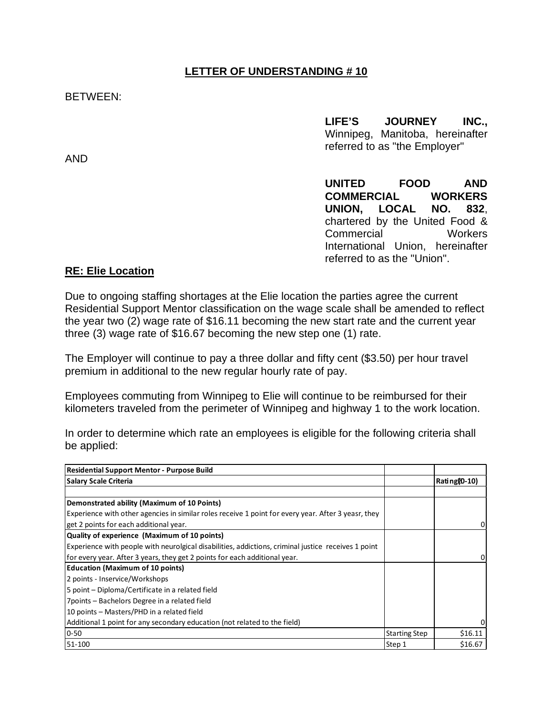#### BETWEEN:

**LIFE'S JOURNEY INC.,** Winnipeg, Manitoba, hereinafter referred to as "the Employer"

**UNITED FOOD AND COMMERCIAL WORKERS UNION, LOCAL NO. 832**, chartered by the United Food & Commercial Workers International Union, hereinafter referred to as the "Union".

# **RE: Elie Location**

Due to ongoing staffing shortages at the Elie location the parties agree the current Residential Support Mentor classification on the wage scale shall be amended to reflect the year two (2) wage rate of \$16.11 becoming the new start rate and the current year three (3) wage rate of \$16.67 becoming the new step one (1) rate.

The Employer will continue to pay a three dollar and fifty cent (\$3.50) per hour travel premium in additional to the new regular hourly rate of pay.

Employees commuting from Winnipeg to Elie will continue to be reimbursed for their kilometers traveled from the perimeter of Winnipeg and highway 1 to the work location.

In order to determine which rate an employees is eligible for the following criteria shall be applied:

| <b>Residential Support Mentor - Purpose Build</b>                                                   |                      |             |
|-----------------------------------------------------------------------------------------------------|----------------------|-------------|
| <b>Salary Scale Criteria</b>                                                                        |                      | Rating即-10) |
|                                                                                                     |                      |             |
| Demonstrated ability (Maximum of 10 Points)                                                         |                      |             |
| Experience with other agencies in similar roles receive 1 point for every year. After 3 yeasr, they |                      |             |
| get 2 points for each additional year.                                                              |                      | 0           |
| Quality of experience (Maximum of 10 points)                                                        |                      |             |
| Experience with people with neurolgical disabilities, addictions, criminal justice receives 1 point |                      |             |
| for every year. After 3 years, they get 2 points for each additional year.                          |                      |             |
| <b>Education (Maximum of 10 points)</b>                                                             |                      |             |
| 2 points - Inservice/Workshops                                                                      |                      |             |
| 5 point – Diploma/Certificate in a related field                                                    |                      |             |
| 7 points - Bachelors Degree in a related field                                                      |                      |             |
| 10 points – Masters/PHD in a related field                                                          |                      |             |
| Additional 1 point for any secondary education (not related to the field)                           |                      |             |
| 0-50                                                                                                | <b>Starting Step</b> | \$16.11     |
| 51-100                                                                                              | Step 1               | \$16.67     |

AND